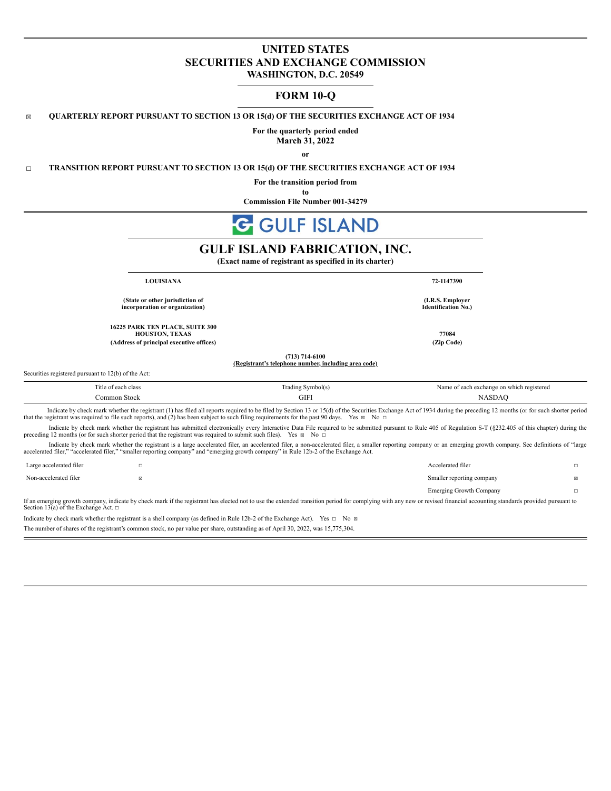# **UNITED STATES SECURITIES AND EXCHANGE COMMISSION WASHINGTON, D.C. 20549**

# **FORM 10-Q**

☒ **QUARTERLY REPORT PURSUANT TO SECTION 13 OR 15(d) OF THE SECURITIES EXCHANGE ACT OF 1934**

**For the quarterly period ended March 31, 2022**

**or**

☐ **TRANSITION REPORT PURSUANT TO SECTION 13 OR 15(d) OF THE SECURITIES EXCHANGE ACT OF 1934**

**For the transition period from**

**to Commission File Number 001-34279**

# **GULF ISLAND**

# **GULF ISLAND FABRICATION, INC.**

**(Exact name of registrant as specified in its charter)**

**LOUISIANA 72-1147390**

**(State or other jurisdiction of incorporation or organization)**

**16225 PARK TEN PLACE, SUITE 300 HOUSTON, TEXAS 77084 (Address of principal executive offices) (Zip Code)**

> **(713) 714-6100 (Registrant's telephone number, including area code)**

Securities registered pursuant to 12(b) of the Act:

| l'itle of each class | Trading Symbol(s)                                                                                                 | Name of each exchange on which registered |  |  |  |  |  |  |
|----------------------|-------------------------------------------------------------------------------------------------------------------|-------------------------------------------|--|--|--|--|--|--|
| `ommon Stock         | GIFI                                                                                                              | NASDAC                                    |  |  |  |  |  |  |
| $\cdots$             | $\mathbf{1} \in \mathbb{Z}$ in the case of $\mathbf{1}$<br>and the state of the state of<br>$\sim$ 11<br>$\cdots$ | 0.10011                                   |  |  |  |  |  |  |

Indicate by check mark whether the registrant (1) has filed all reports required to be filed by Section 13 or 15(d) of the Securities Exchange Act of 1934 during the preceding 12 months (or for such shorter period that th

Indicate by check mark whether the registrant has submitted electronically every Interactive Data File required to be submitted pursuant to Rule 405 of Regulation S-T (§232.405 of this chapter) during the preceding 12 months (or for such shorter period that the registrant was required to submit such files). Yes ⊠ No □

Indicate by check mark whether the registrant is a large accelerated filer, an accelerated filer, a non-accelerated filer, a smaller reporting company or an emerging growth company. See definitions of "large accelerated filer," "accelerated filer," "smaller reporting company" and "emerging growth company" in Rule 12b-2 of the Exchange Act.

| Large accelerated filer                                                                                                                                                                                                |  | Accelerated filer         |  |  |  |  |  |
|------------------------------------------------------------------------------------------------------------------------------------------------------------------------------------------------------------------------|--|---------------------------|--|--|--|--|--|
| Non-accelerated filer                                                                                                                                                                                                  |  | Smaller reporting company |  |  |  |  |  |
|                                                                                                                                                                                                                        |  | Emerging Growth Company   |  |  |  |  |  |
| If an emerging growth company indicate by check mark if the registrant has elected not to use the extended transition period for complying with any new or revised financial accounting standards provided pursuant to |  |                           |  |  |  |  |  |

If an emerging growth company, indicate by check mark if the registrant has elected not to use the extended transition period for complying with any new or revised financial accounting standards provided pursuant to Section  $13(a)$  of the Exchange Act.  $□$ 

Indicate by check mark whether the registrant is a shell company (as defined in Rule 12b-2 of the Exchange Act). Yes □ No ⊠

The number of shares of the registrant's common stock, no par value per share, outstanding as of April 30, 2022, was 15,775,304.

**Identification No.)**

**(I.R.S. Employer**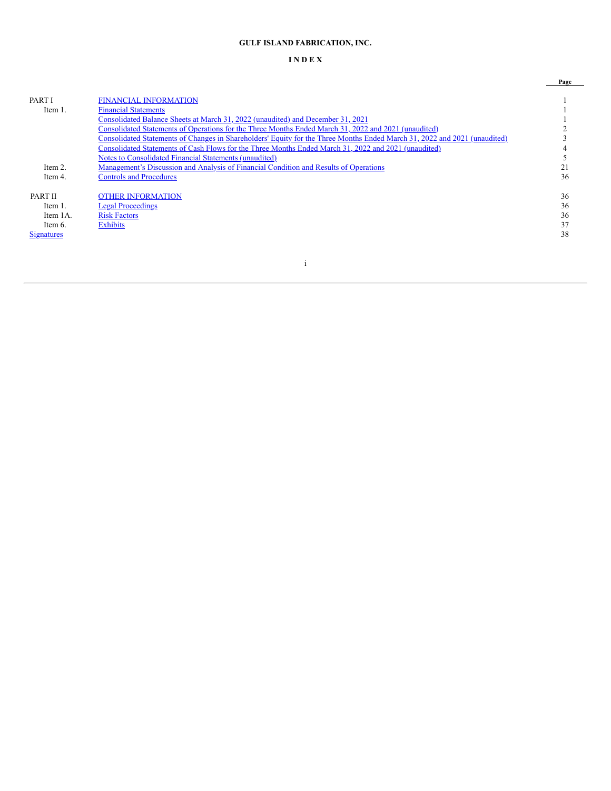# **GULF ISLAND FABRICATION, INC.**

# **I N D E X**

|                |                                                                                                                           | Page |
|----------------|---------------------------------------------------------------------------------------------------------------------------|------|
| <b>PART I</b>  | <b>FINANCIAL INFORMATION</b>                                                                                              |      |
| Item 1.        | <b>Financial Statements</b>                                                                                               |      |
|                | <u>Consolidated Balance Sheets at March 31, 2022 (unaudited) and December 31, 2021</u>                                    |      |
|                | Consolidated Statements of Operations for the Three Months Ended March 31, 2022 and 2021 (unaudited)                      |      |
|                | Consolidated Statements of Changes in Shareholders' Equity for the Three Months Ended March 31, 2022 and 2021 (unaudited) |      |
|                | Consolidated Statements of Cash Flows for the Three Months Ended March 31, 2022 and 2021 (unaudited)                      |      |
|                | Notes to Consolidated Financial Statements (unaudited)                                                                    |      |
| Item $2$ .     | <u>Management's Discussion and Analysis of Financial Condition and Results of Operations</u>                              |      |
| Item 4.        | <b>Controls and Procedures</b>                                                                                            | 36   |
| <b>PART II</b> | OTHER INFORMATION                                                                                                         | 36   |
| Item 1.        | <b>Legal Proceedings</b>                                                                                                  | 36   |
| Item 1A.       | <b>Risk Factors</b>                                                                                                       | 36   |
| Item $6$ .     | <b>Exhibits</b>                                                                                                           | 37   |
| Signatures     |                                                                                                                           | 38   |
|                |                                                                                                                           |      |
|                |                                                                                                                           |      |

i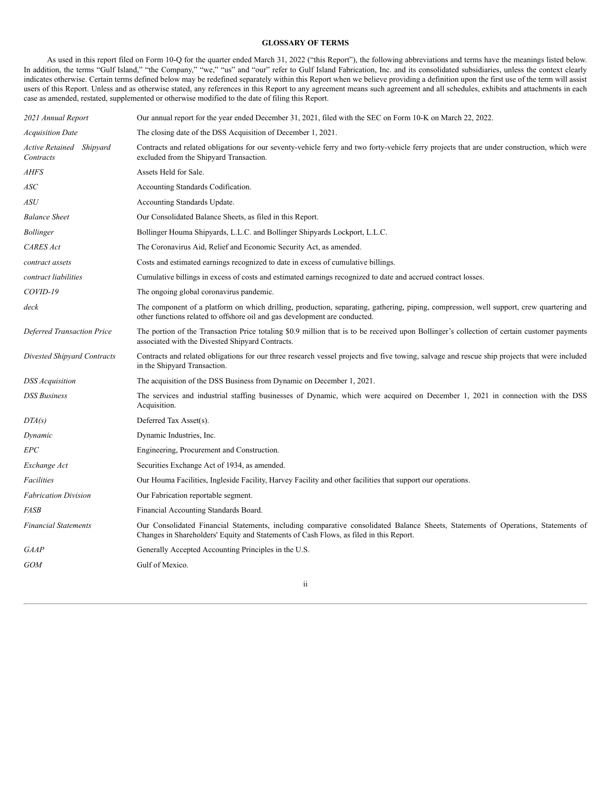## **GLOSSARY OF TERMS**

As used in this report filed on Form 10-Q for the quarter ended March 31, 2022 ("this Report"), the following abbreviations and terms have the meanings listed below. In addition, the terms "Gulf Island," "the Company," "we," "us" and "our" refer to Gulf Island Fabrication, Inc. and its consolidated subsidiaries, unless the context clearly indicates otherwise. Certain terms defined below may be redefined separately within this Report when we believe providing a definition upon the first use of the term will assist users of this Report. Unless and as otherwise stated, any references in this Report to any agreement means such agreement and all schedules, exhibits and attachments in each case as amended, restated, supplemented or otherwise modified to the date of filing this Report.

| 2021 Annual Report                    | Our annual report for the year ended December 31, 2021, filed with the SEC on Form 10-K on March 22, 2022.                                                                                                                  |
|---------------------------------------|-----------------------------------------------------------------------------------------------------------------------------------------------------------------------------------------------------------------------------|
| <i>Acquisition Date</i>               | The closing date of the DSS Acquisition of December 1, 2021.                                                                                                                                                                |
| Active Retained Shipyard<br>Contracts | Contracts and related obligations for our seventy-vehicle ferry and two forty-vehicle ferry projects that are under construction, which were<br>excluded from the Shipyard Transaction.                                     |
| <b>AHFS</b>                           | Assets Held for Sale.                                                                                                                                                                                                       |
| ASC                                   | Accounting Standards Codification.                                                                                                                                                                                          |
| ASU                                   | Accounting Standards Update.                                                                                                                                                                                                |
| <b>Balance Sheet</b>                  | Our Consolidated Balance Sheets, as filed in this Report.                                                                                                                                                                   |
| Bollinger                             | Bollinger Houma Shipyards, L.L.C. and Bollinger Shipyards Lockport, L.L.C.                                                                                                                                                  |
| <b>CARES</b> Act                      | The Coronavirus Aid, Relief and Economic Security Act, as amended.                                                                                                                                                          |
| contract assets                       | Costs and estimated earnings recognized to date in excess of cumulative billings.                                                                                                                                           |
| contract liabilities                  | Cumulative billings in excess of costs and estimated earnings recognized to date and accrued contract losses.                                                                                                               |
| COVID-19                              | The ongoing global coronavirus pandemic.                                                                                                                                                                                    |
| deck                                  | The component of a platform on which drilling, production, separating, gathering, piping, compression, well support, crew quartering and<br>other functions related to offshore oil and gas development are conducted.      |
| <b>Deferred Transaction Price</b>     | The portion of the Transaction Price totaling \$0.9 million that is to be received upon Bollinger's collection of certain customer payments<br>associated with the Divested Shipyard Contracts.                             |
| Divested Shipyard Contracts           | Contracts and related obligations for our three research vessel projects and five towing, salvage and rescue ship projects that were included<br>in the Shipyard Transaction.                                               |
| <b>DSS</b> Acquisition                | The acquisition of the DSS Business from Dynamic on December 1, 2021.                                                                                                                                                       |
| <b>DSS Business</b>                   | The services and industrial staffing businesses of Dynamic, which were acquired on December 1, 2021 in connection with the DSS<br>Acquisition.                                                                              |
| DTA(s)                                | Deferred Tax Asset(s).                                                                                                                                                                                                      |
| Dynamic                               | Dynamic Industries, Inc.                                                                                                                                                                                                    |
| EPC                                   | Engineering, Procurement and Construction.                                                                                                                                                                                  |
| Exchange Act                          | Securities Exchange Act of 1934, as amended.                                                                                                                                                                                |
| Facilities                            | Our Houma Facilities, Ingleside Facility, Harvey Facility and other facilities that support our operations.                                                                                                                 |
| <b>Fabrication Division</b>           | Our Fabrication reportable segment.                                                                                                                                                                                         |
| FASB                                  | Financial Accounting Standards Board.                                                                                                                                                                                       |
| <b>Financial Statements</b>           | Our Consolidated Financial Statements, including comparative consolidated Balance Sheets, Statements of Operations, Statements of<br>Changes in Shareholders' Equity and Statements of Cash Flows, as filed in this Report. |
| GAAP                                  | Generally Accepted Accounting Principles in the U.S.                                                                                                                                                                        |
| <b>GOM</b>                            | Gulf of Mexico.                                                                                                                                                                                                             |
|                                       |                                                                                                                                                                                                                             |

ii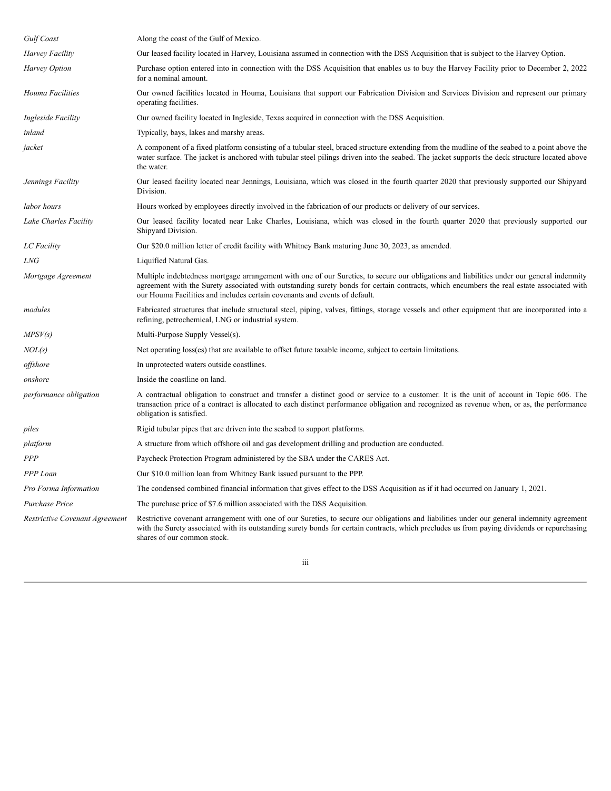| Gulf Coast                     | Along the coast of the Gulf of Mexico.                                                                                                                                                                                                                                                                                                                                |
|--------------------------------|-----------------------------------------------------------------------------------------------------------------------------------------------------------------------------------------------------------------------------------------------------------------------------------------------------------------------------------------------------------------------|
| Harvey Facility                | Our leased facility located in Harvey, Louisiana assumed in connection with the DSS Acquisition that is subject to the Harvey Option.                                                                                                                                                                                                                                 |
| <b>Harvey Option</b>           | Purchase option entered into in connection with the DSS Acquisition that enables us to buy the Harvey Facility prior to December 2, 2022<br>for a nominal amount.                                                                                                                                                                                                     |
| Houma Facilities               | Our owned facilities located in Houma, Louisiana that support our Fabrication Division and Services Division and represent our primary<br>operating facilities.                                                                                                                                                                                                       |
| Ingleside Facility             | Our owned facility located in Ingleside, Texas acquired in connection with the DSS Acquisition.                                                                                                                                                                                                                                                                       |
| inland                         | Typically, bays, lakes and marshy areas.                                                                                                                                                                                                                                                                                                                              |
| jacket                         | A component of a fixed platform consisting of a tubular steel, braced structure extending from the mudline of the seabed to a point above the<br>water surface. The jacket is anchored with tubular steel pilings driven into the seabed. The jacket supports the deck structure located above<br>the water.                                                          |
| Jennings Facility              | Our leased facility located near Jennings, Louisiana, which was closed in the fourth quarter 2020 that previously supported our Shipyard<br>Division.                                                                                                                                                                                                                 |
| labor hours                    | Hours worked by employees directly involved in the fabrication of our products or delivery of our services.                                                                                                                                                                                                                                                           |
| Lake Charles Facility          | Our leased facility located near Lake Charles, Louisiana, which was closed in the fourth quarter 2020 that previously supported our<br>Shipyard Division.                                                                                                                                                                                                             |
| LC Facility                    | Our \$20.0 million letter of credit facility with Whitney Bank maturing June 30, 2023, as amended.                                                                                                                                                                                                                                                                    |
| LNG                            | Liquified Natural Gas.                                                                                                                                                                                                                                                                                                                                                |
| Mortgage Agreement             | Multiple indebtedness mortgage arrangement with one of our Sureties, to secure our obligations and liabilities under our general indemnity<br>agreement with the Surety associated with outstanding surety bonds for certain contracts, which encumbers the real estate associated with<br>our Houma Facilities and includes certain covenants and events of default. |
| modules                        | Fabricated structures that include structural steel, piping, valves, fittings, storage vessels and other equipment that are incorporated into a<br>refining, petrochemical, LNG or industrial system.                                                                                                                                                                 |
| MPSV(s)                        | Multi-Purpose Supply Vessel(s).                                                                                                                                                                                                                                                                                                                                       |
| NOL(s)                         | Net operating loss(es) that are available to offset future taxable income, subject to certain limitations.                                                                                                                                                                                                                                                            |
| offshore                       | In unprotected waters outside coastlines.                                                                                                                                                                                                                                                                                                                             |
| onshore                        | Inside the coastline on land.                                                                                                                                                                                                                                                                                                                                         |
| performance obligation         | A contractual obligation to construct and transfer a distinct good or service to a customer. It is the unit of account in Topic 606. The<br>transaction price of a contract is allocated to each distinct performance obligation and recognized as revenue when, or as, the performance<br>obligation is satisfied.                                                   |
| piles                          | Rigid tubular pipes that are driven into the seabed to support platforms.                                                                                                                                                                                                                                                                                             |
| platform                       | A structure from which offshore oil and gas development drilling and production are conducted.                                                                                                                                                                                                                                                                        |
| PPP                            | Paycheck Protection Program administered by the SBA under the CARES Act.                                                                                                                                                                                                                                                                                              |
| PPP Loan                       | Our \$10.0 million loan from Whitney Bank issued pursuant to the PPP.                                                                                                                                                                                                                                                                                                 |
| Pro Forma Information          | The condensed combined financial information that gives effect to the DSS Acquisition as if it had occurred on January 1, 2021.                                                                                                                                                                                                                                       |
| Purchase Price                 | The purchase price of \$7.6 million associated with the DSS Acquisition.                                                                                                                                                                                                                                                                                              |
| Restrictive Covenant Agreement | Restrictive covenant arrangement with one of our Sureties, to secure our obligations and liabilities under our general indemnity agreement<br>with the Surety associated with its outstanding surety bonds for certain contracts, which precludes us from paying dividends or repurchasing<br>shares of our common stock.                                             |

iii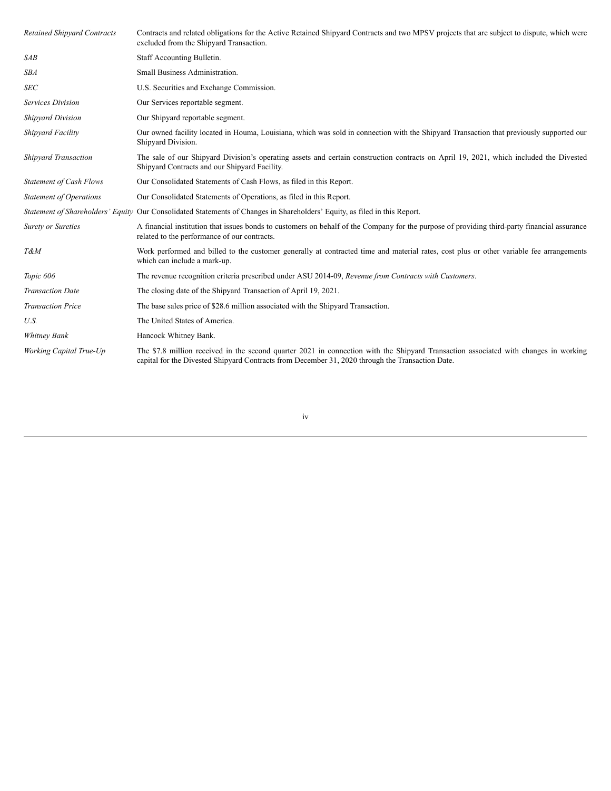| <b>Retained Shipyard Contracts</b> | Contracts and related obligations for the Active Retained Shipyard Contracts and two MPSV projects that are subject to dispute, which were<br>excluded from the Shipyard Transaction.                                                    |
|------------------------------------|------------------------------------------------------------------------------------------------------------------------------------------------------------------------------------------------------------------------------------------|
| SAB                                | Staff Accounting Bulletin.                                                                                                                                                                                                               |
| <b>SBA</b>                         | Small Business Administration.                                                                                                                                                                                                           |
| <b>SEC</b>                         | U.S. Securities and Exchange Commission.                                                                                                                                                                                                 |
| Services Division                  | Our Services reportable segment.                                                                                                                                                                                                         |
| <b>Shipyard Division</b>           | Our Shipyard reportable segment.                                                                                                                                                                                                         |
| Shipyard Facility                  | Our owned facility located in Houma, Louisiana, which was sold in connection with the Shipyard Transaction that previously supported our<br>Shipyard Division.                                                                           |
| <b>Shipyard Transaction</b>        | The sale of our Shipyard Division's operating assets and certain construction contracts on April 19, 2021, which included the Divested<br>Shipyard Contracts and our Shipyard Facility.                                                  |
| <b>Statement of Cash Flows</b>     | Our Consolidated Statements of Cash Flows, as filed in this Report.                                                                                                                                                                      |
| <b>Statement of Operations</b>     | Our Consolidated Statements of Operations, as filed in this Report.                                                                                                                                                                      |
|                                    | Statement of Shareholders' Equity Our Consolidated Statements of Changes in Shareholders' Equity, as filed in this Report.                                                                                                               |
| <b>Surety or Sureties</b>          | A financial institution that issues bonds to customers on behalf of the Company for the purpose of providing third-party financial assurance<br>related to the performance of our contracts.                                             |
| T&M                                | Work performed and billed to the customer generally at contracted time and material rates, cost plus or other variable fee arrangements<br>which can include a mark-up.                                                                  |
| Topic 606                          | The revenue recognition criteria prescribed under ASU 2014-09, Revenue from Contracts with Customers.                                                                                                                                    |
| <b>Transaction Date</b>            | The closing date of the Shipyard Transaction of April 19, 2021.                                                                                                                                                                          |
| <b>Transaction Price</b>           | The base sales price of \$28.6 million associated with the Shipyard Transaction.                                                                                                                                                         |
| U.S.                               | The United States of America.                                                                                                                                                                                                            |
| <b>Whitney Bank</b>                | Hancock Whitney Bank.                                                                                                                                                                                                                    |
| Working Capital True-Up            | The \$7.8 million received in the second quarter 2021 in connection with the Shipyard Transaction associated with changes in working<br>capital for the Divested Shipyard Contracts from December 31, 2020 through the Transaction Date. |

# iv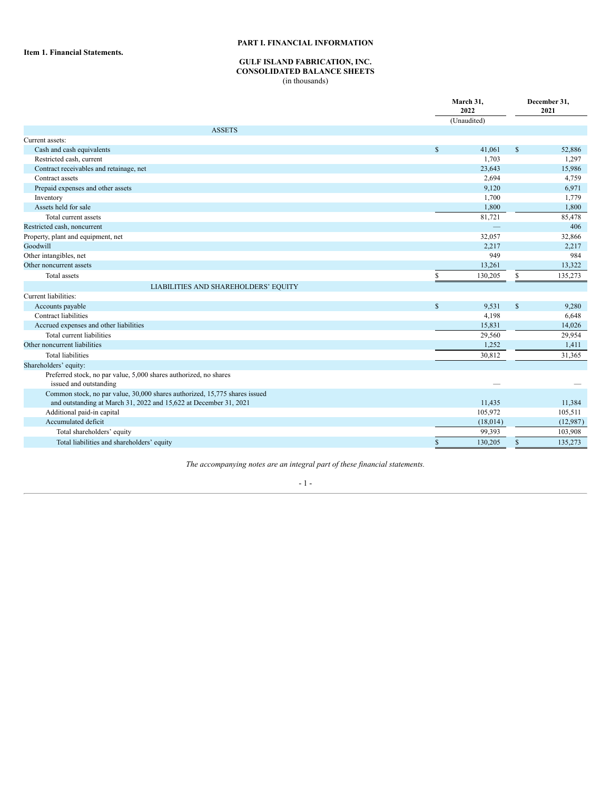# **PART I. FINANCIAL INFORMATION**

<span id="page-5-2"></span><span id="page-5-1"></span><span id="page-5-0"></span>**Item 1. Financial Statements.**

# **GULF ISLAND FABRICATION, INC.**

# **CONSOLIDATED BALANCE SHEETS**

(in thousands)

|                                                                                                                                                 | March 31,<br>2022 |             |               | December 31,<br>2021 |
|-------------------------------------------------------------------------------------------------------------------------------------------------|-------------------|-------------|---------------|----------------------|
|                                                                                                                                                 |                   | (Unaudited) |               |                      |
| <b>ASSETS</b>                                                                                                                                   |                   |             |               |                      |
| Current assets:                                                                                                                                 |                   |             |               |                      |
| Cash and cash equivalents                                                                                                                       | \$                | 41,061      | $\mathbb{S}$  | 52,886               |
| Restricted cash, current                                                                                                                        |                   | 1,703       |               | 1,297                |
| Contract receivables and retainage, net                                                                                                         |                   | 23,643      |               | 15,986               |
| Contract assets                                                                                                                                 |                   | 2,694       |               | 4,759                |
| Prepaid expenses and other assets                                                                                                               |                   | 9,120       |               | 6,971                |
| Inventory                                                                                                                                       |                   | 1,700       |               | 1,779                |
| Assets held for sale                                                                                                                            |                   | 1,800       |               | 1,800                |
| Total current assets                                                                                                                            |                   | 81,721      |               | 85,478               |
| Restricted cash, noncurrent                                                                                                                     |                   |             |               | 406                  |
| Property, plant and equipment, net                                                                                                              |                   | 32,057      |               | 32,866               |
| Goodwill                                                                                                                                        |                   | 2,217       |               | 2,217                |
| Other intangibles, net                                                                                                                          |                   | 949         |               | 984                  |
| Other noncurrent assets                                                                                                                         |                   | 13,261      |               | 13,322               |
| Total assets                                                                                                                                    | S                 | 130,205     | \$            | 135,273              |
| LIABILITIES AND SHAREHOLDERS' EQUITY                                                                                                            |                   |             |               |                      |
| Current liabilities:                                                                                                                            |                   |             |               |                      |
| Accounts payable                                                                                                                                | $\mathbf S$       | 9,531       | $\mathsf{\$}$ | 9,280                |
| Contract liabilities                                                                                                                            |                   | 4,198       |               | 6,648                |
| Accrued expenses and other liabilities                                                                                                          |                   | 15,831      |               | 14,026               |
| Total current liabilities                                                                                                                       |                   | 29,560      |               | 29,954               |
| Other noncurrent liabilities                                                                                                                    |                   | 1,252       |               | 1,411                |
| <b>Total liabilities</b>                                                                                                                        |                   | 30,812      |               | 31,365               |
| Shareholders' equity:                                                                                                                           |                   |             |               |                      |
| Preferred stock, no par value, 5,000 shares authorized, no shares<br>issued and outstanding                                                     |                   |             |               |                      |
| Common stock, no par value, 30,000 shares authorized, 15,775 shares issued<br>and outstanding at March 31, 2022 and 15,622 at December 31, 2021 |                   | 11,435      |               | 11,384               |
| Additional paid-in capital                                                                                                                      |                   | 105,972     |               | 105,511              |
| Accumulated deficit                                                                                                                             |                   | (18,014)    |               | (12,987)             |
| Total shareholders' equity                                                                                                                      |                   | 99,393      |               | 103,908              |
| Total liabilities and shareholders' equity                                                                                                      | \$                | 130,205     | $\mathsf{s}$  | 135,273              |

*The accompanying notes are an integral part of these financial statements.*

- 1 -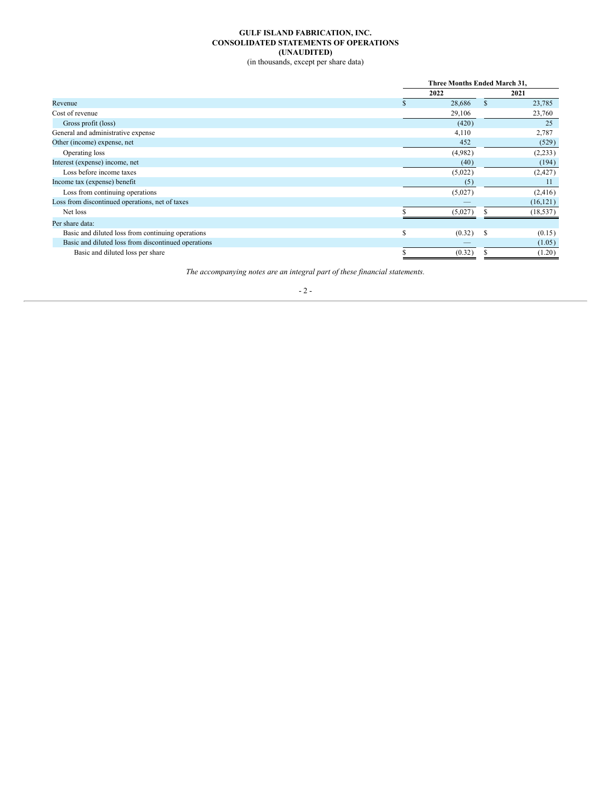# **GULF ISLAND FABRICATION, INC. CONSOLIDATED STATEMENTS OF OPERATIONS (UNAUDITED)**

(in thousands, except per share data)

<span id="page-6-0"></span>

| Three Months Ended March 31, |         |      |           |  |
|------------------------------|---------|------|-----------|--|
|                              |         |      | 2021      |  |
|                              | 28,686  | \$   | 23,785    |  |
|                              | 29,106  |      | 23,760    |  |
|                              | (420)   |      | 25        |  |
|                              | 4,110   |      | 2,787     |  |
|                              | 452     |      | (529)     |  |
|                              | (4,982) |      | (2,233)   |  |
|                              | (40)    |      | (194)     |  |
|                              | (5,022) |      | (2, 427)  |  |
|                              | (5)     |      | 11        |  |
|                              | (5,027) |      | (2, 416)  |  |
|                              |         |      | (16, 121) |  |
|                              | (5,027) |      | (18, 537) |  |
|                              |         |      |           |  |
| \$                           | (0.32)  | S    | (0.15)    |  |
|                              |         |      | (1.05)    |  |
|                              | (0.32)  |      | (1.20)    |  |
|                              |         | 2022 |           |  |

*The accompanying notes are an integral part of these financial statements.*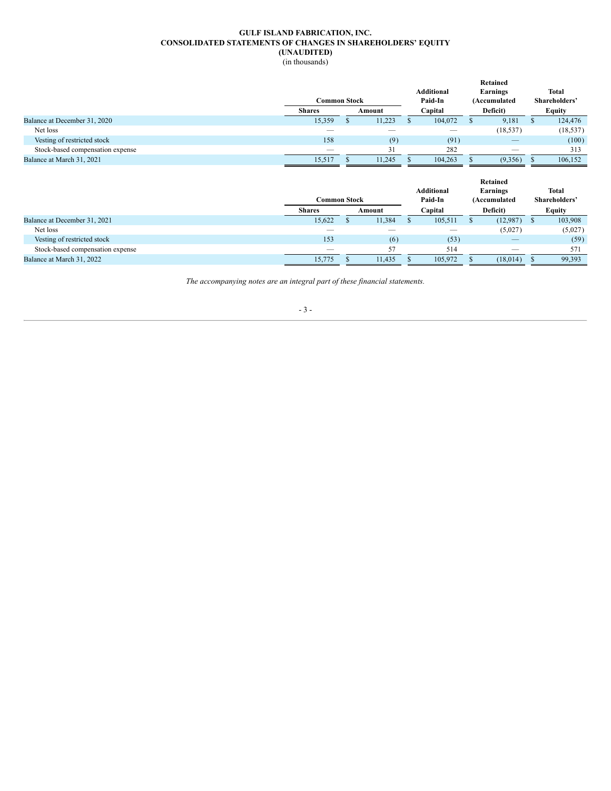# **GULF ISLAND FABRICATION, INC. CONSOLIDATED STATEMENTS OF CHANGES IN SHAREHOLDERS' EQUITY (UNAUDITED)**

(in thousands)

<span id="page-7-0"></span>

|                                  |                         |  |        |         |                   |  | <b>Retained</b> |  |               |  |
|----------------------------------|-------------------------|--|--------|---------|-------------------|--|-----------------|--|---------------|--|
|                                  |                         |  |        |         | <b>Additional</b> |  | Earnings        |  | <b>Total</b>  |  |
|                                  | Common Stock            |  |        | Paid-In |                   |  | (Accumulated    |  | Shareholders' |  |
|                                  | <b>Shares</b><br>Amount |  |        | Capital |                   |  | Deficit)        |  | Equity        |  |
| Balance at December 31, 2020     | 15,359                  |  | 11,223 |         | 104,072           |  | 9,181           |  | 124,476       |  |
| Net loss                         |                         |  |        |         | —                 |  | (18, 537)       |  | (18, 537)     |  |
| Vesting of restricted stock      | 158                     |  | (9)    |         | (91)              |  |                 |  | (100)         |  |
| Stock-based compensation expense |                         |  | 21     |         | 282               |  |                 |  | 313           |  |
| Balance at March 31, 2021        | 15,517                  |  | 11,245 |         | 104,263           |  | (9,356)         |  | 106,152       |  |

|                                  | Common Stock  |        |        |  | <b>Additional</b><br>Paid-In | <b>Retained</b><br>Earnings<br>(Accumulated |          |               | <b>Total</b><br>Shareholders' |
|----------------------------------|---------------|--------|--------|--|------------------------------|---------------------------------------------|----------|---------------|-------------------------------|
|                                  | <b>Shares</b> | Amount |        |  | Capital                      |                                             | Deficit) | <b>Equity</b> |                               |
| Balance at December 31, 2021     | 15,622        |        | 11,384 |  | 105,511                      |                                             | (12,987) |               | 103,908                       |
| Net loss                         |               |        |        |  |                              |                                             | (5,027)  |               | (5,027)                       |
| Vesting of restricted stock      | 153           |        | (6)    |  | (53)                         |                                             |          |               | (59)                          |
| Stock-based compensation expense |               |        | 57     |  | 514                          |                                             |          |               | 571                           |
| Balance at March 31, 2022        | 15,775        |        | 11,435 |  | 105,972                      |                                             | (18,014) |               | 99,393                        |

*The accompanying notes are an integral part of these financial statements.*

# - 3 -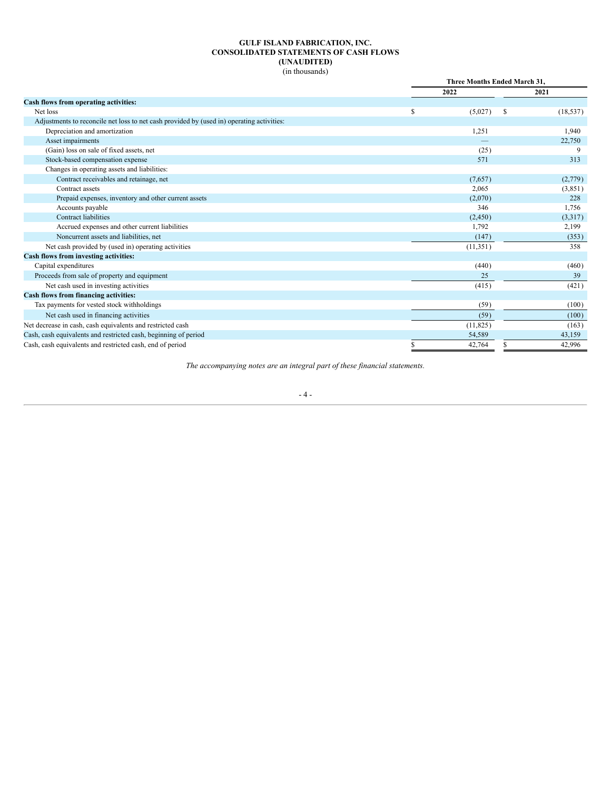## **GULF ISLAND FABRICATION, INC. CONSOLIDATED STATEMENTS OF CASH FLOWS (UNAUDITED)** (in thousands)

<span id="page-8-0"></span>

|                                                                                           |   | <b>Three Months Ended March 31.</b> |           |  |  |  |
|-------------------------------------------------------------------------------------------|---|-------------------------------------|-----------|--|--|--|
|                                                                                           |   | 2022                                | 2021      |  |  |  |
| Cash flows from operating activities:                                                     |   |                                     |           |  |  |  |
| Net loss                                                                                  | S | (5,027)<br>S                        | (18, 537) |  |  |  |
| Adjustments to reconcile net loss to net cash provided by (used in) operating activities: |   |                                     |           |  |  |  |
| Depreciation and amortization                                                             |   | 1,251                               | 1,940     |  |  |  |
| Asset impairments                                                                         |   |                                     | 22,750    |  |  |  |
| (Gain) loss on sale of fixed assets, net                                                  |   | (25)                                |           |  |  |  |
| Stock-based compensation expense                                                          |   | 571                                 | 313       |  |  |  |
| Changes in operating assets and liabilities:                                              |   |                                     |           |  |  |  |
| Contract receivables and retainage, net                                                   |   | (7,657)                             | (2,779)   |  |  |  |
| Contract assets                                                                           |   | 2,065                               | (3,851)   |  |  |  |
| Prepaid expenses, inventory and other current assets                                      |   | (2,070)                             | 228       |  |  |  |
| Accounts payable                                                                          |   | 346                                 | 1,756     |  |  |  |
| <b>Contract liabilities</b>                                                               |   | (2, 450)                            | (3,317)   |  |  |  |
| Accrued expenses and other current liabilities                                            |   | 1,792                               | 2,199     |  |  |  |
| Noncurrent assets and liabilities, net                                                    |   | (147)                               | (353)     |  |  |  |
| Net cash provided by (used in) operating activities                                       |   | (11, 351)                           | 358       |  |  |  |
| Cash flows from investing activities:                                                     |   |                                     |           |  |  |  |
| Capital expenditures                                                                      |   | (440)                               | (460)     |  |  |  |
| Proceeds from sale of property and equipment                                              |   | 25                                  | 39        |  |  |  |
| Net cash used in investing activities                                                     |   | (415)                               | (421)     |  |  |  |
| Cash flows from financing activities:                                                     |   |                                     |           |  |  |  |
| Tax payments for vested stock withholdings                                                |   | (59)                                | (100)     |  |  |  |
| Net cash used in financing activities                                                     |   | (59)                                | (100)     |  |  |  |
| Net decrease in cash, cash equivalents and restricted cash                                |   | (11, 825)                           | (163)     |  |  |  |
| Cash, cash equivalents and restricted cash, beginning of period                           |   | 54,589                              | 43,159    |  |  |  |
| Cash, cash equivalents and restricted cash, end of period                                 |   | 42,764                              | 42,996    |  |  |  |

*The accompanying notes are an integral part of these financial statements.*

- 4 -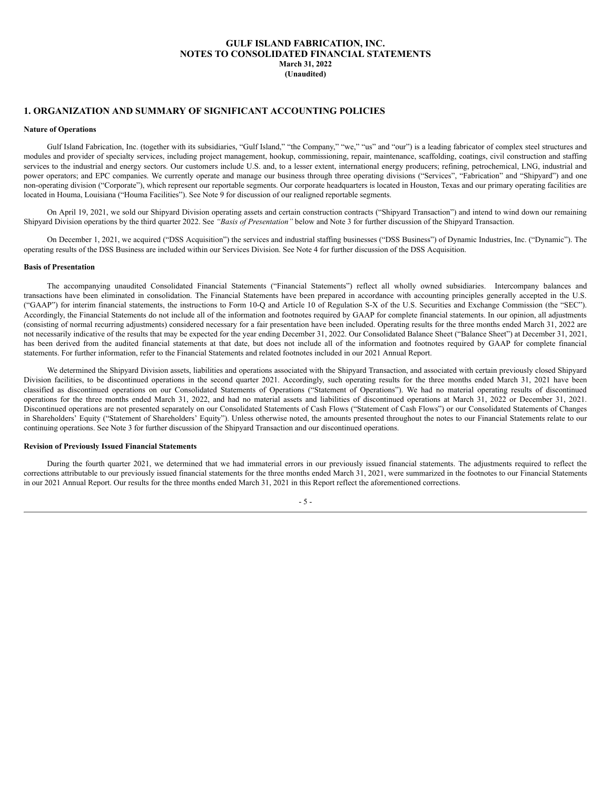# **GULF ISLAND FABRICATION, INC. NOTES TO CONSOLIDATED FINANCIAL STATEMENTS March 31, 2022 (Unaudited)**

# <span id="page-9-0"></span>**1. ORGANIZATION AND SUMMARY OF SIGNIFICANT ACCOUNTING POLICIES**

#### **Nature of Operations**

Gulf Island Fabrication, Inc. (together with its subsidiaries, "Gulf Island," "the Company," "we," "us" and "our") is a leading fabricator of complex steel structures and modules and provider of specialty services, including project management, hookup, commissioning, repair, maintenance, scaffolding, coatings, civil construction and staffing services to the industrial and energy sectors. Our customers include U.S. and, to a lesser extent, international energy producers; refining, petrochemical, LNG, industrial and power operators; and EPC companies. We currently operate and manage our business through three operating divisions ("Services", "Fabrication" and "Shipyard") and one non-operating division ("Corporate"), which represent our reportable segments. Our corporate headquarters is located in Houston, Texas and our primary operating facilities are located in Houma, Louisiana ("Houma Facilities"). See Note 9 for discussion of our realigned reportable segments.

On April 19, 2021, we sold our Shipyard Division operating assets and certain construction contracts ("Shipyard Transaction") and intend to wind down our remaining Shipyard Division operations by the third quarter 2022. See *"Basis of Presentation"* below and Note 3 for further discussion of the Shipyard Transaction.

On December 1, 2021, we acquired ("DSS Acquisition") the services and industrial staffing businesses ("DSS Business") of Dynamic Industries, Inc. ("Dynamic"). The operating results of the DSS Business are included within our Services Division. See Note 4 for further discussion of the DSS Acquisition.

## **Basis of Presentation**

The accompanying unaudited Consolidated Financial Statements ("Financial Statements") reflect all wholly owned subsidiaries. Intercompany balances and transactions have been eliminated in consolidation. The Financial Statements have been prepared in accordance with accounting principles generally accepted in the U.S. ("GAAP") for interim financial statements, the instructions to Form 10-Q and Article 10 of Regulation S-X of the U.S. Securities and Exchange Commission (the "SEC"). Accordingly, the Financial Statements do not include all of the information and footnotes required by GAAP for complete financial statements. In our opinion, all adjustments (consisting of normal recurring adjustments) considered necessary for a fair presentation have been included. Operating results for the three months ended March 31, 2022 are not necessarily indicative of the results that may be expected for the year ending December 31, 2022. Our Consolidated Balance Sheet ("Balance Sheet") at December 31, 2021, has been derived from the audited financial statements at that date, but does not include all of the information and footnotes required by GAAP for complete financial statements. For further information, refer to the Financial Statements and related footnotes included in our 2021 Annual Report.

We determined the Shipyard Division assets, liabilities and operations associated with the Shipyard Transaction, and associated with certain previously closed Shipyard Division facilities, to be discontinued operations in the second quarter 2021. Accordingly, such operating results for the three months ended March 31, 2021 have been classified as discontinued operations on our Consolidated Statements of Operations ("Statement of Operations"). We had no material operating results of discontinued operations for the three months ended March 31, 2022, and had no material assets and liabilities of discontinued operations at March 31, 2022 or December 31, 2021. Discontinued operations are not presented separately on our Consolidated Statements of Cash Flows ("Statement of Cash Flows") or our Consolidated Statements of Changes in Shareholders' Equity ("Statement of Shareholders' Equity"). Unless otherwise noted, the amounts presented throughout the notes to our Financial Statements relate to our continuing operations. See Note 3 for further discussion of the Shipyard Transaction and our discontinued operations.

## **Revision of Previously Issued Financial Statements**

During the fourth quarter 2021, we determined that we had immaterial errors in our previously issued financial statements. The adjustments required to reflect the corrections attributable to our previously issued financial statements for the three months ended March 31, 2021, were summarized in the footnotes to our Financial Statements in our 2021 Annual Report. Our results for the three months ended March 31, 2021 in this Report reflect the aforementioned corrections.

- 5 -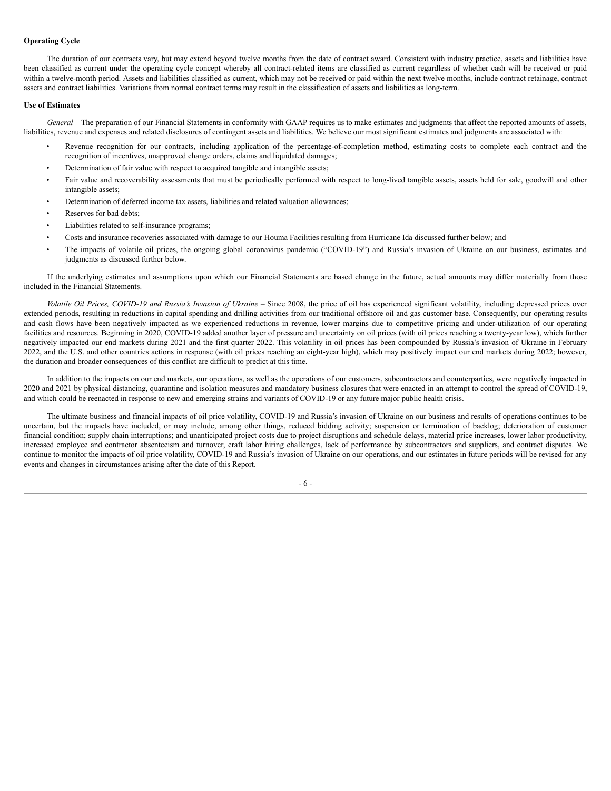# **Operating Cycle**

The duration of our contracts vary, but may extend beyond twelve months from the date of contract award. Consistent with industry practice, assets and liabilities have been classified as current under the operating cycle concept whereby all contract-related items are classified as current regardless of whether cash will be received or paid within a twelve-month period. Assets and liabilities classified as current, which may not be received or paid within the next twelve months, include contract retainage, contract assets and contract liabilities. Variations from normal contract terms may result in the classification of assets and liabilities as long-term.

## **Use of Estimates**

*General* – The preparation of our Financial Statements in conformity with GAAP requires us to make estimates and judgments that affect the reported amounts of assets, liabilities, revenue and expenses and related disclosures of contingent assets and liabilities. We believe our most significant estimates and judgments are associated with:

- Revenue recognition for our contracts, including application of the percentage-of-completion method, estimating costs to complete each contract and the recognition of incentives, unapproved change orders, claims and liquidated damages;
- Determination of fair value with respect to acquired tangible and intangible assets;
- Fair value and recoverability assessments that must be periodically performed with respect to long-lived tangible assets, assets held for sale, goodwill and other intangible assets;
- Determination of deferred income tax assets, liabilities and related valuation allowances;
- Reserves for bad debts:
- Liabilities related to self-insurance programs;
- Costs and insurance recoveries associated with damage to our Houma Facilities resulting from Hurricane Ida discussed further below; and
- The impacts of volatile oil prices, the ongoing global coronavirus pandemic ("COVID-19") and Russia's invasion of Ukraine on our business, estimates and judgments as discussed further below.

If the underlying estimates and assumptions upon which our Financial Statements are based change in the future, actual amounts may differ materially from those included in the Financial Statements.

Volatile Oil Prices, COVID-19 and Russia's Invasion of Ukraine – Since 2008, the price of oil has experienced significant volatility, including depressed prices over extended periods, resulting in reductions in capital spending and drilling activities from our traditional offshore oil and gas customer base. Consequently, our operating results and cash flows have been negatively impacted as we experienced reductions in revenue, lower margins due to competitive pricing and under-utilization of our operating facilities and resources. Beginning in 2020, COVID-19 added another layer of pressure and uncertainty on oil prices (with oil prices reaching a twenty-year low), which further negatively impacted our end markets during 2021 and the first quarter 2022. This volatility in oil prices has been compounded by Russia's invasion of Ukraine in February 2022, and the U.S. and other countries actions in response (with oil prices reaching an eight-year high), which may positively impact our end markets during 2022; however, the duration and broader consequences of this conflict are difficult to predict at this time.

In addition to the impacts on our end markets, our operations, as well as the operations of our customers, subcontractors and counterparties, were negatively impacted in 2020 and 2021 by physical distancing, quarantine and isolation measures and mandatory business closures that were enacted in an attempt to control the spread of COVID-19, and which could be reenacted in response to new and emerging strains and variants of COVID-19 or any future major public health crisis.

The ultimate business and financial impacts of oil price volatility, COVID-19 and Russia's invasion of Ukraine on our business and results of operations continues to be uncertain, but the impacts have included, or may include, among other things, reduced bidding activity; suspension or termination of backlog; deterioration of customer financial condition; supply chain interruptions; and unanticipated project costs due to project disruptions and schedule delays, material price increases, lower labor productivity, increased employee and contractor absenteeism and turnover, craft labor hiring challenges, lack of performance by subcontractors and suppliers, and contract disputes. We continue to monitor the impacts of oil price volatility, COVID-19 and Russia's invasion of Ukraine on our operations, and our estimates in future periods will be revised for any events and changes in circumstances arising after the date of this Report.

- 6 -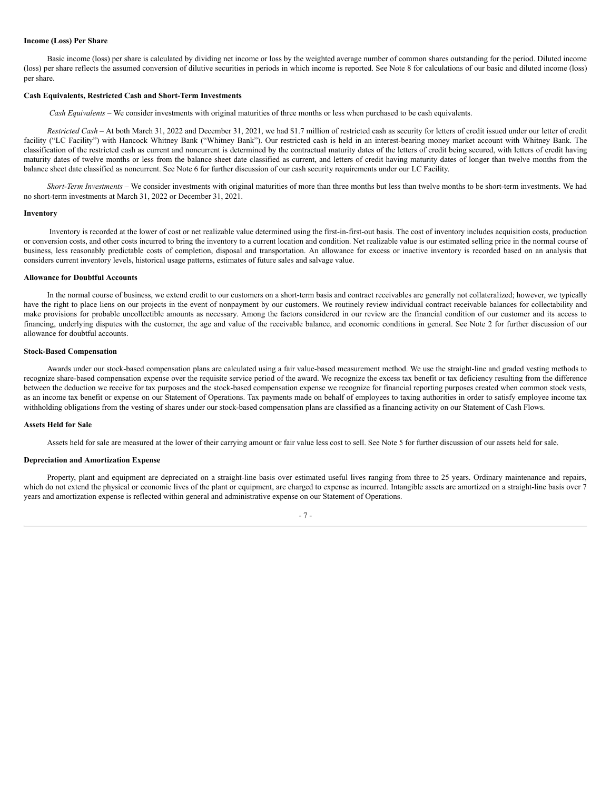#### **Income (Loss) Per Share**

Basic income (loss) per share is calculated by dividing net income or loss by the weighted average number of common shares outstanding for the period. Diluted income (loss) per share reflects the assumed conversion of dilutive securities in periods in which income is reported. See Note 8 for calculations of our basic and diluted income (loss) per share.

## **Cash Equivalents, Restricted Cash and Short-Term Investments**

*Cash Equivalents –* We consider investments with original maturities of three months or less when purchased to be cash equivalents.

*Restricted Cash –* At both March 31, 2022 and December 31, 2021, we had \$1.7 million of restricted cash as security for letters of credit issued under our letter of credit facility ("LC Facility") with Hancock Whitney Bank ("Whitney Bank"). Our restricted cash is held in an interest-bearing money market account with Whitney Bank. The classification of the restricted cash as current and noncurrent is determined by the contractual maturity dates of the letters of credit being secured, with letters of credit having maturity dates of twelve months or less from the balance sheet date classified as current, and letters of credit having maturity dates of longer than twelve months from the balance sheet date classified as noncurrent. See Note 6 for further discussion of our cash security requirements under our LC Facility.

*Short-Term Investments –* We consider investments with original maturities of more than three months but less than twelve months to be short-term investments. We had no short-term investments at March 31, 2022 or December 31, 2021.

### **Inventory**

Inventory is recorded at the lower of cost or net realizable value determined using the first-in-first-out basis. The cost of inventory includes acquisition costs, production or conversion costs, and other costs incurred to bring the inventory to a current location and condition. Net realizable value is our estimated selling price in the normal course of business, less reasonably predictable costs of completion, disposal and transportation. An allowance for excess or inactive inventory is recorded based on an analysis that considers current inventory levels, historical usage patterns, estimates of future sales and salvage value.

#### **Allowance for Doubtful Accounts**

In the normal course of business, we extend credit to our customers on a short-term basis and contract receivables are generally not collateralized; however, we typically have the right to place liens on our projects in the event of nonpayment by our customers. We routinely review individual contract receivable balances for collectability and make provisions for probable uncollectible amounts as necessary. Among the factors considered in our review are the financial condition of our customer and its access to financing, underlying disputes with the customer, the age and value of the receivable balance, and economic conditions in general. See Note 2 for further discussion of our allowance for doubtful accounts.

# **Stock-Based Compensation**

Awards under our stock-based compensation plans are calculated using a fair value-based measurement method. We use the straight-line and graded vesting methods to recognize share-based compensation expense over the requisite service period of the award. We recognize the excess tax benefit or tax deficiency resulting from the difference between the deduction we receive for tax purposes and the stock-based compensation expense we recognize for financial reporting purposes created when common stock vests, as an income tax benefit or expense on our Statement of Operations. Tax payments made on behalf of employees to taxing authorities in order to satisfy employee income tax withholding obligations from the vesting of shares under our stock-based compensation plans are classified as a financing activity on our Statement of Cash Flows.

### **Assets Held for Sale**

Assets held for sale are measured at the lower of their carrying amount or fair value less cost to sell. See Note 5 for further discussion of our assets held for sale.

## **Depreciation and Amortization Expense**

Property, plant and equipment are depreciated on a straight-line basis over estimated useful lives ranging from three to 25 years. Ordinary maintenance and repairs, which do not extend the physical or economic lives of the plant or equipment, are charged to expense as incurred. Intangible assets are amortized on a straight-line basis over 7 years and amortization expense is reflected within general and administrative expense on our Statement of Operations.

## - 7 -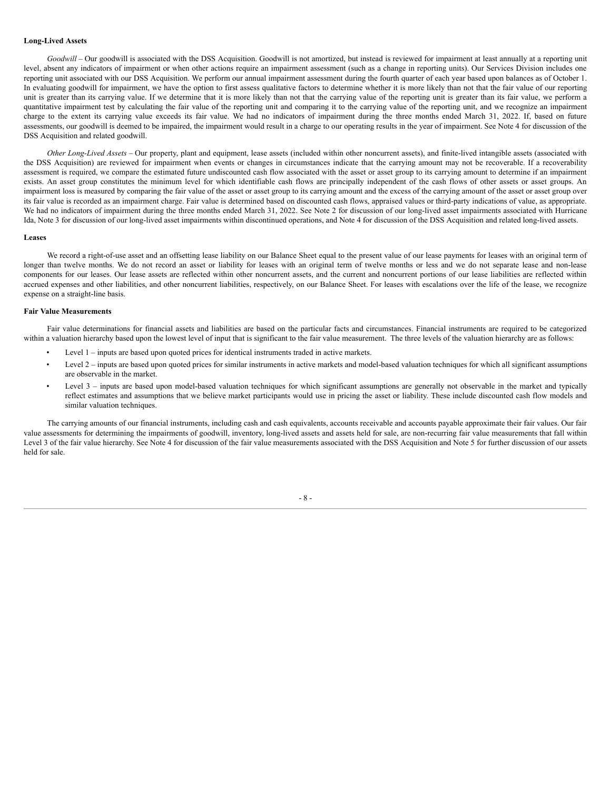#### **Long-Lived Assets**

*Goodwill* – Our goodwill is associated with the DSS Acquisition. Goodwill is not amortized, but instead is reviewed for impairment at least annually at a reporting unit level, absent any indicators of impairment or when other actions require an impairment assessment (such as a change in reporting units). Our Services Division includes one reporting unit associated with our DSS Acquisition. We perform our annual impairment assessment during the fourth quarter of each year based upon balances as of October 1. In evaluating goodwill for impairment, we have the option to first assess qualitative factors to determine whether it is more likely than not that the fair value of our reporting unit is greater than its carrying value. If we determine that it is more likely than not that the carrying value of the reporting unit is greater than its fair value, we perform a quantitative impairment test by calculating the fair value of the reporting unit and comparing it to the carrying value of the reporting unit, and we recognize an impairment charge to the extent its carrying value exceeds its fair value. We had no indicators of impairment during the three months ended March 31, 2022. If, based on future assessments, our goodwill is deemed to be impaired, the impairment would result in a charge to our operating results in the year of impairment. See Note 4 for discussion of the DSS Acquisition and related goodwill.

*Other Long-Lived Assets* – Our property, plant and equipment, lease assets (included within other noncurrent assets), and finite-lived intangible assets (associated with the DSS Acquisition) are reviewed for impairment when events or changes in circumstances indicate that the carrying amount may not be recoverable. If a recoverability assessment is required, we compare the estimated future undiscounted cash flow associated with the asset or asset group to its carrying amount to determine if an impairment exists. An asset group constitutes the minimum level for which identifiable cash flows are principally independent of the cash flows of other assets or asset groups. An impairment loss is measured by comparing the fair value of the asset or asset group to its carrying amount and the excess of the carrying amount of the asset or asset group over its fair value is recorded as an impairment charge. Fair value is determined based on discounted cash flows, appraised values or third-party indications of value, as appropriate. We had no indicators of impairment during the three months ended March 31, 2022. See Note 2 for discussion of our long-lived asset impairments associated with Hurricane Ida, Note 3 for discussion of our long-lived asset impairments within discontinued operations, and Note 4 for discussion of the DSS Acquisition and related long-lived assets.

#### **Leases**

We record a right-of-use asset and an offsetting lease liability on our Balance Sheet equal to the present value of our lease payments for leases with an original term of longer than twelve months. We do not record an asset or liability for leases with an original term of twelve months or less and we do not separate lease and non-lease components for our leases. Our lease assets are reflected within other noncurrent assets, and the current and noncurrent portions of our lease liabilities are reflected within accrued expenses and other liabilities, and other noncurrent liabilities, respectively, on our Balance Sheet. For leases with escalations over the life of the lease, we recognize expense on a straight-line basis.

## **Fair Value Measurements**

Fair value determinations for financial assets and liabilities are based on the particular facts and circumstances. Financial instruments are required to be categorized within a valuation hierarchy based upon the lowest level of input that is significant to the fair value measurement. The three levels of the valuation hierarchy are as follows:

- Level 1 inputs are based upon quoted prices for identical instruments traded in active markets.
- Level 2 inputs are based upon quoted prices for similar instruments in active markets and model-based valuation techniques for which all significant assumptions are observable in the market.
- Level 3 inputs are based upon model-based valuation techniques for which significant assumptions are generally not observable in the market and typically reflect estimates and assumptions that we believe market participants would use in pricing the asset or liability. These include discounted cash flow models and similar valuation techniques.

The carrying amounts of our financial instruments, including cash and cash equivalents, accounts receivable and accounts payable approximate their fair values. Our fair value assessments for determining the impairments of goodwill, inventory, long-lived assets and assets held for sale, are non-recurring fair value measurements that fall within Level 3 of the fair value hierarchy. See Note 4 for discussion of the fair value measurements associated with the DSS Acquisition and Note 5 for further discussion of our assets held for sale.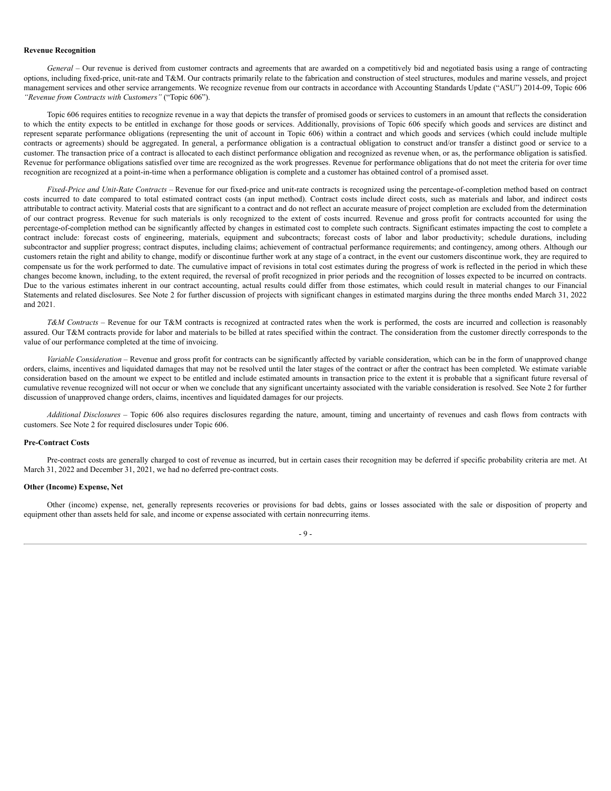#### **Revenue Recognition**

*General* – Our revenue is derived from customer contracts and agreements that are awarded on a competitively bid and negotiated basis using a range of contracting options, including fixed-price, unit-rate and T&M. Our contracts primarily relate to the fabrication and construction of steel structures, modules and marine vessels, and project management services and other service arrangements. We recognize revenue from our contracts in accordance with Accounting Standards Update ("ASU") 2014-09, Topic 606 *"Revenue from Contracts with Customers"* ("Topic 606").

Topic 606 requires entities to recognize revenue in a way that depicts the transfer of promised goods or services to customers in an amount that reflects the consideration to which the entity expects to be entitled in exchange for those goods or services. Additionally, provisions of Topic 606 specify which goods and services are distinct and represent separate performance obligations (representing the unit of account in Topic 606) within a contract and which goods and services (which could include multiple contracts or agreements) should be aggregated. In general, a performance obligation is a contractual obligation to construct and/or transfer a distinct good or service to a customer. The transaction price of a contract is allocated to each distinct performance obligation and recognized as revenue when, or as, the performance obligation is satisfied. Revenue for performance obligations satisfied over time are recognized as the work progresses. Revenue for performance obligations that do not meet the criteria for over time recognition are recognized at a point-in-time when a performance obligation is complete and a customer has obtained control of a promised asset.

*Fixed-Price and Unit-Rate Contracts* – Revenue for our fixed-price and unit-rate contracts is recognized using the percentage-of-completion method based on contract costs incurred to date compared to total estimated contract costs (an input method). Contract costs include direct costs, such as materials and labor, and indirect costs attributable to contract activity. Material costs that are significant to a contract and do not reflect an accurate measure of project completion are excluded from the determination of our contract progress. Revenue for such materials is only recognized to the extent of costs incurred. Revenue and gross profit for contracts accounted for using the percentage-of-completion method can be significantly affected by changes in estimated cost to complete such contracts. Significant estimates impacting the cost to complete a contract include: forecast costs of engineering, materials, equipment and subcontracts; forecast costs of labor and labor productivity; schedule durations, including subcontractor and supplier progress; contract disputes, including claims; achievement of contractual performance requirements; and contingency, among others. Although our customers retain the right and ability to change, modify or discontinue further work at any stage of a contract, in the event our customers discontinue work, they are required to compensate us for the work performed to date. The cumulative impact of revisions in total cost estimates during the progress of work is reflected in the period in which these changes become known, including, to the extent required, the reversal of profit recognized in prior periods and the recognition of losses expected to be incurred on contracts. Due to the various estimates inherent in our contract accounting, actual results could differ from those estimates, which could result in material changes to our Financial Statements and related disclosures. See Note 2 for further discussion of projects with significant changes in estimated margins during the three months ended March 31, 2022 and 2021.

*T&M Contracts –* Revenue for our T&M contracts is recognized at contracted rates when the work is performed, the costs are incurred and collection is reasonably assured. Our T&M contracts provide for labor and materials to be billed at rates specified within the contract. The consideration from the customer directly corresponds to the value of our performance completed at the time of invoicing.

*Variable Consideration –* Revenue and gross profit for contracts can be significantly affected by variable consideration, which can be in the form of unapproved change orders, claims, incentives and liquidated damages that may not be resolved until the later stages of the contract or after the contract has been completed. We estimate variable consideration based on the amount we expect to be entitled and include estimated amounts in transaction price to the extent it is probable that a significant future reversal of cumulative revenue recognized will not occur or when we conclude that any significant uncertainty associated with the variable consideration is resolved. See Note 2 for further discussion of unapproved change orders, claims, incentives and liquidated damages for our projects.

*Additional Disclosures –* Topic 606 also requires disclosures regarding the nature, amount, timing and uncertainty of revenues and cash flows from contracts with customers. See Note 2 for required disclosures under Topic 606.

#### **Pre-Contract Costs**

Pre-contract costs are generally charged to cost of revenue as incurred, but in certain cases their recognition may be deferred if specific probability criteria are met. At March 31, 2022 and December 31, 2021, we had no deferred pre-contract costs.

## **Other (Income) Expense, Net**

Other (income) expense, net, generally represents recoveries or provisions for bad debts, gains or losses associated with the sale or disposition of property and equipment other than assets held for sale, and income or expense associated with certain nonrecurring items.

 $-9 -$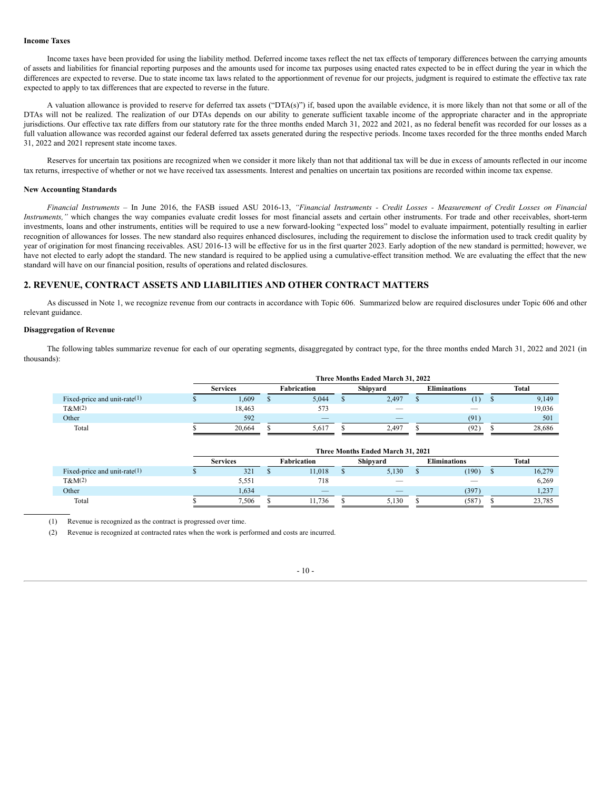#### **Income Taxes**

Income taxes have been provided for using the liability method. Deferred income taxes reflect the net tax effects of temporary differences between the carrying amounts of assets and liabilities for financial reporting purposes and the amounts used for income tax purposes using enacted rates expected to be in effect during the year in which the differences are expected to reverse. Due to state income tax laws related to the apportionment of revenue for our projects, judgment is required to estimate the effective tax rate expected to apply to tax differences that are expected to reverse in the future.

A valuation allowance is provided to reserve for deferred tax assets ("DTA(s)") if, based upon the available evidence, it is more likely than not that some or all of the DTAs will not be realized. The realization of our DTAs depends on our ability to generate sufficient taxable income of the appropriate character and in the appropriate jurisdictions. Our effective tax rate differs from our statutory rate for the three months ended March 31, 2022 and 2021, as no federal benefit was recorded for our losses as a full valuation allowance was recorded against our federal deferred tax assets generated during the respective periods. Income taxes recorded for the three months ended March 31, 2022 and 2021 represent state income taxes.

Reserves for uncertain tax positions are recognized when we consider it more likely than not that additional tax will be due in excess of amounts reflected in our income tax returns, irrespective of whether or not we have received tax assessments. Interest and penalties on uncertain tax positions are recorded within income tax expense.

#### **New Accounting Standards**

Financial Instruments - In June 2016, the FASB issued ASU 2016-13, "Financial Instruments - Credit Losses - Measurement of Credit Losses on Financial *Instruments,"* which changes the way companies evaluate credit losses for most financial assets and certain other instruments. For trade and other receivables, short-term investments, loans and other instruments, entities will be required to use a new forward-looking "expected loss" model to evaluate impairment, potentially resulting in earlier recognition of allowances for losses. The new standard also requires enhanced disclosures, including the requirement to disclose the information used to track credit quality by year of origination for most financing receivables. ASU 2016-13 will be effective for us in the first quarter 2023. Early adoption of the new standard is permitted; however, we have not elected to early adopt the standard. The new standard is required to be applied using a cumulative-effect transition method. We are evaluating the effect that the new standard will have on our financial position, results of operations and related disclosures.

# **2. REVENUE, CONTRACT ASSETS AND LIABILITIES AND OTHER CONTRACT MATTERS**

As discussed in Note 1, we recognize revenue from our contracts in accordance with Topic 606. Summarized below are required disclosures under Topic 606 and other relevant guidance.

## **Disaggregation of Revenue**

The following tables summarize revenue for each of our operating segments, disaggregated by contract type, for the three months ended March 31, 2022 and 2021 (in thousands):

|                                 | Three Months Ended March 31, 2022 |                                |       |  |       |  |                     |  |        |  |  |
|---------------------------------|-----------------------------------|--------------------------------|-------|--|-------|--|---------------------|--|--------|--|--|
|                                 | <b>Services</b>                   | Shipyard<br><b>Fabrication</b> |       |  |       |  | <b>Eliminations</b> |  | Total  |  |  |
| Fixed-price and unit-rate $(1)$ | 1,609                             |                                | 5,044 |  | 2,497 |  | $\mathbf{I}$        |  | 9,149  |  |  |
| $T\&M(2)$                       | 18,463                            |                                | 573   |  |       |  |                     |  | 19,036 |  |  |
| Other                           | 592                               |                                |       |  |       |  | (91)                |  | 501    |  |  |
| Total                           | 20.664                            |                                | 5.617 |  | 2.497 |  | (92)                |  | 28,686 |  |  |
|                                 |                                   |                                |       |  |       |  |                     |  |        |  |  |

|                                 |                 | Three Months Ended March 31, 2021 |                    |        |          |       |                     |       |       |        |  |  |  |  |
|---------------------------------|-----------------|-----------------------------------|--------------------|--------|----------|-------|---------------------|-------|-------|--------|--|--|--|--|
|                                 | <b>Services</b> |                                   | <b>Fabrication</b> |        | Shipvard |       | <b>Eliminations</b> |       | Total |        |  |  |  |  |
| Fixed-price and unit-rate $(1)$ |                 | 321                               |                    | 11.018 |          | 5.130 |                     | (190) |       | 16,279 |  |  |  |  |
| $T\&M(2)$                       |                 | 5,551                             |                    | 718    |          | __    |                     |       |       | 6,269  |  |  |  |  |
| Other                           |                 | 1.634                             |                    |        |          |       |                     | (397) |       | 1,237  |  |  |  |  |
| Total                           |                 | 7,506                             |                    | 11.736 |          | 5.130 |                     | (587) |       | 23,785 |  |  |  |  |

(1) Revenue is recognized as the contract is progressed over time.

(2) Revenue is recognized at contracted rates when the work is performed and costs are incurred.

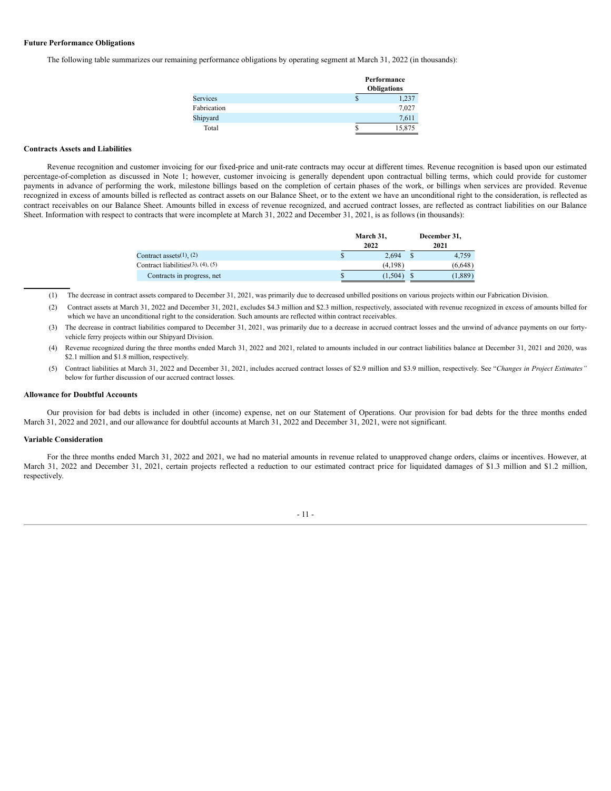# **Future Performance Obligations**

The following table summarizes our remaining performance obligations by operating segment at March 31, 2022 (in thousands):

|                 |   | Performance<br><b>Obligations</b> |
|-----------------|---|-----------------------------------|
| <b>Services</b> | S | 1,237                             |
| Fabrication     |   | 7,027                             |
| Shipyard        |   | 7,611                             |
| Total           |   | 15,875                            |

#### **Contracts Assets and Liabilities**

Revenue recognition and customer invoicing for our fixed-price and unit-rate contracts may occur at different times. Revenue recognition is based upon our estimated percentage-of-completion as discussed in Note 1; however, customer invoicing is generally dependent upon contractual billing terms, which could provide for customer payments in advance of performing the work, milestone billings based on the completion of certain phases of the work, or billings when services are provided. Revenue recognized in excess of amounts billed is reflected as contract assets on our Balance Sheet, or to the extent we have an unconditional right to the consideration, is reflected as contract receivables on our Balance Sheet. Amounts billed in excess of revenue recognized, and accrued contract losses, are reflected as contract liabilities on our Balance Sheet. Information with respect to contracts that were incomplete at March 31, 2022 and December 31, 2021, is as follows (in thousands):

|                                            |    | March 31,<br>2022 |   | December 31,<br>2021 |
|--------------------------------------------|----|-------------------|---|----------------------|
| Contract assets $(1)$ , $(2)$              |    | 2.694             | S | 4,759                |
| Contract liabilities $(3)$ , $(4)$ , $(5)$ |    | (4,198)           |   | (6.648)              |
| Contracts in progress, net                 | ۰D | (1,504)           |   | 1,889                |

(1) The decrease in contract assets compared to December 31, 2021, was primarily due to decreased unbilled positions on various projects within our Fabrication Division.

- (2) Contract assets at March 31, 2022 and December 31, 2021, excludes \$4.3 million and \$2.3 million, respectively, associated with revenue recognized in excess of amounts billed for which we have an unconditional right to the consideration. Such amounts are reflected within contract receivables.
- (3) The decrease in contract liabilities compared to December 31, 2021, was primarily due to a decrease in accrued contract losses and the unwind of advance payments on our fortyvehicle ferry projects within our Shipyard Division.
- (4) Revenue recognized during the three months ended March 31, 2022 and 2021, related to amounts included in our contract liabilities balance at December 31, 2021 and 2020, was \$2.1 million and \$1.8 million, respectively.
- (5) Contract liabilities at March 31, 2022 and December 31, 2021, includes accrued contract losses of \$2.9 million and \$3.9 million, respectively. See "*Changes in Project Estimates"* below for further discussion of our accrued contract losses.

#### **Allowance for Doubtful Accounts**

Our provision for bad debts is included in other (income) expense, net on our Statement of Operations. Our provision for bad debts for the three months ended March 31, 2022 and 2021, and our allowance for doubtful accounts at March 31, 2022 and December 31, 2021, were not significant.

#### **Variable Consideration**

For the three months ended March 31, 2022 and 2021, we had no material amounts in revenue related to unapproved change orders, claims or incentives. However, at March 31, 2022 and December 31, 2021, certain projects reflected a reduction to our estimated contract price for liquidated damages of \$1.3 million and \$1.2 million, respectively.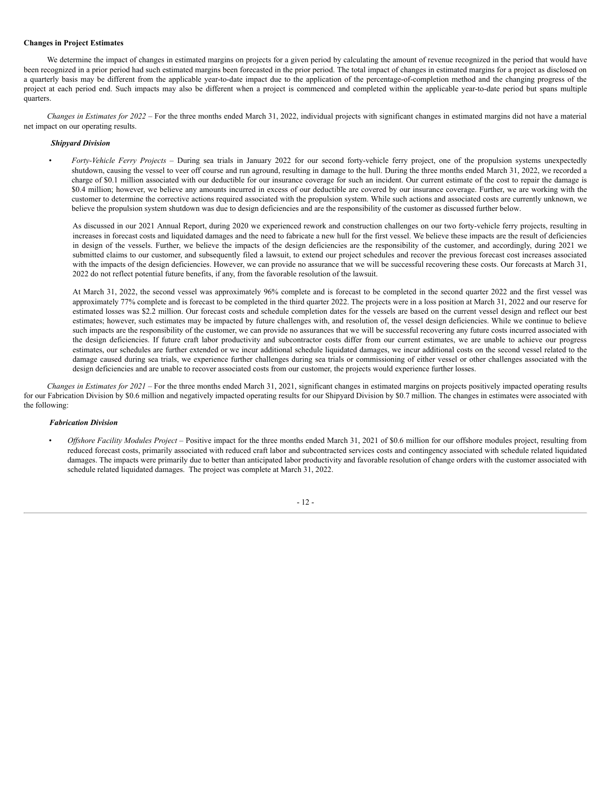# **Changes in Project Estimates**

We determine the impact of changes in estimated margins on projects for a given period by calculating the amount of revenue recognized in the period that would have been recognized in a prior period had such estimated margins been forecasted in the prior period. The total impact of changes in estimated margins for a project as disclosed on a quarterly basis may be different from the applicable year-to-date impact due to the application of the percentage-of-completion method and the changing progress of the project at each period end. Such impacts may also be different when a project is commenced and completed within the applicable year-to-date period but spans multiple quarters.

*Changes in Estimates for 2022* – For the three months ended March 31, 2022, individual projects with significant changes in estimated margins did not have a material net impact on our operating results.

# *Shipyard Division*

• *Forty-Vehicle Ferry Projects* – During sea trials in January 2022 for our second forty-vehicle ferry project, one of the propulsion systems unexpectedly shutdown, causing the vessel to veer off course and run aground, resulting in damage to the hull. During the three months ended March 31, 2022, we recorded a charge of \$0.1 million associated with our deductible for our insurance coverage for such an incident. Our current estimate of the cost to repair the damage is \$0.4 million; however, we believe any amounts incurred in excess of our deductible are covered by our insurance coverage. Further, we are working with the customer to determine the corrective actions required associated with the propulsion system. While such actions and associated costs are currently unknown, we believe the propulsion system shutdown was due to design deficiencies and are the responsibility of the customer as discussed further below.

As discussed in our 2021 Annual Report, during 2020 we experienced rework and construction challenges on our two forty-vehicle ferry projects, resulting in increases in forecast costs and liquidated damages and the need to fabricate a new hull for the first vessel. We believe these impacts are the result of deficiencies in design of the vessels. Further, we believe the impacts of the design deficiencies are the responsibility of the customer, and accordingly, during 2021 we submitted claims to our customer, and subsequently filed a lawsuit, to extend our project schedules and recover the previous forecast cost increases associated with the impacts of the design deficiencies. However, we can provide no assurance that we will be successful recovering these costs. Our forecasts at March 31, 2022 do not reflect potential future benefits, if any, from the favorable resolution of the lawsuit.

At March 31, 2022, the second vessel was approximately 96% complete and is forecast to be completed in the second quarter 2022 and the first vessel was approximately 77% complete and is forecast to be completed in the third quarter 2022. The projects were in a loss position at March 31, 2022 and our reserve for estimated losses was \$2.2 million. Our forecast costs and schedule completion dates for the vessels are based on the current vessel design and reflect our best estimates; however, such estimates may be impacted by future challenges with, and resolution of, the vessel design deficiencies. While we continue to believe such impacts are the responsibility of the customer, we can provide no assurances that we will be successful recovering any future costs incurred associated with the design deficiencies. If future craft labor productivity and subcontractor costs differ from our current estimates, we are unable to achieve our progress estimates, our schedules are further extended or we incur additional schedule liquidated damages, we incur additional costs on the second vessel related to the damage caused during sea trials, we experience further challenges during sea trials or commissioning of either vessel or other challenges associated with the design deficiencies and are unable to recover associated costs from our customer, the projects would experience further losses.

*Changes in Estimates for 2021* – For the three months ended March 31, 2021, significant changes in estimated margins on projects positively impacted operating results for our Fabrication Division by \$0.6 million and negatively impacted operating results for our Shipyard Division by \$0.7 million. The changes in estimates were associated with the following:

# *Fabrication Division*

• *Of shore Facility Modules Project* – Positive impact for the three months ended March 31, 2021 of \$0.6 million for our offshore modules project, resulting from reduced forecast costs, primarily associated with reduced craft labor and subcontracted services costs and contingency associated with schedule related liquidated damages. The impacts were primarily due to better than anticipated labor productivity and favorable resolution of change orders with the customer associated with schedule related liquidated damages. The project was complete at March 31, 2022.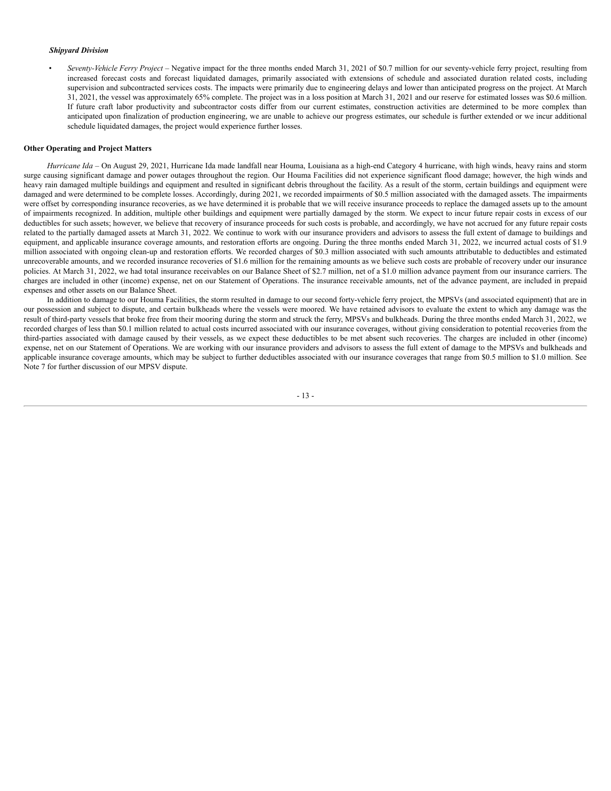## *Shipyard Division*

• *Seventy-Vehicle Ferry Project* – Negative impact for the three months ended March 31, 2021 of \$0.7 million for our seventy-vehicle ferry project, resulting from increased forecast costs and forecast liquidated damages, primarily associated with extensions of schedule and associated duration related costs, including supervision and subcontracted services costs. The impacts were primarily due to engineering delays and lower than anticipated progress on the project. At March 31, 2021, the vessel was approximately 65% complete. The project was in a loss position at March 31, 2021 and our reserve for estimated losses was \$0.6 million. If future craft labor productivity and subcontractor costs differ from our current estimates, construction activities are determined to be more complex than anticipated upon finalization of production engineering, we are unable to achieve our progress estimates, our schedule is further extended or we incur additional schedule liquidated damages, the project would experience further losses.

#### **Other Operating and Project Matters**

*Hurricane Ida* – On August 29, 2021, Hurricane Ida made landfall near Houma, Louisiana as a high-end Category 4 hurricane, with high winds, heavy rains and storm surge causing significant damage and power outages throughout the region. Our Houma Facilities did not experience significant flood damage; however, the high winds and heavy rain damaged multiple buildings and equipment and resulted in significant debris throughout the facility. As a result of the storm, certain buildings and equipment were damaged and were determined to be complete losses. Accordingly, during 2021, we recorded impairments of \$0.5 million associated with the damaged assets. The impairments were offset by corresponding insurance recoveries, as we have determined it is probable that we will receive insurance proceeds to replace the damaged assets up to the amount of impairments recognized. In addition, multiple other buildings and equipment were partially damaged by the storm. We expect to incur future repair costs in excess of our deductibles for such assets; however, we believe that recovery of insurance proceeds for such costs is probable, and accordingly, we have not accrued for any future repair costs related to the partially damaged assets at March 31, 2022. We continue to work with our insurance providers and advisors to assess the full extent of damage to buildings and equipment, and applicable insurance coverage amounts, and restoration efforts are ongoing. During the three months ended March 31, 2022, we incurred actual costs of \$1.9 million associated with ongoing clean-up and restoration efforts. We recorded charges of \$0.3 million associated with such amounts attributable to deductibles and estimated unrecoverable amounts, and we recorded insurance recoveries of \$1.6 million for the remaining amounts as we believe such costs are probable of recovery under our insurance policies. At March 31, 2022, we had total insurance receivables on our Balance Sheet of \$2.7 million, net of a \$1.0 million advance payment from our insurance carriers. The charges are included in other (income) expense, net on our Statement of Operations. The insurance receivable amounts, net of the advance payment, are included in prepaid expenses and other assets on our Balance Sheet.

In addition to damage to our Houma Facilities, the storm resulted in damage to our second forty-vehicle ferry project, the MPSVs (and associated equipment) that are in our possession and subject to dispute, and certain bulkheads where the vessels were moored. We have retained advisors to evaluate the extent to which any damage was the result of third-party vessels that broke free from their mooring during the storm and struck the ferry, MPSVs and bulkheads. During the three months ended March 31, 2022, we recorded charges of less than \$0.1 million related to actual costs incurred associated with our insurance coverages, without giving consideration to potential recoveries from the third-parties associated with damage caused by their vessels, as we expect these deductibles to be met absent such recoveries. The charges are included in other (income) expense, net on our Statement of Operations. We are working with our insurance providers and advisors to assess the full extent of damage to the MPSVs and bulkheads and applicable insurance coverage amounts, which may be subject to further deductibles associated with our insurance coverages that range from \$0.5 million to \$1.0 million. See Note 7 for further discussion of our MPSV dispute.

- 13 -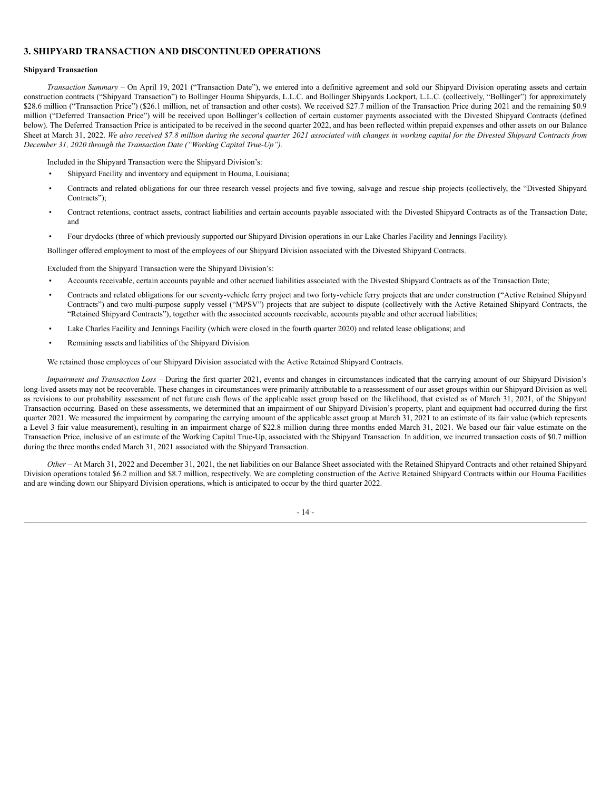# **3. SHIPYARD TRANSACTION AND DISCONTINUED OPERATIONS**

## **Shipyard Transaction**

*Transaction Summary* – On April 19, 2021 ("Transaction Date"), we entered into a definitive agreement and sold our Shipyard Division operating assets and certain construction contracts ("Shipyard Transaction") to Bollinger Houma Shipyards, L.L.C. and Bollinger Shipyards Lockport, L.L.C. (collectively, "Bollinger") for approximately \$28.6 million ("Transaction Price") (\$26.1 million, net of transaction and other costs). We received \$27.7 million of the Transaction Price during 2021 and the remaining \$0.9 million ("Deferred Transaction Price") will be received upon Bollinger's collection of certain customer payments associated with the Divested Shipyard Contracts (defined below). The Deferred Transaction Price is anticipated to be received in the second quarter 2022, and has been reflected within prepaid expenses and other assets on our Balance Sheet at March 31, 2022. We also received \$7.8 million during the second quarter 2021 associated with changes in working capital for the Divested Shipyard Contracts from *December 31, 2020 through the Transaction Date ("Working Capital True-Up").*

Included in the Shipyard Transaction were the Shipyard Division's:

- Shipyard Facility and inventory and equipment in Houma, Louisiana;
- Contracts and related obligations for our three research vessel projects and five towing, salvage and rescue ship projects (collectively, the "Divested Shipyard Contracts");
- Contract retentions, contract assets, contract liabilities and certain accounts payable associated with the Divested Shipyard Contracts as of the Transaction Date; and
- Four drydocks (three of which previously supported our Shipyard Division operations in our Lake Charles Facility and Jennings Facility).

Bollinger offered employment to most of the employees of our Shipyard Division associated with the Divested Shipyard Contracts.

Excluded from the Shipyard Transaction were the Shipyard Division's:

- Accounts receivable, certain accounts payable and other accrued liabilities associated with the Divested Shipyard Contracts as of the Transaction Date;
- Contracts and related obligations for our seventy-vehicle ferry project and two forty-vehicle ferry projects that are under construction ("Active Retained Shipyard Contracts") and two multi-purpose supply vessel ("MPSV") projects that are subject to dispute (collectively with the Active Retained Shipyard Contracts, the "Retained Shipyard Contracts"), together with the associated accounts receivable, accounts payable and other accrued liabilities;
- Lake Charles Facility and Jennings Facility (which were closed in the fourth quarter 2020) and related lease obligations; and
- Remaining assets and liabilities of the Shipyard Division.

We retained those employees of our Shipyard Division associated with the Active Retained Shipyard Contracts.

*Impairment and Transaction Loss* – During the first quarter 2021, events and changes in circumstances indicated that the carrying amount of our Shipyard Division's long-lived assets may not be recoverable. These changes in circumstances were primarily attributable to a reassessment of our asset groups within our Shipyard Division as well as revisions to our probability assessment of net future cash flows of the applicable asset group based on the likelihood, that existed as of March 31, 2021, of the Shipyard Transaction occurring. Based on these assessments, we determined that an impairment of our Shipyard Division's property, plant and equipment had occurred during the first quarter 2021. We measured the impairment by comparing the carrying amount of the applicable asset group at March 31, 2021 to an estimate of its fair value (which represents a Level 3 fair value measurement), resulting in an impairment charge of \$22.8 million during three months ended March 31, 2021. We based our fair value estimate on the Transaction Price, inclusive of an estimate of the Working Capital True-Up, associated with the Shipyard Transaction. In addition, we incurred transaction costs of \$0.7 million during the three months ended March 31, 2021 associated with the Shipyard Transaction.

*Other* – At March 31, 2022 and December 31, 2021, the net liabilities on our Balance Sheet associated with the Retained Shipyard Contracts and other retained Shipyard Division operations totaled \$6.2 million and \$8.7 million, respectively. We are completing construction of the Active Retained Shipyard Contracts within our Houma Facilities and are winding down our Shipyard Division operations, which is anticipated to occur by the third quarter 2022.

- 14 -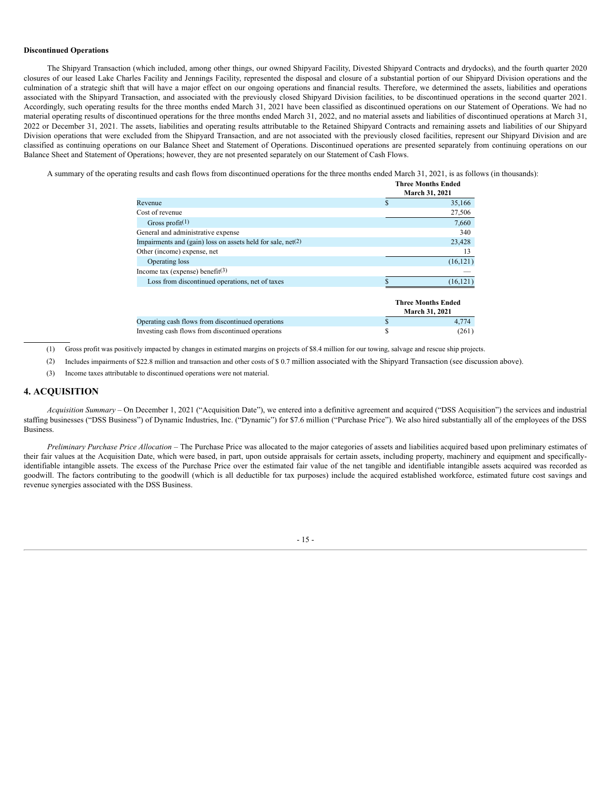## **Discontinued Operations**

The Shipyard Transaction (which included, among other things, our owned Shipyard Facility, Divested Shipyard Contracts and drydocks), and the fourth quarter 2020 closures of our leased Lake Charles Facility and Jennings Facility, represented the disposal and closure of a substantial portion of our Shipyard Division operations and the culmination of a strategic shift that will have a major effect on our ongoing operations and financial results. Therefore, we determined the assets, liabilities and operations associated with the Shipyard Transaction, and associated with the previously closed Shipyard Division facilities, to be discontinued operations in the second quarter 2021. Accordingly, such operating results for the three months ended March 31, 2021 have been classified as discontinued operations on our Statement of Operations. We had no material operating results of discontinued operations for the three months ended March 31, 2022, and no material assets and liabilities of discontinued operations at March 31, 2022 or December 31, 2021. The assets, liabilities and operating results attributable to the Retained Shipyard Contracts and remaining assets and liabilities of our Shipyard Division operations that were excluded from the Shipyard Transaction, and are not associated with the previously closed facilities, represent our Shipyard Division and are classified as continuing operations on our Balance Sheet and Statement of Operations. Discontinued operations are presented separately from continuing operations on our Balance Sheet and Statement of Operations; however, they are not presented separately on our Statement of Cash Flows.

A summary of the operating results and cash flows from discontinued operations for the three months ended March 31, 2021, is as follows (in thousands):

|                                                               |    | <b>Three Months Ended</b><br>March 31, 2021        |
|---------------------------------------------------------------|----|----------------------------------------------------|
| Revenue                                                       | S  | 35,166                                             |
| Cost of revenue                                               |    | 27,506                                             |
| Gross profit $(1)$                                            |    | 7,660                                              |
| General and administrative expense                            |    | 340                                                |
| Impairments and $(gain)$ loss on assets held for sale, net(2) |    | 23,428                                             |
| Other (income) expense, net                                   |    | 13                                                 |
| Operating loss                                                |    | (16, 121)                                          |
| Income tax (expense) benefit $(3)$                            |    |                                                    |
| Loss from discontinued operations, net of taxes               |    | (16, 121)                                          |
|                                                               |    | <b>Three Months Ended</b><br><b>March 31, 2021</b> |
| Operating cash flows from discontinued operations             | S  | 4,774                                              |
| Investing cash flows from discontinued operations             | \$ | (261)                                              |

(1) Gross profit was positively impacted by changes in estimated margins on projects of \$8.4 million for our towing, salvage and rescue ship projects.

(2) Includes impairments of \$22.8 million and transaction and other costs of \$ 0.7 million associated with the Shipyard Transaction (see discussion above).

(3) Income taxes attributable to discontinued operations were not material.

# **4. ACQUISITION**

*Acquisition Summary* – On December 1, 2021 ("Acquisition Date"), we entered into a definitive agreement and acquired ("DSS Acquisition") the services and industrial staffing businesses ("DSS Business") of Dynamic Industries, Inc. ("Dynamic") for \$7.6 million ("Purchase Price"). We also hired substantially all of the employees of the DSS Business.

*Preliminary Purchase Price Allocation* – The Purchase Price was allocated to the major categories of assets and liabilities acquired based upon preliminary estimates of their fair values at the Acquisition Date, which were based, in part, upon outside appraisals for certain assets, including property, machinery and equipment and specificallyidentifiable intangible assets. The excess of the Purchase Price over the estimated fair value of the net tangible and identifiable intangible assets acquired was recorded as goodwill. The factors contributing to the goodwill (which is all deductible for tax purposes) include the acquired established workforce, estimated future cost savings and revenue synergies associated with the DSS Business.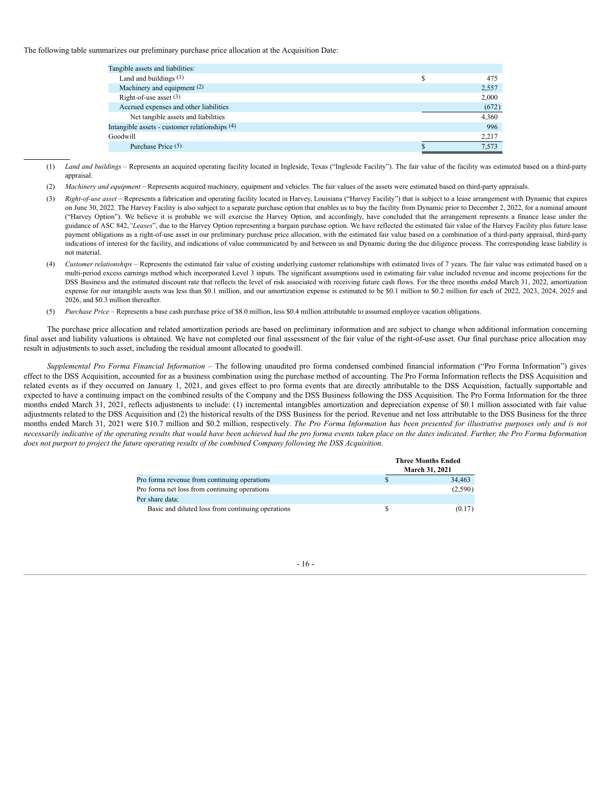The following table summarizes our preliminary purchase price allocation at the Acquisition Date:

| Tangible assets and liabilities:               |           |
|------------------------------------------------|-----------|
| Land and buildings $(1)$                       | \$<br>475 |
| Machinery and equipment (2)                    | 2,557     |
| Right-of-use asset $(3)$                       | 2,000     |
| Accrued expenses and other liabilities         | (672)     |
| Net tangible assets and liabilities            | 4,360     |
| Intangible assets - customer relationships (4) | 996       |
| Goodwill                                       | 2,217     |
| Purchase Price (5)                             | 7.573     |
|                                                |           |

(1) *Land and buildings* – Represents an acquired operating facility located in Ingleside, Texas ("Ingleside Facility"). The fair value of the facility was estimated based on a third-party appraisal.

- (2) *Machinery and equipment* Represents acquired machinery, equipment and vehicles. The fair values of the assets were estimated based on third-party appraisals.
- (3) *Right-of-use asset* Represents a fabrication and operating facility located in Harvey, Louisiana ("Harvey Facility") that is subject to a lease arrangement with Dynamic that expires on June 30, 2022. The Harvey Facility is also subject to a separate purchase option that enables us to buy the facility from Dynamic prior to December 2, 2022, for a nominal amount ("Harvey Option"). We believe it is probable we will exercise the Harvey Option, and accordingly, have concluded that the arrangement represents a finance lease under the guidance of ASC 842, "Leases", due to the Harvey Option representing a bargain purchase option. We have reflected the estimated fair value of the Harvey Facility plus future lease payment obligations as a right-of-use asset in our preliminary purchase price allocation, with the estimated fair value based on a combination of a third-party appraisal, third-party indications of interest for the facility, and indications of value communicated by and between us and Dynamic during the due diligence process. The corresponding lease liability is not material.
- (4) *Customer relationships* Represents the estimated fair value of existing underlying customer relationships with estimated lives of 7 years. The fair value was estimated based on a multi-period excess earnings method which incorporated Level 3 inputs. The significant assumptions used in estimating fair value included revenue and income projections for the DSS Business and the estimated discount rate that reflects the level of risk associated with receiving future cash flows. For the three months ended March 31, 2022, amortization expense for our intangible assets was less than \$0.1 million, and our amortization expense is estimated to be \$0.1 million to \$0.2 million for each of 2022, 2023, 2024, 2025 and 2026, and \$0.3 million thereafter.
- (5) *Purchase Price*  Represents a base cash purchase price of \$8.0 million, less \$0.4 million attributable to assumed employee vacation obligations.

The purchase price allocation and related amortization periods are based on preliminary information and are subject to change when additional information concerning final asset and liability valuations is obtained. We have not completed our final assessment of the fair value of the right-of-use asset. Our final purchase price allocation may result in adjustments to such asset, including the residual amount allocated to goodwill.

*Supplemental Pro Forma Financial Information* – The following unaudited pro forma condensed combined financial information ("Pro Forma Information") gives effect to the DSS Acquisition, accounted for as a business combination using the purchase method of accounting. The Pro Forma Information reflects the DSS Acquisition and related events as if they occurred on January 1, 2021, and gives effect to pro forma events that are directly attributable to the DSS Acquisition, factually supportable and expected to have a continuing impact on the combined results of the Company and the DSS Business following the DSS Acquisition. The Pro Forma Information for the three months ended March 31, 2021, reflects adjustments to include: (1) incremental intangibles amortization and depreciation expense of \$0.1 million associated with fair value adjustments related to the DSS Acquisition and (2) the historical results of the DSS Business for the period. Revenue and net loss attributable to the DSS Business for the three months ended March 31, 2021 were \$10.7 million and \$0.2 million, respectively. The Pro Forma Information has been presented for illustrative purposes only and is not necessarily indicative of the operating results that would have been achieved had the pro forma events taken place on the dates indicated. Further, the Pro Forma Information does not purport to project the future operating results of the combined Company following the DSS Acquisition.

|                                                   | <b>Three Months Ended</b><br>March 31, 2021 |
|---------------------------------------------------|---------------------------------------------|
| Pro forma revenue from continuing operations      | 34,463                                      |
| Pro forma net loss from continuing operations     | (2,590)                                     |
| Per share data:                                   |                                             |
| Basic and diluted loss from continuing operations | (0.17)                                      |

- 16 -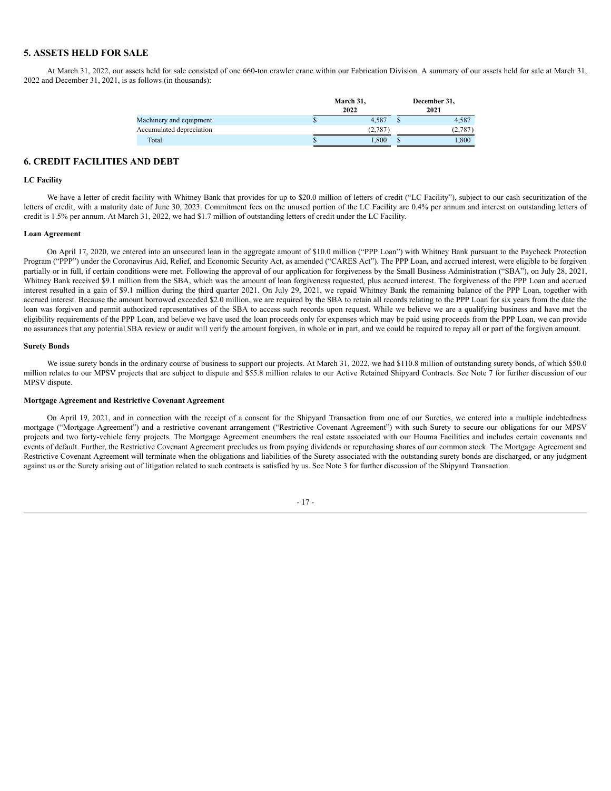# **5. ASSETS HELD FOR SALE**

At March 31, 2022, our assets held for sale consisted of one 660-ton crawler crane within our Fabrication Division. A summary of our assets held for sale at March 31, 2022 and December 31, 2021, is as follows (in thousands):

|                          | March 31,<br>2022 | December 31,<br>2021 |        |  |  |  |
|--------------------------|-------------------|----------------------|--------|--|--|--|
| Machinery and equipment  | 4.587             |                      | 4,587  |  |  |  |
| Accumulated depreciation | (2,787)           |                      | (2,787 |  |  |  |
| Total                    | 1.800             | ъ                    | .800   |  |  |  |

# **6. CREDIT FACILITIES AND DEBT**

# **LC Facility**

We have a letter of credit facility with Whitney Bank that provides for up to \$20.0 million of letters of credit ("LC Facility"), subject to our cash securitization of the letters of credit, with a maturity date of June 30, 2023. Commitment fees on the unused portion of the LC Facility are 0.4% per annum and interest on outstanding letters of credit is 1.5% per annum. At March 31, 2022, we had \$1.7 million of outstanding letters of credit under the LC Facility.

#### **Loan Agreement**

On April 17, 2020, we entered into an unsecured loan in the aggregate amount of \$10.0 million ("PPP Loan") with Whitney Bank pursuant to the Paycheck Protection Program ("PPP") under the Coronavirus Aid, Relief, and Economic Security Act, as amended ("CARES Act"). The PPP Loan, and accrued interest, were eligible to be forgiven partially or in full, if certain conditions were met. Following the approval of our application for forgiveness by the Small Business Administration ("SBA"), on July 28, 2021, Whitney Bank received \$9.1 million from the SBA, which was the amount of loan forgiveness requested, plus accrued interest. The forgiveness of the PPP Loan and accrued interest resulted in a gain of \$9.1 million during the third quarter 2021. On July 29, 2021, we repaid Whitney Bank the remaining balance of the PPP Loan, together with accrued interest. Because the amount borrowed exceeded \$2.0 million, we are required by the SBA to retain all records relating to the PPP Loan for six years from the date the loan was forgiven and permit authorized representatives of the SBA to access such records upon request. While we believe we are a qualifying business and have met the eligibility requirements of the PPP Loan, and believe we have used the loan proceeds only for expenses which may be paid using proceeds from the PPP Loan, we can provide no assurances that any potential SBA review or audit will verify the amount forgiven, in whole or in part, and we could be required to repay all or part of the forgiven amount.

#### **Surety Bonds**

We issue surety bonds in the ordinary course of business to support our projects. At March 31, 2022, we had \$110.8 million of outstanding surety bonds, of which \$50.0 million relates to our MPSV projects that are subject to dispute and \$55.8 million relates to our Active Retained Shipyard Contracts. See Note 7 for further discussion of our MPSV dispute.

#### **Mortgage Agreement and Restrictive Covenant Agreement**

On April 19, 2021, and in connection with the receipt of a consent for the Shipyard Transaction from one of our Sureties, we entered into a multiple indebtedness mortgage ("Mortgage Agreement") and a restrictive covenant arrangement ("Restrictive Covenant Agreement") with such Surety to secure our obligations for our MPSV projects and two forty-vehicle ferry projects. The Mortgage Agreement encumbers the real estate associated with our Houma Facilities and includes certain covenants and events of default. Further, the Restrictive Covenant Agreement precludes us from paying dividends or repurchasing shares of our common stock. The Mortgage Agreement and Restrictive Covenant Agreement will terminate when the obligations and liabilities of the Surety associated with the outstanding surety bonds are discharged, or any judgment against us or the Surety arising out of litigation related to such contracts is satisfied by us. See Note 3 for further discussion of the Shipyard Transaction.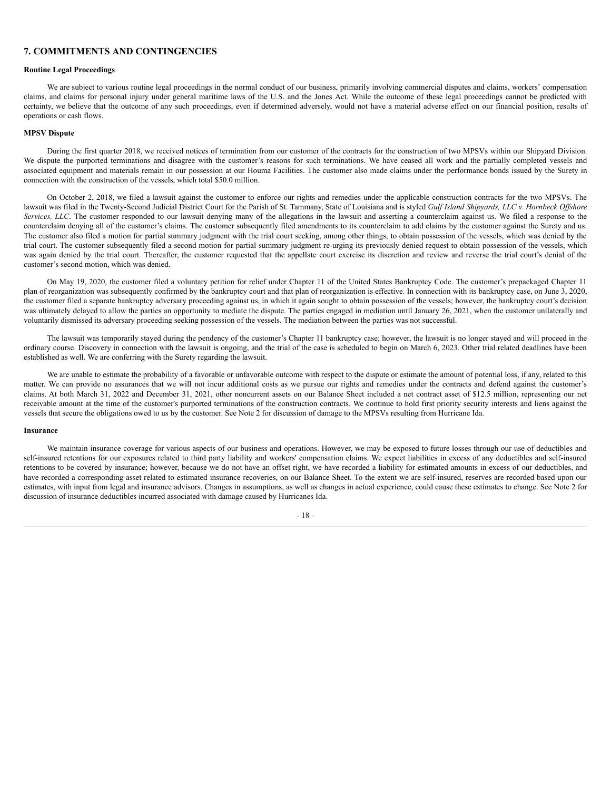# **7. COMMITMENTS AND CONTINGENCIES**

## **Routine Legal Proceedings**

We are subject to various routine legal proceedings in the normal conduct of our business, primarily involving commercial disputes and claims, workers' compensation claims, and claims for personal injury under general maritime laws of the U.S. and the Jones Act. While the outcome of these legal proceedings cannot be predicted with certainty, we believe that the outcome of any such proceedings, even if determined adversely, would not have a material adverse effect on our financial position, results of operations or cash flows.

# **MPSV Dispute**

During the first quarter 2018, we received notices of termination from our customer of the contracts for the construction of two MPSVs within our Shipyard Division. We dispute the purported terminations and disagree with the customer's reasons for such terminations. We have ceased all work and the partially completed vessels and associated equipment and materials remain in our possession at our Houma Facilities. The customer also made claims under the performance bonds issued by the Surety in connection with the construction of the vessels, which total \$50.0 million.

On October 2, 2018, we filed a lawsuit against the customer to enforce our rights and remedies under the applicable construction contracts for the two MPSVs. The lawsuit was filed in the Twenty-Second Judicial District Court for the Parish of St. Tammany, State of Louisiana and is styled Gulf Island Shipyards, LLC v. Hornbeck Offshore *Services, LLC*. The customer responded to our lawsuit denying many of the allegations in the lawsuit and asserting a counterclaim against us. We filed a response to the counterclaim denying all of the customer's claims. The customer subsequently filed amendments to its counterclaim to add claims by the customer against the Surety and us. The customer also filed a motion for partial summary judgment with the trial court seeking, among other things, to obtain possession of the vessels, which was denied by the trial court. The customer subsequently filed a second motion for partial summary judgment re-urging its previously denied request to obtain possession of the vessels, which was again denied by the trial court. Thereafter, the customer requested that the appellate court exercise its discretion and review and reverse the trial court's denial of the customer's second motion, which was denied.

On May 19, 2020, the customer filed a voluntary petition for relief under Chapter 11 of the United States Bankruptcy Code. The customer's prepackaged Chapter 11 plan of reorganization was subsequently confirmed by the bankruptcy court and that plan of reorganization is effective. In connection with its bankruptcy case, on June 3, 2020, the customer filed a separate bankruptcy adversary proceeding against us, in which it again sought to obtain possession of the vessels; however, the bankruptcy court's decision was ultimately delayed to allow the parties an opportunity to mediate the dispute. The parties engaged in mediation until January 26, 2021, when the customer unilaterally and voluntarily dismissed its adversary proceeding seeking possession of the vessels. The mediation between the parties was not successful.

The lawsuit was temporarily stayed during the pendency of the customer's Chapter 11 bankruptcy case; however, the lawsuit is no longer stayed and will proceed in the ordinary course. Discovery in connection with the lawsuit is ongoing, and the trial of the case is scheduled to begin on March 6, 2023. Other trial related deadlines have been established as well. We are conferring with the Surety regarding the lawsuit.

We are unable to estimate the probability of a favorable or unfavorable outcome with respect to the dispute or estimate the amount of potential loss, if any, related to this matter. We can provide no assurances that we will not incur additional costs as we pursue our rights and remedies under the contracts and defend against the customer's claims. At both March 31, 2022 and December 31, 2021, other noncurrent assets on our Balance Sheet included a net contract asset of \$12.5 million, representing our net receivable amount at the time of the customer's purported terminations of the construction contracts. We continue to hold first priority security interests and liens against the vessels that secure the obligations owed to us by the customer. See Note 2 for discussion of damage to the MPSVs resulting from Hurricane Ida.

## **Insurance**

We maintain insurance coverage for various aspects of our business and operations. However, we may be exposed to future losses through our use of deductibles and self-insured retentions for our exposures related to third party liability and workers' compensation claims. We expect liabilities in excess of any deductibles and self-insured retentions to be covered by insurance; however, because we do not have an offset right, we have recorded a liability for estimated amounts in excess of our deductibles, and have recorded a corresponding asset related to estimated insurance recoveries, on our Balance Sheet. To the extent we are self-insured, reserves are recorded based upon our estimates, with input from legal and insurance advisors. Changes in assumptions, as well as changes in actual experience, could cause these estimates to change. See Note 2 for discussion of insurance deductibles incurred associated with damage caused by Hurricanes Ida.

 $-18$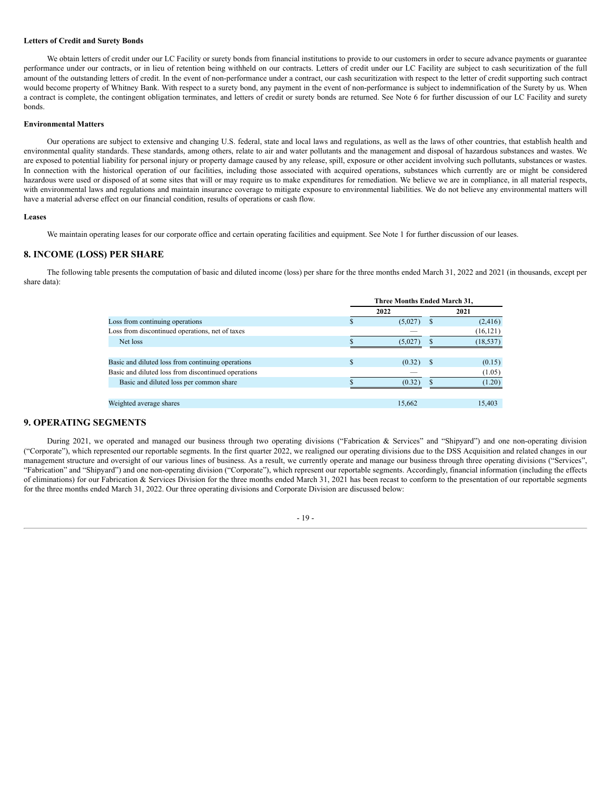#### **Letters of Credit and Surety Bonds**

We obtain letters of credit under our LC Facility or surety bonds from financial institutions to provide to our customers in order to secure advance payments or guarantee performance under our contracts, or in lieu of retention being withheld on our contracts. Letters of credit under our LC Facility are subject to cash securitization of the full amount of the outstanding letters of credit. In the event of non-performance under a contract, our cash securitization with respect to the letter of credit supporting such contract would become property of Whitney Bank. With respect to a surety bond, any payment in the event of non-performance is subject to indemnification of the Surety by us. When a contract is complete, the contingent obligation terminates, and letters of credit or surety bonds are returned. See Note 6 for further discussion of our LC Facility and surety bonds.

#### **Environmental Matters**

Our operations are subject to extensive and changing U.S. federal, state and local laws and regulations, as well as the laws of other countries, that establish health and environmental quality standards. These standards, among others, relate to air and water pollutants and the management and disposal of hazardous substances and wastes. We are exposed to potential liability for personal injury or property damage caused by any release, spill, exposure or other accident involving such pollutants, substances or wastes. In connection with the historical operation of our facilities, including those associated with acquired operations, substances which currently are or might be considered hazardous were used or disposed of at some sites that will or may require us to make expenditures for remediation. We believe we are in compliance, in all material respects, with environmental laws and regulations and maintain insurance coverage to mitigate exposure to environmental liabilities. We do not believe any environmental matters will have a material adverse effect on our financial condition, results of operations or cash flow.

#### **Leases**

We maintain operating leases for our corporate office and certain operating facilities and equipment. See Note 1 for further discussion of our leases.

# **8. INCOME (LOSS) PER SHARE**

The following table presents the computation of basic and diluted income (loss) per share for the three months ended March 31, 2022 and 2021 (in thousands, except per share data):

|                                                     | Three Months Ended March 31, |         |    |           |  |  |
|-----------------------------------------------------|------------------------------|---------|----|-----------|--|--|
|                                                     |                              | 2022    |    | 2021      |  |  |
| Loss from continuing operations                     |                              | (5,027) |    | (2, 416)  |  |  |
| Loss from discontinued operations, net of taxes     |                              |         |    | (16, 121) |  |  |
| Net loss                                            |                              | (5,027) |    | (18, 537) |  |  |
|                                                     |                              |         |    |           |  |  |
| Basic and diluted loss from continuing operations   | \$                           | (0.32)  | -8 | (0.15)    |  |  |
| Basic and diluted loss from discontinued operations |                              |         |    | (1.05)    |  |  |
| Basic and diluted loss per common share             |                              | (0.32)  |    | (1.20)    |  |  |
|                                                     |                              |         |    |           |  |  |
| Weighted average shares                             |                              | 15,662  |    | 15,403    |  |  |

# **9. OPERATING SEGMENTS**

During 2021, we operated and managed our business through two operating divisions ("Fabrication & Services" and "Shipyard") and one non-operating division ("Corporate"), which represented our reportable segments. In the first quarter 2022, we realigned our operating divisions due to the DSS Acquisition and related changes in our management structure and oversight of our various lines of business. As a result, we currently operate and manage our business through three operating divisions ("Services", "Fabrication" and "Shipyard") and one non-operating division ("Corporate"), which represent our reportable segments. Accordingly, financial information (including the effects of eliminations) for our Fabrication  $\&$  Services Division for the three months ended March 31, 2021 has been recast to conform to the presentation of our reportable segments for the three months ended March 31, 2022. Our three operating divisions and Corporate Division are discussed below:

# - 19 -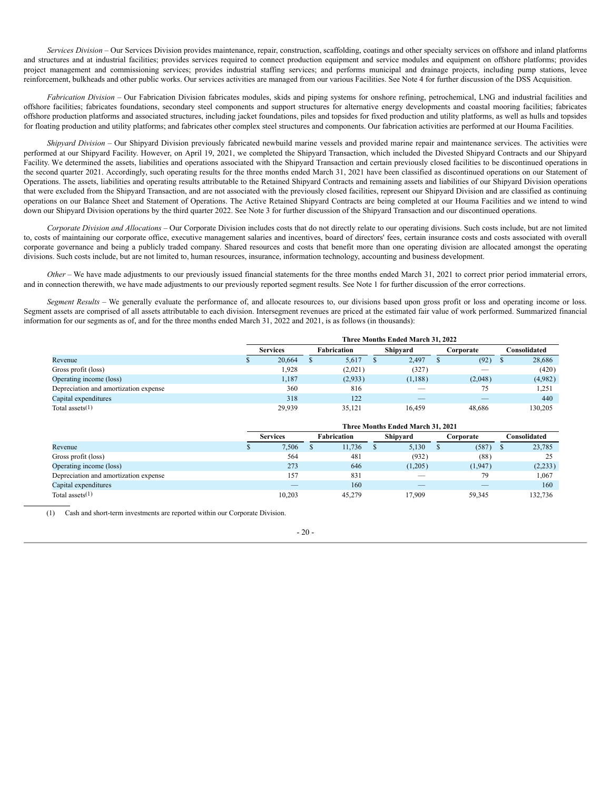*Services Division* – Our Services Division provides maintenance, repair, construction, scaffolding, coatings and other specialty services on offshore and inland platforms and structures and at industrial facilities; provides services required to connect production equipment and service modules and equipment on offshore platforms; provides project management and commissioning services; provides industrial staffing services; and performs municipal and drainage projects, including pump stations, levee reinforcement, bulkheads and other public works. Our services activities are managed from our various Facilities. See Note 4 for further discussion of the DSS Acquisition.

*Fabrication Division* – Our Fabrication Division fabricates modules, skids and piping systems for onshore refining, petrochemical, LNG and industrial facilities and offshore facilities; fabricates foundations, secondary steel components and support structures for alternative energy developments and coastal mooring facilities; fabricates offshore production platforms and associated structures, including jacket foundations, piles and topsides for fixed production and utility platforms, as well as hulls and topsides for floating production and utility platforms; and fabricates other complex steel structures and components. Our fabrication activities are performed at our Houma Facilities.

*Shipyard Division* – Our Shipyard Division previously fabricated newbuild marine vessels and provided marine repair and maintenance services. The activities were performed at our Shipyard Facility. However, on April 19, 2021, we completed the Shipyard Transaction, which included the Divested Shipyard Contracts and our Shipyard Facility. We determined the assets, liabilities and operations associated with the Shipyard Transaction and certain previously closed facilities to be discontinued operations in the second quarter 2021. Accordingly, such operating results for the three months ended March 31, 2021 have been classified as discontinued operations on our Statement of Operations. The assets, liabilities and operating results attributable to the Retained Shipyard Contracts and remaining assets and liabilities of our Shipyard Division operations that were excluded from the Shipyard Transaction, and are not associated with the previously closed facilities, represent our Shipyard Division and are classified as continuing operations on our Balance Sheet and Statement of Operations. The Active Retained Shipyard Contracts are being completed at our Houma Facilities and we intend to wind down our Shipyard Division operations by the third quarter 2022. See Note 3 for further discussion of the Shipyard Transaction and our discontinued operations.

*Corporate Division and Allocations* – Our Corporate Division includes costs that do not directly relate to our operating divisions. Such costs include, but are not limited to, costs of maintaining our corporate office, executive management salaries and incentives, board of directors' fees, certain insurance costs and costs associated with overall corporate governance and being a publicly traded company. Shared resources and costs that benefit more than one operating division are allocated amongst the operating divisions. Such costs include, but are not limited to, human resources, insurance, information technology, accounting and business development.

*Other* – We have made adjustments to our previously issued financial statements for the three months ended March 31, 2021 to correct prior period immaterial errors, and in connection therewith, we have made adjustments to our previously reported segment results. See Note 1 for further discussion of the error corrections.

*Segment Results* – We generally evaluate the performance of, and allocate resources to, our divisions based upon gross profit or loss and operating income or loss. Segment assets are comprised of all assets attributable to each division. Intersegment revenues are priced at the estimated fair value of work performed. Summarized financial information for our segments as of, and for the three months ended March 31, 2022 and 2021, is as follows (in thousands):

|                                       | Three Months Ended March 31, 2022 |                 |  |             |  |          |  |           |  |                      |
|---------------------------------------|-----------------------------------|-----------------|--|-------------|--|----------|--|-----------|--|----------------------|
|                                       |                                   | <b>Services</b> |  | Fabrication |  | Shipyard |  | Corporate |  | C <b>onsolidated</b> |
| Revenue                               |                                   | 20,664          |  | 5,617       |  | 2,497    |  | (92)      |  | 28,686               |
| Gross profit (loss)                   |                                   | 1,928           |  | (2,021)     |  | (327)    |  |           |  | (420)                |
| Operating income (loss)               |                                   | 1,187           |  | (2,933)     |  | (1,188)  |  | (2,048)   |  | (4,982)              |
| Depreciation and amortization expense |                                   | 360             |  | 816         |  |          |  | 75        |  | 1,251                |
| Capital expenditures                  |                                   | 318             |  | 122         |  |          |  |           |  | 440                  |
| Total assets $(1)$                    |                                   | 29,939          |  | 35,121      |  | 16.459   |  | 48,686    |  | 130,205              |

|                                       | Three Months Ended March 31, 2021 |                 |  |                    |  |          |  |           |  |              |
|---------------------------------------|-----------------------------------|-----------------|--|--------------------|--|----------|--|-----------|--|--------------|
|                                       |                                   | <b>Services</b> |  | <b>Fabrication</b> |  | Shipyard |  | Corporate |  | Consolidated |
| Revenue                               |                                   | 7,506           |  | 11.736             |  | 5,130    |  | (587)     |  | 23,785       |
| Gross profit (loss)                   |                                   | 564             |  | 481                |  | (932)    |  | (88)      |  | 25           |
| Operating income (loss)               |                                   | 273             |  | 646                |  | (1,205)  |  | (1,947)   |  | (2,233)      |
| Depreciation and amortization expense |                                   | 157             |  | 831                |  |          |  | 79        |  | 1,067        |
| Capital expenditures                  |                                   |                 |  | 160                |  |          |  |           |  | 160          |
| Total assets $(1)$                    |                                   | 10.203          |  | 45.279             |  | 17.909   |  | 59.345    |  | 132.736      |

(1) Cash and short-term investments are reported within our Corporate Division.

 $-20-$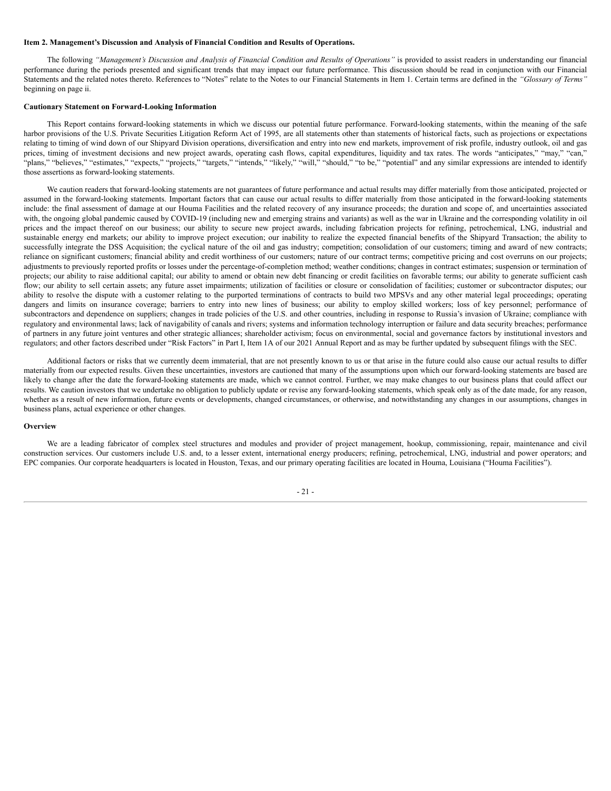## <span id="page-25-0"></span>**Item 2. Management's Discussion and Analysis of Financial Condition and Results of Operations.**

The following "Management's Discussion and Analysis of Financial Condition and Results of Operations" is provided to assist readers in understanding our financial performance during the periods presented and significant trends that may impact our future performance. This discussion should be read in conjunction with our Financial Statements and the related notes thereto. References to "Notes" relate to the Notes to our Financial Statements in Item 1. Certain terms are defined in the *"Glossary of Terms"* beginning on page ii.

#### **Cautionary Statement on Forward-Looking Information**

This Report contains forward-looking statements in which we discuss our potential future performance. Forward-looking statements, within the meaning of the safe harbor provisions of the U.S. Private Securities Litigation Reform Act of 1995, are all statements other than statements of historical facts, such as projections or expectations relating to timing of wind down of our Shipyard Division operations, diversification and entry into new end markets, improvement of risk profile, industry outlook, oil and gas prices, timing of investment decisions and new project awards, operating cash flows, capital expenditures, liquidity and tax rates. The words "anticipates," "may," "can," "plans," "believes," "estimates," "expects," "projects," "targets," "intends," "likely," "will," "should," "to be," "potential" and any similar expressions are intended to identify those assertions as forward-looking statements.

We caution readers that forward-looking statements are not guarantees of future performance and actual results may differ materially from those anticipated, projected or assumed in the forward-looking statements. Important factors that can cause our actual results to differ materially from those anticipated in the forward-looking statements include: the final assessment of damage at our Houma Facilities and the related recovery of any insurance proceeds; the duration and scope of, and uncertainties associated with, the ongoing global pandemic caused by COVID-19 (including new and emerging strains and variants) as well as the war in Ukraine and the corresponding volatility in oil prices and the impact thereof on our business; our ability to secure new project awards, including fabrication projects for refining, petrochemical, LNG, industrial and sustainable energy end markets; our ability to improve project execution; our inability to realize the expected financial benefits of the Shipyard Transaction; the ability to successfully integrate the DSS Acquisition; the cyclical nature of the oil and gas industry; competition; consolidation of our customers; timing and award of new contracts; reliance on significant customers; financial ability and credit worthiness of our customers; nature of our contract terms; competitive pricing and cost overruns on our projects; adjustments to previously reported profits or losses under the percentage-of-completion method; weather conditions; changes in contract estimates; suspension or termination of projects; our ability to raise additional capital; our ability to amend or obtain new debt financing or credit facilities on favorable terms; our ability to generate sufficient cash flow; our ability to sell certain assets; any future asset impairments; utilization of facilities or closure or consolidation of facilities; customer or subcontractor disputes; our ability to resolve the dispute with a customer relating to the purported terminations of contracts to build two MPSVs and any other material legal proceedings; operating dangers and limits on insurance coverage; barriers to entry into new lines of business; our ability to employ skilled workers; loss of key personnel; performance of subcontractors and dependence on suppliers; changes in trade policies of the U.S. and other countries, including in response to Russia's invasion of Ukraine; compliance with regulatory and environmental laws; lack of navigability of canals and rivers; systems and information technology interruption or failure and data security breaches; performance of partners in any future joint ventures and other strategic alliances; shareholder activism; focus on environmental, social and governance factors by institutional investors and regulators; and other factors described under "Risk Factors" in Part I, Item 1A of our 2021 Annual Report and as may be further updated by subsequent filings with the SEC.

Additional factors or risks that we currently deem immaterial, that are not presently known to us or that arise in the future could also cause our actual results to differ materially from our expected results. Given these uncertainties, investors are cautioned that many of the assumptions upon which our forward-looking statements are based are likely to change after the date the forward-looking statements are made, which we cannot control. Further, we may make changes to our business plans that could affect our results. We caution investors that we undertake no obligation to publicly update or revise any forward-looking statements, which speak only as of the date made, for any reason, whether as a result of new information, future events or developments, changed circumstances, or otherwise, and notwithstanding any changes in our assumptions, changes in business plans, actual experience or other changes.

## **Overview**

We are a leading fabricator of complex steel structures and modules and provider of project management, hookup, commissioning, repair, maintenance and civil construction services. Our customers include U.S. and, to a lesser extent, international energy producers; refining, petrochemical, LNG, industrial and power operators; and EPC companies. Our corporate headquarters is located in Houston, Texas, and our primary operating facilities are located in Houma, Louisiana ("Houma Facilities").

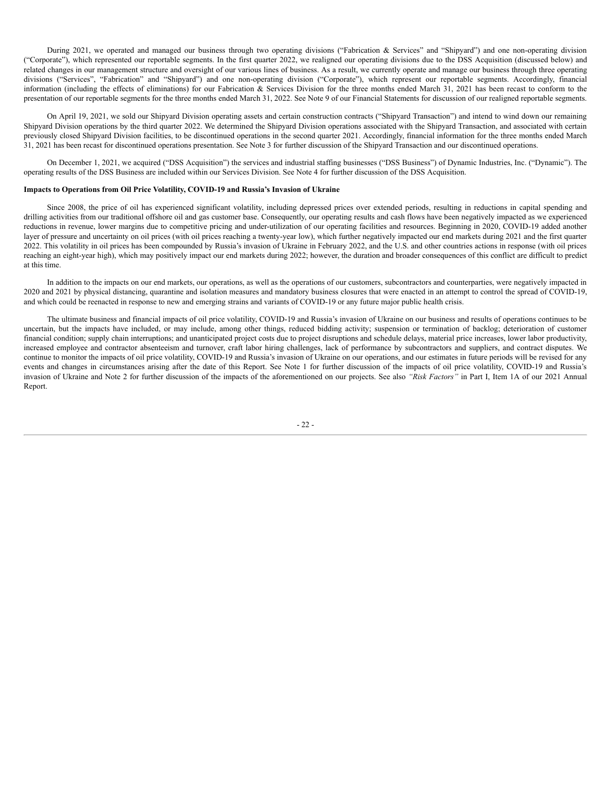During 2021, we operated and managed our business through two operating divisions ("Fabrication & Services" and "Shipyard") and one non-operating division ("Corporate"), which represented our reportable segments. In the first quarter 2022, we realigned our operating divisions due to the DSS Acquisition (discussed below) and related changes in our management structure and oversight of our various lines of business. As a result, we currently operate and manage our business through three operating divisions ("Services", "Fabrication" and "Shipyard") and one non-operating division ("Corporate"), which represent our reportable segments. Accordingly, financial information (including the effects of eliminations) for our Fabrication & Services Division for the three months ended March 31, 2021 has been recast to conform to the presentation of our reportable segments for the three months ended March 31, 2022. See Note 9 of our Financial Statements for discussion of our realigned reportable segments.

On April 19, 2021, we sold our Shipyard Division operating assets and certain construction contracts ("Shipyard Transaction") and intend to wind down our remaining Shipyard Division operations by the third quarter 2022. We determined the Shipyard Division operations associated with the Shipyard Transaction, and associated with certain previously closed Shipyard Division facilities, to be discontinued operations in the second quarter 2021. Accordingly, financial information for the three months ended March 31, 2021 has been recast for discontinued operations presentation. See Note 3 for further discussion of the Shipyard Transaction and our discontinued operations.

On December 1, 2021, we acquired ("DSS Acquisition") the services and industrial staffing businesses ("DSS Business") of Dynamic Industries, Inc. ("Dynamic"). The operating results of the DSS Business are included within our Services Division. See Note 4 for further discussion of the DSS Acquisition.

## **Impacts to Operations from Oil Price Volatility, COVID-19 and Russia's Invasion of Ukraine**

Since 2008, the price of oil has experienced significant volatility, including depressed prices over extended periods, resulting in reductions in capital spending and drilling activities from our traditional offshore oil and gas customer base. Consequently, our operating results and cash flows have been negatively impacted as we experienced reductions in revenue, lower margins due to competitive pricing and under-utilization of our operating facilities and resources. Beginning in 2020, COVID-19 added another layer of pressure and uncertainty on oil prices (with oil prices reaching a twenty-year low), which further negatively impacted our end markets during 2021 and the first quarter 2022. This volatility in oil prices has been compounded by Russia's invasion of Ukraine in February 2022, and the U.S. and other countries actions in response (with oil prices reaching an eight-year high), which may positively impact our end markets during 2022; however, the duration and broader consequences of this conflict are difficult to predict at this time.

In addition to the impacts on our end markets, our operations, as well as the operations of our customers, subcontractors and counterparties, were negatively impacted in 2020 and 2021 by physical distancing, quarantine and isolation measures and mandatory business closures that were enacted in an attempt to control the spread of COVID-19, and which could be reenacted in response to new and emerging strains and variants of COVID-19 or any future major public health crisis.

The ultimate business and financial impacts of oil price volatility, COVID-19 and Russia's invasion of Ukraine on our business and results of operations continues to be uncertain, but the impacts have included, or may include, among other things, reduced bidding activity; suspension or termination of backlog; deterioration of customer financial condition; supply chain interruptions; and unanticipated project costs due to project disruptions and schedule delays, material price increases, lower labor productivity, increased employee and contractor absenteeism and turnover, craft labor hiring challenges, lack of performance by subcontractors and suppliers, and contract disputes. We continue to monitor the impacts of oil price volatility, COVID-19 and Russia's invasion of Ukraine on our operations, and our estimates in future periods will be revised for any events and changes in circumstances arising after the date of this Report. See Note 1 for further discussion of the impacts of oil price volatility, COVID-19 and Russia's invasion of Ukraine and Note 2 for further discussion of the impacts of the aforementioned on our projects. See also *"Risk Factors"* in Part I, Item 1A of our 2021 Annual Report.

- 22 -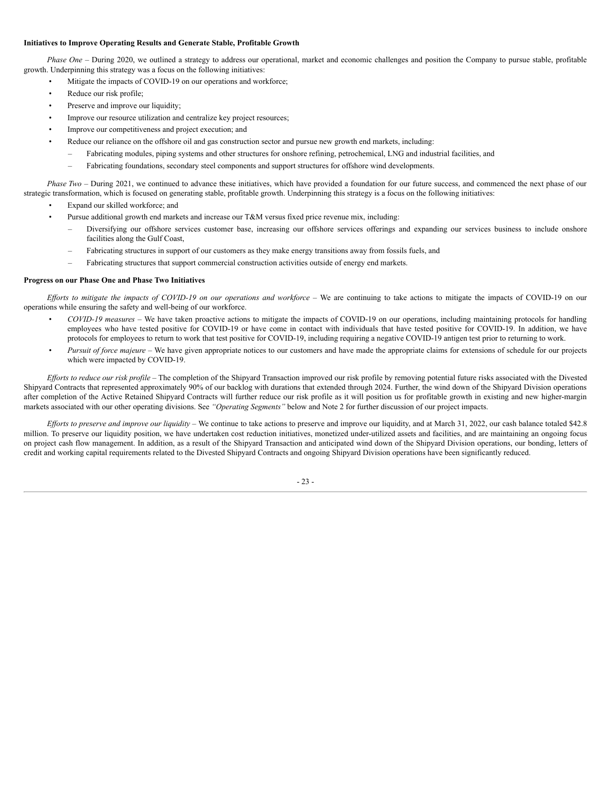# **Initiatives to Improve Operating Results and Generate Stable, Profitable Growth**

*Phase One* – During 2020, we outlined a strategy to address our operational, market and economic challenges and position the Company to pursue stable, profitable growth. Underpinning this strategy was a focus on the following initiatives:

- Mitigate the impacts of COVID-19 on our operations and workforce;
	- Reduce our risk profile;
- Preserve and improve our liquidity;
- Improve our resource utilization and centralize key project resources;
- Improve our competitiveness and project execution; and
- Reduce our reliance on the offshore oil and gas construction sector and pursue new growth end markets, including:
	- Fabricating modules, piping systems and other structures for onshore refining, petrochemical, LNG and industrial facilities, and
	- Fabricating foundations, secondary steel components and support structures for offshore wind developments.

*Phase Two* – During 2021, we continued to advance these initiatives, which have provided a foundation for our future success, and commenced the next phase of our strategic transformation, which is focused on generating stable, profitable growth. Underpinning this strategy is a focus on the following initiatives:

- Expand our skilled workforce; and
- Pursue additional growth end markets and increase our T&M versus fixed price revenue mix, including:
	- Diversifying our offshore services customer base, increasing our offshore services offerings and expanding our services business to include onshore facilities along the Gulf Coast,
	- Fabricating structures in support of our customers as they make energy transitions away from fossils fuels, and
	- Fabricating structures that support commercial construction activities outside of energy end markets.

## **Progress on our Phase One and Phase Two Initiatives**

Efforts to mitigate the impacts of COVID-19 on our operations and workforce - We are continuing to take actions to mitigate the impacts of COVID-19 on our operations while ensuring the safety and well-being of our workforce.

- *COVID-19 measures* We have taken proactive actions to mitigate the impacts of COVID-19 on our operations, including maintaining protocols for handling employees who have tested positive for COVID-19 or have come in contact with individuals that have tested positive for COVID-19. In addition, we have protocols for employees to return to work that test positive for COVID-19, including requiring a negative COVID-19 antigen test prior to returning to work.
- *Pursuit of force majeure* We have given appropriate notices to our customers and have made the appropriate claims for extensions of schedule for our projects which were impacted by COVID-19.

Efforts to reduce our risk profile – The completion of the Shipyard Transaction improved our risk profile by removing potential future risks associated with the Divested Shipyard Contracts that represented approximately 90% of our backlog with durations that extended through 2024. Further, the wind down of the Shipyard Division operations after completion of the Active Retained Shipyard Contracts will further reduce our risk profile as it will position us for profitable growth in existing and new higher-margin markets associated with our other operating divisions. See *"Operating Segments"* below and Note 2 for further discussion of our project impacts.

*Ef orts to preserve and improve our liquidity* – We continue to take actions to preserve and improve our liquidity, and at March 31, 2022, our cash balance totaled \$42.8 million. To preserve our liquidity position, we have undertaken cost reduction initiatives, monetized under-utilized assets and facilities, and are maintaining an ongoing focus on project cash flow management. In addition, as a result of the Shipyard Transaction and anticipated wind down of the Shipyard Division operations, our bonding, letters of credit and working capital requirements related to the Divested Shipyard Contracts and ongoing Shipyard Division operations have been significantly reduced.

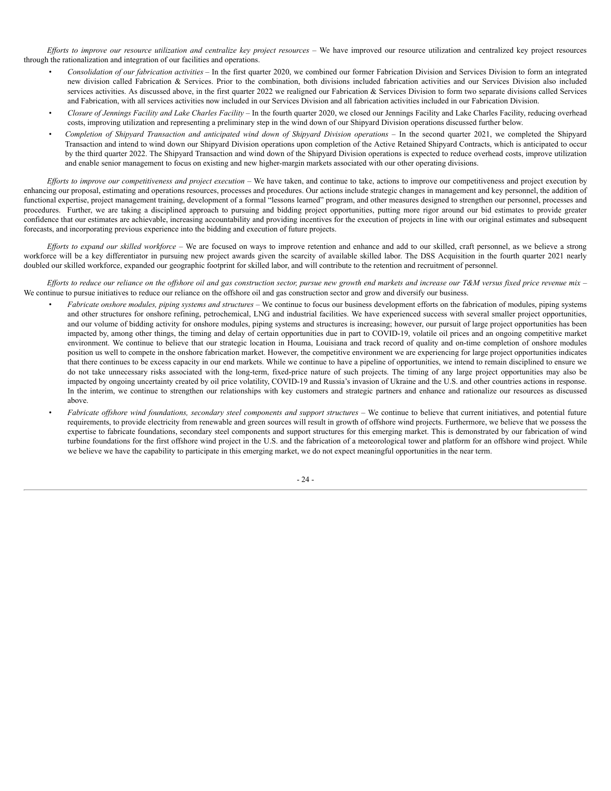Efforts to improve our resource utilization and centralize key project resources - We have improved our resource utilization and centralized key project resources through the rationalization and integration of our facilities and operations.

- *Consolidation of our fabrication activities* In the first quarter 2020, we combined our former Fabrication Division and Services Division to form an integrated new division called Fabrication & Services. Prior to the combination, both divisions included fabrication activities and our Services Division also included services activities. As discussed above, in the first quarter 2022 we realigned our Fabrication  $\&$  Services Division to form two separate divisions called Services and Fabrication, with all services activities now included in our Services Division and all fabrication activities included in our Fabrication Division.
- *Closure of Jennings Facility and Lake Charles Facility* In the fourth quarter 2020, we closed our Jennings Facility and Lake Charles Facility, reducing overhead costs, improving utilization and representing a preliminary step in the wind down of our Shipyard Division operations discussed further below.
- Completion of Shipyard Transaction and anticipated wind down of Shipyard Division operations In the second quarter 2021, we completed the Shipyard Transaction and intend to wind down our Shipyard Division operations upon completion of the Active Retained Shipyard Contracts, which is anticipated to occur by the third quarter 2022. The Shipyard Transaction and wind down of the Shipyard Division operations is expected to reduce overhead costs, improve utilization and enable senior management to focus on existing and new higher-margin markets associated with our other operating divisions.

Efforts to improve our competitiveness and project execution - We have taken, and continue to take, actions to improve our competitiveness and project execution by enhancing our proposal, estimating and operations resources, processes and procedures. Our actions include strategic changes in management and key personnel, the addition of functional expertise, project management training, development of a formal "lessons learned" program, and other measures designed to strengthen our personnel, processes and procedures. Further, we are taking a disciplined approach to pursuing and bidding project opportunities, putting more rigor around our bid estimates to provide greater confidence that our estimates are achievable, increasing accountability and providing incentives for the execution of projects in line with our original estimates and subsequent forecasts, and incorporating previous experience into the bidding and execution of future projects.

*Ef orts to expand our skilled workforce* – We are focused on ways to improve retention and enhance and add to our skilled, craft personnel, as we believe a strong workforce will be a key differentiator in pursuing new project awards given the scarcity of available skilled labor. The DSS Acquisition in the fourth quarter 2021 nearly doubled our skilled workforce, expanded our geographic footprint for skilled labor, and will contribute to the retention and recruitment of personnel.

Efforts to reduce our reliance on the offshore oil and gas construction sector, pursue new growth end markets and increase our T&M versus fixed price revenue mix  $-$ We continue to pursue initiatives to reduce our reliance on the offshore oil and gas construction sector and grow and diversify our business.

- *Fabricate onshore modules, piping systems and structures* We continue to focus our business development efforts on the fabrication of modules, piping systems and other structures for onshore refining, petrochemical, LNG and industrial facilities. We have experienced success with several smaller project opportunities, and our volume of bidding activity for onshore modules, piping systems and structures is increasing; however, our pursuit of large project opportunities has been impacted by, among other things, the timing and delay of certain opportunities due in part to COVID-19, volatile oil prices and an ongoing competitive market environment. We continue to believe that our strategic location in Houma, Louisiana and track record of quality and on-time completion of onshore modules position us well to compete in the onshore fabrication market. However, the competitive environment we are experiencing for large project opportunities indicates that there continues to be excess capacity in our end markets. While we continue to have a pipeline of opportunities, we intend to remain disciplined to ensure we do not take unnecessary risks associated with the long-term, fixed-price nature of such projects. The timing of any large project opportunities may also be impacted by ongoing uncertainty created by oil price volatility, COVID-19 and Russia's invasion of Ukraine and the U.S. and other countries actions in response. In the interim, we continue to strengthen our relationships with key customers and strategic partners and enhance and rationalize our resources as discussed above.
- Fabricate offshore wind foundations, secondary steel components and support structures We continue to believe that current initiatives, and potential future requirements, to provide electricity from renewable and green sources will result in growth of offshore wind projects. Furthermore, we believe that we possess the expertise to fabricate foundations, secondary steel components and support structures for this emerging market. This is demonstrated by our fabrication of wind turbine foundations for the first offshore wind project in the U.S. and the fabrication of a meteorological tower and platform for an offshore wind project. While we believe we have the capability to participate in this emerging market, we do not expect meaningful opportunities in the near term.

- 24 -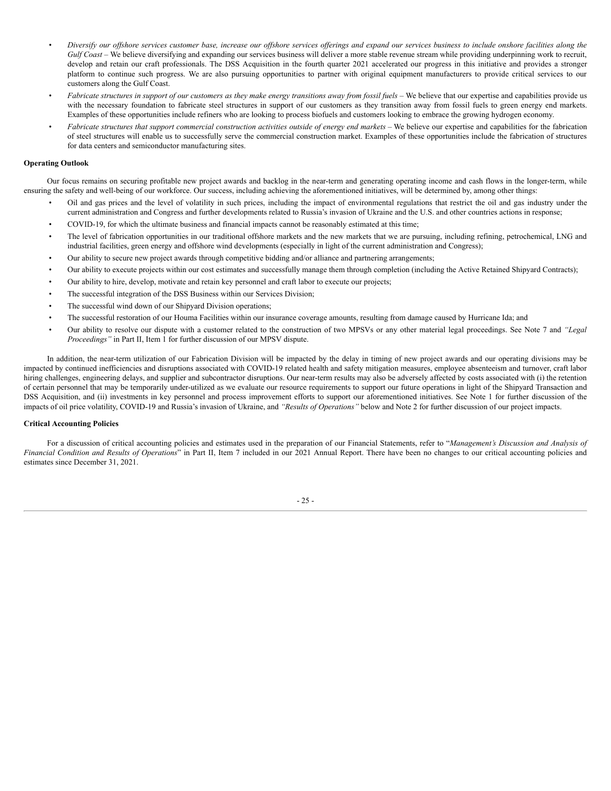- Diversify our offshore services customer base, increase our offshore services offerings and expand our services business to include onshore facilities along the Gulf Coast – We believe diversifying and expanding our services business will deliver a more stable revenue stream while providing underpinning work to recruit, develop and retain our craft professionals. The DSS Acquisition in the fourth quarter 2021 accelerated our progress in this initiative and provides a stronger platform to continue such progress. We are also pursuing opportunities to partner with original equipment manufacturers to provide critical services to our customers along the Gulf Coast.
- Fabricate structures in support of our customers as they make energy transitions away from fossil fuels We believe that our expertise and capabilities provide us with the necessary foundation to fabricate steel structures in support of our customers as they transition away from fossil fuels to green energy end markets. Examples of these opportunities include refiners who are looking to process biofuels and customers looking to embrace the growing hydrogen economy.
- Fabricate structures that support commercial construction activities outside of energy end markets We believe our expertise and capabilities for the fabrication of steel structures will enable us to successfully serve the commercial construction market. Examples of these opportunities include the fabrication of structures for data centers and semiconductor manufacturing sites.

## **Operating Outlook**

Our focus remains on securing profitable new project awards and backlog in the near-term and generating operating income and cash flows in the longer-term, while ensuring the safety and well-being of our workforce. Our success, including achieving the aforementioned initiatives, will be determined by, among other things:

- Oil and gas prices and the level of volatility in such prices, including the impact of environmental regulations that restrict the oil and gas industry under the current administration and Congress and further developments related to Russia's invasion of Ukraine and the U.S. and other countries actions in response;
- COVID-19, for which the ultimate business and financial impacts cannot be reasonably estimated at this time;
- The level of fabrication opportunities in our traditional offshore markets and the new markets that we are pursuing, including refining, petrochemical, LNG and industrial facilities, green energy and offshore wind developments (especially in light of the current administration and Congress);
- Our ability to secure new project awards through competitive bidding and/or alliance and partnering arrangements;
- Our ability to execute projects within our cost estimates and successfully manage them through completion (including the Active Retained Shipyard Contracts);
- Our ability to hire, develop, motivate and retain key personnel and craft labor to execute our projects;
- The successful integration of the DSS Business within our Services Division;
- The successful wind down of our Shipyard Division operations;
- The successful restoration of our Houma Facilities within our insurance coverage amounts, resulting from damage caused by Hurricane Ida; and
- Our ability to resolve our dispute with a customer related to the construction of two MPSVs or any other material legal proceedings. See Note 7 and *"Legal Proceedings"* in Part II, Item 1 for further discussion of our MPSV dispute.

In addition, the near-term utilization of our Fabrication Division will be impacted by the delay in timing of new project awards and our operating divisions may be impacted by continued inefficiencies and disruptions associated with COVID-19 related health and safety mitigation measures, employee absenteeism and turnover, craft labor hiring challenges, engineering delays, and supplier and subcontractor disruptions. Our near-term results may also be adversely affected by costs associated with (i) the retention of certain personnel that may be temporarily under-utilized as we evaluate our resource requirements to support our future operations in light of the Shipyard Transaction and DSS Acquisition, and (ii) investments in key personnel and process improvement efforts to support our aforementioned initiatives. See Note 1 for further discussion of the impacts of oil price volatility, COVID-19 and Russia's invasion of Ukraine, and *"Results of Operations"* below and Note 2 for further discussion of our project impacts.

# **Critical Accounting Policies**

For a discussion of critical accounting policies and estimates used in the preparation of our Financial Statements, refer to "*Management's Discussion and Analysis of Financial Condition and Results of Operations*" in Part II, Item 7 included in our 2021 Annual Report. There have been no changes to our critical accounting policies and estimates since December 31, 2021.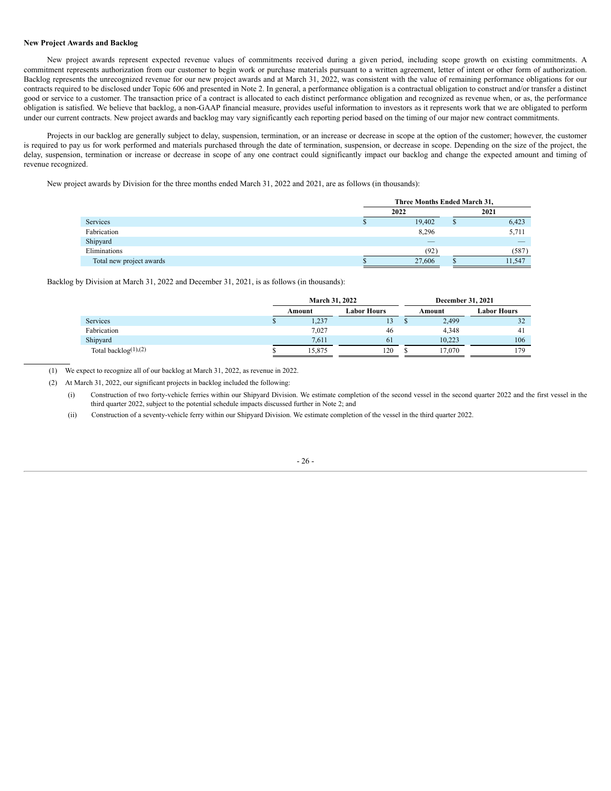# **New Project Awards and Backlog**

New project awards represent expected revenue values of commitments received during a given period, including scope growth on existing commitments. A commitment represents authorization from our customer to begin work or purchase materials pursuant to a written agreement, letter of intent or other form of authorization. Backlog represents the unrecognized revenue for our new project awards and at March 31, 2022, was consistent with the value of remaining performance obligations for our contracts required to be disclosed under Topic 606 and presented in Note 2. In general, a performance obligation is a contractual obligation to construct and/or transfer a distinct good or service to a customer. The transaction price of a contract is allocated to each distinct performance obligation and recognized as revenue when, or as, the performance obligation is satisfied. We believe that backlog, a non-GAAP financial measure, provides useful information to investors as it represents work that we are obligated to perform under our current contracts. New project awards and backlog may vary significantly each reporting period based on the timing of our major new contract commitments.

Projects in our backlog are generally subject to delay, suspension, termination, or an increase or decrease in scope at the option of the customer; however, the customer is required to pay us for work performed and materials purchased through the date of termination, suspension, or decrease in scope. Depending on the size of the project, the delay, suspension, termination or increase or decrease in scope of any one contract could significantly impact our backlog and change the expected amount and timing of revenue recognized.

New project awards by Division for the three months ended March 31, 2022 and 2021, are as follows (in thousands):

|                          | Three Months Ended March 31, |  |        |  |  |  |
|--------------------------|------------------------------|--|--------|--|--|--|
|                          | 2022                         |  | 2021   |  |  |  |
| Services                 | 19,402                       |  | 6,423  |  |  |  |
| Fabrication              | 8,296                        |  | 5,711  |  |  |  |
| Shipyard                 |                              |  |        |  |  |  |
| Eliminations             | (92)                         |  | (587)  |  |  |  |
| Total new project awards | 27,606                       |  | 11,547 |  |  |  |

Backlog by Division at March 31, 2022 and December 31, 2021, is as follows (in thousands):

|                             |   | <b>March 31, 2022</b> |                    | December 31, 2021 |             |  |
|-----------------------------|---|-----------------------|--------------------|-------------------|-------------|--|
|                             |   | Amount                | <b>Labor Hours</b> | Amount            | Labor Hours |  |
| <b>Services</b>             | Ф | 1,237                 | 13                 | 2,499             | 32          |  |
| Fabrication                 |   | 7,027                 | 46                 | 4.348             | 41          |  |
| Shipyard                    |   | 7.611                 | 61                 | 10.223            | 106         |  |
| Total backlog $(1)$ , $(2)$ |   | 15.875                | 120                | 17.070            | 179         |  |

(1) We expect to recognize all of our backlog at March 31, 2022, as revenue in 2022.

(2) At March 31, 2022, our significant projects in backlog included the following:

(i) Construction of two forty-vehicle ferries within our Shipyard Division. We estimate completion of the second vessel in the second quarter 2022 and the first vessel in the third quarter 2022, subject to the potential schedule impacts discussed further in Note 2; and

(ii) Construction of a seventy-vehicle ferry within our Shipyard Division. We estimate completion of the vessel in the third quarter 2022.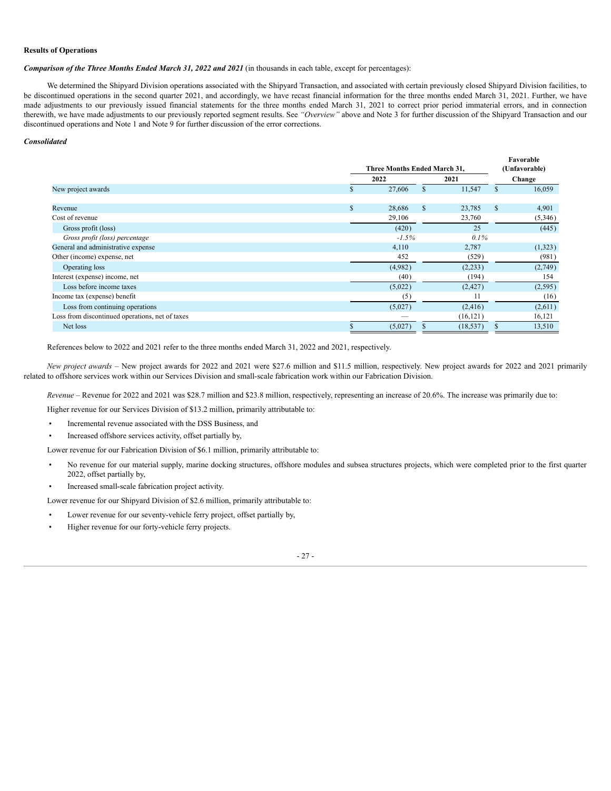## **Results of Operations**

*Comparison of the Three Months Ended March 31, 2022 and 2021* (in thousands in each table, except for percentages):

We determined the Shipyard Division operations associated with the Shipyard Transaction, and associated with certain previously closed Shipyard Division facilities, to be discontinued operations in the second quarter 2021, and accordingly, we have recast financial information for the three months ended March 31, 2021. Further, we have made adjustments to our previously issued financial statements for the three months ended March 31, 2021 to correct prior period immaterial errors, and in connection therewith, we have made adjustments to our previously reported segment results. See *"Overview"* above and Note 3 for further discussion of the Shipyard Transaction and our discontinued operations and Note 1 and Note 9 for further discussion of the error corrections.

## *Consolidated*

| Three Months Ended March 31, |          |        |           | Favorable<br>(Unfavorable) |              |
|------------------------------|----------|--------|-----------|----------------------------|--------------|
| 2022<br>2021                 |          |        | Change    |                            |              |
| ъ                            | 27,606   | S      | 11,547    | \$.                        | 16,059       |
|                              |          |        |           |                            |              |
|                              |          |        |           |                            | 4,901        |
|                              | 29,106   |        | 23,760    |                            | (5,346)      |
|                              | (420)    |        | 25        |                            | (445)        |
|                              | $-1.5\%$ |        | $0.1\%$   |                            |              |
|                              | 4,110    |        | 2,787     |                            | (1,323)      |
|                              | 452      |        | (529)     |                            | (981)        |
|                              | (4,982)  |        | (2,233)   |                            | (2,749)      |
|                              | (40)     |        | (194)     |                            | 154          |
|                              | (5,022)  |        | (2, 427)  |                            | (2,595)      |
|                              | (5)      |        | 11        |                            | (16)         |
|                              | (5,027)  |        | (2, 416)  |                            | (2,611)      |
|                              |          |        | (16, 121) |                            | 16,121       |
|                              | (5,027)  |        | (18, 537) |                            | 13,510       |
|                              | \$       | 28,686 | \$        | 23,785                     | $\mathbf{s}$ |

References below to 2022 and 2021 refer to the three months ended March 31, 2022 and 2021, respectively.

*New project awards* – New project awards for 2022 and 2021 were \$27.6 million and \$11.5 million, respectively. New project awards for 2022 and 2021 primarily related to offshore services work within our Services Division and small-scale fabrication work within our Fabrication Division.

*Revenue* – Revenue for 2022 and 2021 was \$28.7 million and \$23.8 million, respectively, representing an increase of 20.6%. The increase was primarily due to:

Higher revenue for our Services Division of \$13.2 million, primarily attributable to:

• Incremental revenue associated with the DSS Business, and

• Increased offshore services activity, offset partially by,

Lower revenue for our Fabrication Division of \$6.1 million, primarily attributable to:

- No revenue for our material supply, marine docking structures, offshore modules and subsea structures projects, which were completed prior to the first quarter 2022, offset partially by,
- Increased small-scale fabrication project activity.

Lower revenue for our Shipyard Division of \$2.6 million, primarily attributable to:

- Lower revenue for our seventy-vehicle ferry project, offset partially by,
- Higher revenue for our forty-vehicle ferry projects.

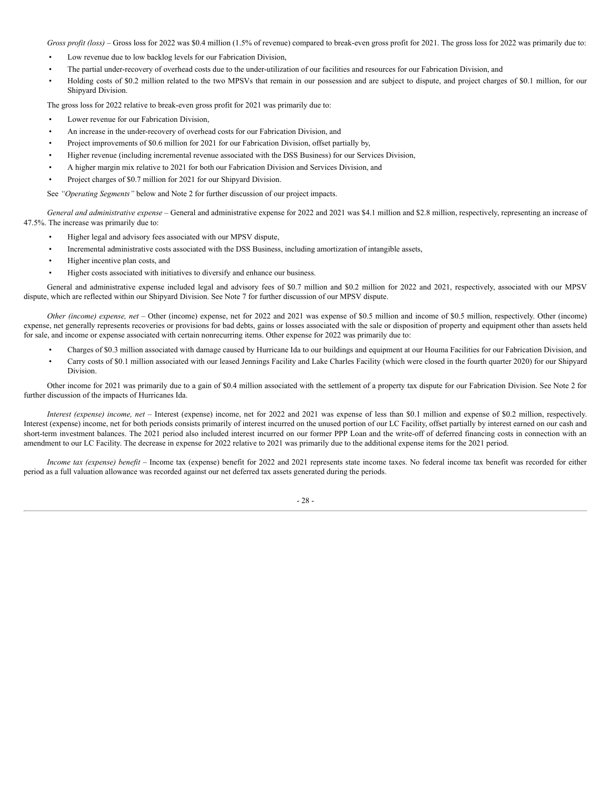*Gross profit (loss)* – Gross loss for 2022 was \$0.4 million (1.5% of revenue) compared to break-even gross profit for 2021. The gross loss for 2022 was primarily due to:

- Low revenue due to low backlog levels for our Fabrication Division,
- The partial under-recovery of overhead costs due to the under-utilization of our facilities and resources for our Fabrication Division, and
- Holding costs of \$0.2 million related to the two MPSVs that remain in our possession and are subject to dispute, and project charges of \$0.1 million, for our Shipyard Division.

The gross loss for 2022 relative to break-even gross profit for 2021 was primarily due to:

- Lower revenue for our Fabrication Division.
- An increase in the under-recovery of overhead costs for our Fabrication Division, and
- Project improvements of \$0.6 million for 2021 for our Fabrication Division, offset partially by,
- Higher revenue (including incremental revenue associated with the DSS Business) for our Services Division,
- A higher margin mix relative to 2021 for both our Fabrication Division and Services Division, and
- Project charges of \$0.7 million for 2021 for our Shipyard Division.

See *"Operating Segments"* below and Note 2 for further discussion of our project impacts.

*General and administrative expense* – General and administrative expense for 2022 and 2021 was \$4.1 million and \$2.8 million, respectively, representing an increase of 47.5%. The increase was primarily due to:

- Higher legal and advisory fees associated with our MPSV dispute,
- Incremental administrative costs associated with the DSS Business, including amortization of intangible assets,
- Higher incentive plan costs, and
- Higher costs associated with initiatives to diversify and enhance our business.

General and administrative expense included legal and advisory fees of \$0.7 million and \$0.2 million for 2022 and 2021, respectively, associated with our MPSV dispute, which are reflected within our Shipyard Division. See Note 7 for further discussion of our MPSV dispute.

*Other (income) expense, net* – Other (income) expense, net for 2022 and 2021 was expense of \$0.5 million and income of \$0.5 million, respectively. Other (income) expense, net generally represents recoveries or provisions for bad debts, gains or losses associated with the sale or disposition of property and equipment other than assets held for sale, and income or expense associated with certain nonrecurring items. Other expense for 2022 was primarily due to:

- Charges of \$0.3 million associated with damage caused by Hurricane Ida to our buildings and equipment at our Houma Facilities for our Fabrication Division, and
- Carry costs of \$0.1 million associated with our leased Jennings Facility and Lake Charles Facility (which were closed in the fourth quarter 2020) for our Shipyard Division.

Other income for 2021 was primarily due to a gain of \$0.4 million associated with the settlement of a property tax dispute for our Fabrication Division. See Note 2 for further discussion of the impacts of Hurricanes Ida.

*Interest (expense) income, net* – Interest (expense) income, net for 2022 and 2021 was expense of less than \$0.1 million and expense of \$0.2 million, respectively. Interest (expense) income, net for both periods consists primarily of interest incurred on the unused portion of our LC Facility, offset partially by interest earned on our cash and short-term investment balances. The 2021 period also included interest incurred on our former PPP Loan and the write-off of deferred financing costs in connection with an amendment to our LC Facility. The decrease in expense for 2022 relative to 2021 was primarily due to the additional expense items for the 2021 period.

*Income tax (expense) benefit* – Income tax (expense) benefit for 2022 and 2021 represents state income taxes. No federal income tax benefit was recorded for either period as a full valuation allowance was recorded against our net deferred tax assets generated during the periods.

- 28 -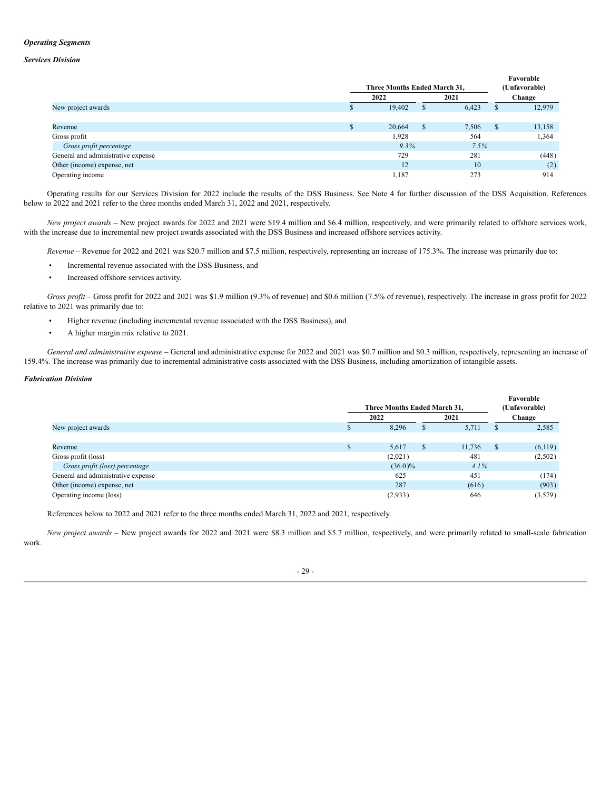# *Operating Segments*

## *Services Division*

|                                    |    | Three Months Ended March 31, |    |       |               | Favorable<br>(Unfavorable) |
|------------------------------------|----|------------------------------|----|-------|---------------|----------------------------|
|                                    |    | 2022                         |    | 2021  |               | Change                     |
| New project awards                 |    | 19,402                       | J. | 6,423 | \$            | 12,979                     |
|                                    |    |                              |    |       |               |                            |
| Revenue                            | J. | 20,664                       | S  | 7,506 | <sup>\$</sup> | 13,158                     |
| Gross profit                       |    | 1,928                        |    | 564   |               | 1,364                      |
| Gross profit percentage            |    | $9.3\%$                      |    | 7.5%  |               |                            |
| General and administrative expense |    | 729                          |    | 281   |               | (448)                      |
| Other (income) expense, net        |    | 12                           |    | 10    |               | (2)                        |
| Operating income                   |    | 1,187                        |    | 273   |               | 914                        |

Operating results for our Services Division for 2022 include the results of the DSS Business. See Note 4 for further discussion of the DSS Acquisition. References below to 2022 and 2021 refer to the three months ended March 31, 2022 and 2021, respectively.

*New project awards* – New project awards for 2022 and 2021 were \$19.4 million and \$6.4 million, respectively, and were primarily related to offshore services work, with the increase due to incremental new project awards associated with the DSS Business and increased offshore services activity.

*Revenue* – Revenue for 2022 and 2021 was \$20.7 million and \$7.5 million, respectively, representing an increase of 175.3%. The increase was primarily due to:

- Incremental revenue associated with the DSS Business, and
- Increased offshore services activity.

*Gross profit* – Gross profit for 2022 and 2021 was \$1.9 million (9.3% of revenue) and \$0.6 million (7.5% of revenue), respectively. The increase in gross profit for 2022 relative to 2021 was primarily due to:

- Higher revenue (including incremental revenue associated with the DSS Business), and
- A higher margin mix relative to 2021.

*General and administrative expense* – General and administrative expense for 2022 and 2021 was \$0.7 million and \$0.3 million, respectively, representing an increase of 159.4%. The increase was primarily due to incremental administrative costs associated with the DSS Business, including amortization of intangible assets.

**Favorable**

## *Fabrication Division*

|                                    |    | Three Months Ended March 31, |   |         |      | гаууганс<br>(Unfavorable) |  |
|------------------------------------|----|------------------------------|---|---------|------|---------------------------|--|
|                                    |    | 2022                         |   | 2021    |      | Change                    |  |
| New project awards                 |    | 8,296                        | ъ | 5,711   | ъ    | 2,585                     |  |
|                                    |    |                              |   |         |      |                           |  |
| Revenue                            | P. | 5,617                        | S | 11,736  | - \$ | (6,119)                   |  |
| Gross profit (loss)                |    | (2,021)                      |   | 481     |      | (2,502)                   |  |
| Gross profit (loss) percentage     |    | $(36.0)\%$                   |   | $4.1\%$ |      |                           |  |
| General and administrative expense |    | 625                          |   | 451     |      | (174)                     |  |
| Other (income) expense, net        |    | 287                          |   | (616)   |      | (903)                     |  |
| Operating income (loss)            |    | (2,933)                      |   | 646     |      | (3,579)                   |  |

References below to 2022 and 2021 refer to the three months ended March 31, 2022 and 2021, respectively.

*New project awards* – New project awards for 2022 and 2021 were \$8.3 million and \$5.7 million, respectively, and were primarily related to small-scale fabrication work.

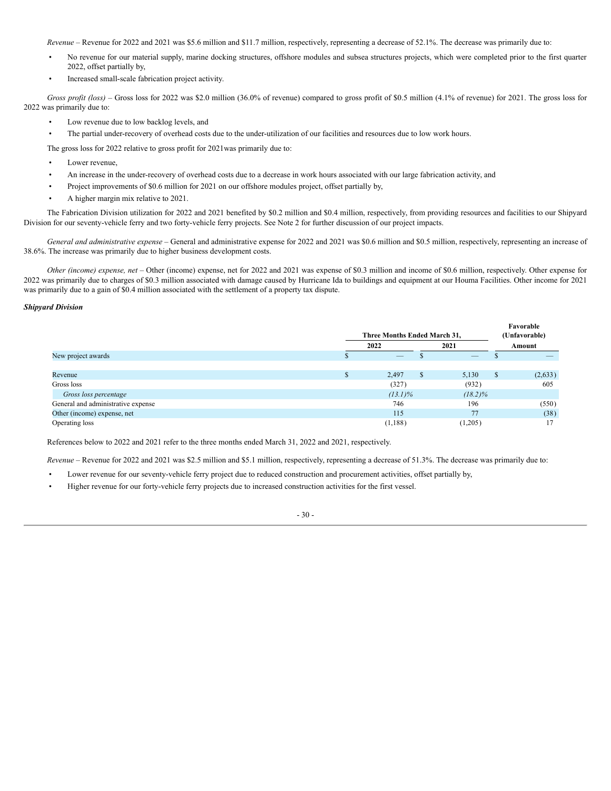*Revenue* – Revenue for 2022 and 2021 was \$5.6 million and \$11.7 million, respectively, representing a decrease of 52.1%. The decrease was primarily due to:

- No revenue for our material supply, marine docking structures, offshore modules and subsea structures projects, which were completed prior to the first quarter 2022, offset partially by,
- Increased small-scale fabrication project activity.

*Gross profit (loss)* – Gross loss for 2022 was \$2.0 million (36.0% of revenue) compared to gross profit of \$0.5 million (4.1% of revenue) for 2021. The gross loss for 2022 was primarily due to:

- Low revenue due to low backlog levels, and
- The partial under-recovery of overhead costs due to the under-utilization of our facilities and resources due to low work hours.

The gross loss for 2022 relative to gross profit for 2021was primarily due to:

- Lower revenue,
- An increase in the under-recovery of overhead costs due to a decrease in work hours associated with our large fabrication activity, and
- Project improvements of \$0.6 million for 2021 on our offshore modules project, offset partially by,
- A higher margin mix relative to 2021.

The Fabrication Division utilization for 2022 and 2021 benefited by \$0.2 million and \$0.4 million, respectively, from providing resources and facilities to our Shipyard Division for our seventy-vehicle ferry and two forty-vehicle ferry projects. See Note 2 for further discussion of our project impacts.

*General and administrative expense* – General and administrative expense for 2022 and 2021 was \$0.6 million and \$0.5 million, respectively, representing an increase of 38.6%. The increase was primarily due to higher business development costs.

*Other (income) expense, net –* Other (income) expense, net for 2022 and 2021 was expense of \$0.3 million and income of \$0.6 million, respectively. Other expense for 2022 was primarily due to charges of \$0.3 million associated with damage caused by Hurricane Ida to buildings and equipment at our Houma Facilities. Other income for 2021 was primarily due to a gain of \$0.4 million associated with the settlement of a property tax dispute.

# *Shipyard Division*

|                                    | Three Months Ended March 31, |             | Favorable<br>(Unfavorable) |
|------------------------------------|------------------------------|-------------|----------------------------|
|                                    | 2022                         | 2021        | Amount                     |
| New project awards                 |                              |             |                            |
|                                    |                              |             |                            |
| Revenue                            | 2,497                        | \$<br>5,130 | \$<br>(2,633)              |
| Gross loss                         | (327)                        | (932)       | 605                        |
| Gross loss percentage              | $(13.1)\%$                   | $(18.2)\%$  |                            |
| General and administrative expense | 746                          | 196         | (550)                      |
| Other (income) expense, net        | 115                          | 77          | (38)                       |
| Operating loss                     | (1,188)                      | (1,205)     | 17                         |

References below to 2022 and 2021 refer to the three months ended March 31, 2022 and 2021, respectively.

*Revenue* – Revenue for 2022 and 2021 was \$2.5 million and \$5.1 million, respectively, representing a decrease of 51.3%. The decrease was primarily due to:

- Lower revenue for our seventy-vehicle ferry project due to reduced construction and procurement activities, offset partially by,
- Higher revenue for our forty-vehicle ferry projects due to increased construction activities for the first vessel.

- 30 -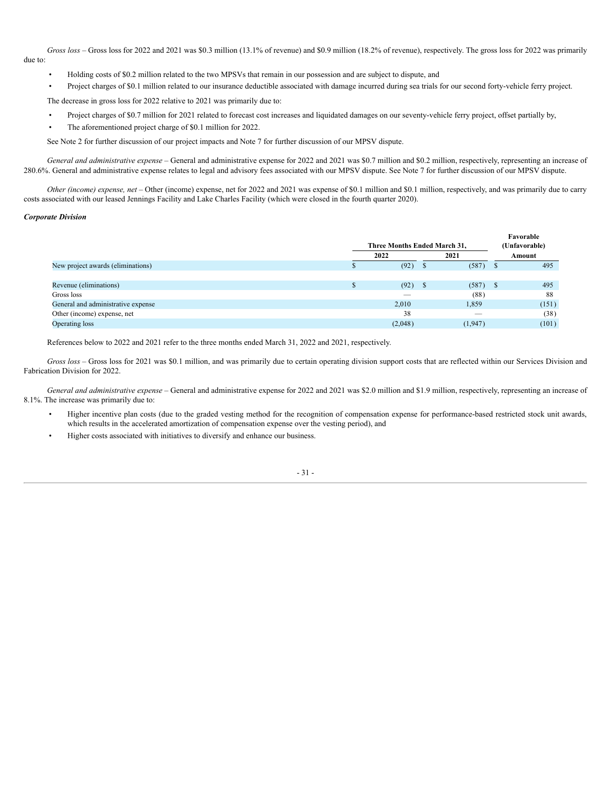*Gross loss* – Gross loss for 2022 and 2021 was \$0.3 million (13.1% of revenue) and \$0.9 million (18.2% of revenue), respectively. The gross loss for 2022 was primarily due to:

- Holding costs of \$0.2 million related to the two MPSVs that remain in our possession and are subject to dispute, and
- Project charges of \$0.1 million related to our insurance deductible associated with damage incurred during sea trials for our second forty-vehicle ferry project.

The decrease in gross loss for 2022 relative to 2021 was primarily due to:

- Project charges of \$0.7 million for 2021 related to forecast cost increases and liquidated damages on our seventy-vehicle ferry project, offset partially by,
- The aforementioned project charge of \$0.1 million for 2022.

See Note 2 for further discussion of our project impacts and Note 7 for further discussion of our MPSV dispute.

*General and administrative expense* – General and administrative expense for 2022 and 2021 was \$0.7 million and \$0.2 million, respectively, representing an increase of 280.6%. General and administrative expense relates to legal and advisory fees associated with our MPSV dispute. See Note 7 for further discussion of our MPSV dispute.

*Other (income) expense, net –* Other (income) expense, net for 2022 and 2021 was expense of \$0.1 million and \$0.1 million, respectively, and was primarily due to carry costs associated with our leased Jennings Facility and Lake Charles Facility (which were closed in the fourth quarter 2020).

# *Corporate Division*

|                                    |         |                              | Favorable     |
|------------------------------------|---------|------------------------------|---------------|
|                                    |         | Three Months Ended March 31, | (Unfavorable) |
|                                    | 2022    | 2021                         | Amount        |
| New project awards (eliminations)  | (92)    | (587)                        | 495<br>ъ      |
|                                    |         |                              |               |
| Revenue (eliminations)<br>D        | (92)    | (587)                        | 495<br>S      |
| Gross loss                         |         | (88)                         | 88            |
| General and administrative expense | 2,010   | 1,859                        | (151)         |
| Other (income) expense, net        | 38      |                              | (38)          |
| Operating loss                     | (2,048) | (1,947)                      | (101)         |

References below to 2022 and 2021 refer to the three months ended March 31, 2022 and 2021, respectively.

*Gross loss* – Gross loss for 2021 was \$0.1 million, and was primarily due to certain operating division support costs that are reflected within our Services Division and Fabrication Division for 2022.

*General and administrative expense* – General and administrative expense for 2022 and 2021 was \$2.0 million and \$1.9 million, respectively, representing an increase of 8.1%. The increase was primarily due to:

- Higher incentive plan costs (due to the graded vesting method for the recognition of compensation expense for performance-based restricted stock unit awards, which results in the accelerated amortization of compensation expense over the vesting period), and
- Higher costs associated with initiatives to diversify and enhance our business.

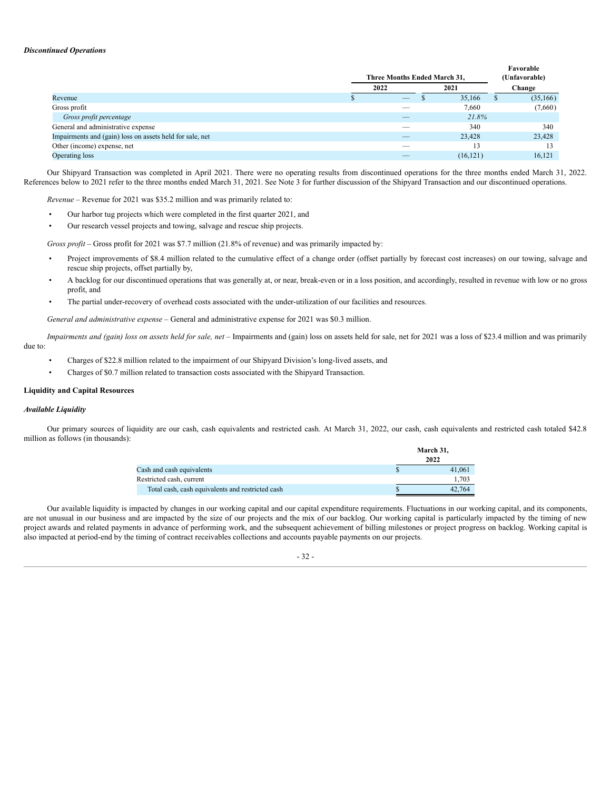## *Discontinued Operations*

|                                                          | Three Months Ended March 31, |           | r avorable<br>(Unfavorable) |
|----------------------------------------------------------|------------------------------|-----------|-----------------------------|
|                                                          | 2022                         | 2021      | Change                      |
| Revenue                                                  |                              | 35,166    | (35, 166)                   |
| Gross profit                                             |                              | 7,660     | (7,660)                     |
| Gross profit percentage                                  |                              | 21.8%     |                             |
| General and administrative expense                       |                              | 340       | 340                         |
| Impairments and (gain) loss on assets held for sale, net |                              | 23,428    | 23,428                      |
| Other (income) expense, net                              |                              |           | 13                          |
| Operating loss                                           |                              | (16, 121) | 16.121                      |

**Favorable**

Our Shipyard Transaction was completed in April 2021. There were no operating results from discontinued operations for the three months ended March 31, 2022. References below to 2021 refer to the three months ended March 31, 2021. See Note 3 for further discussion of the Shipyard Transaction and our discontinued operations.

*Revenue* – Revenue for 2021 was \$35.2 million and was primarily related to:

- Our harbor tug projects which were completed in the first quarter 2021, and
- Our research vessel projects and towing, salvage and rescue ship projects.

*Gross profit* – Gross profit for 2021 was \$7.7 million (21.8% of revenue) and was primarily impacted by:

- Project improvements of \$8.4 million related to the cumulative effect of a change order (offset partially by forecast cost increases) on our towing, salvage and rescue ship projects, offset partially by,
- A backlog for our discontinued operations that was generally at, or near, break-even or in a loss position, and accordingly, resulted in revenue with low or no gross profit, and
- The partial under-recovery of overhead costs associated with the under-utilization of our facilities and resources.

*General and administrative expense* – General and administrative expense for 2021 was \$0.3 million.

Impairments and (gain) loss on assets held for sale, net - Impairments and (gain) loss on assets held for sale, net for 2021 was a loss of \$23.4 million and was primarily due to:

- Charges of \$22.8 million related to the impairment of our Shipyard Division's long-lived assets, and
- Charges of \$0.7 million related to transaction costs associated with the Shipyard Transaction.

## **Liquidity and Capital Resources**

#### *Available Liquidity*

Our primary sources of liquidity are our cash, cash equivalents and restricted cash. At March 31, 2022, our cash, cash equivalents and restricted cash totaled \$42.8 million as follows (in thousands):

**March 31,**

|                                                  | <br>2022 |
|--------------------------------------------------|----------|
| Cash and cash equivalents                        | 41.061   |
| Restricted cash, current                         | 1.703    |
| Total cash, cash equivalents and restricted cash | 42.764   |

Our available liquidity is impacted by changes in our working capital and our capital expenditure requirements. Fluctuations in our working capital, and its components, are not unusual in our business and are impacted by the size of our projects and the mix of our backlog. Our working capital is particularly impacted by the timing of new project awards and related payments in advance of performing work, and the subsequent achievement of billing milestones or project progress on backlog. Working capital is also impacted at period-end by the timing of contract receivables collections and accounts payable payments on our projects.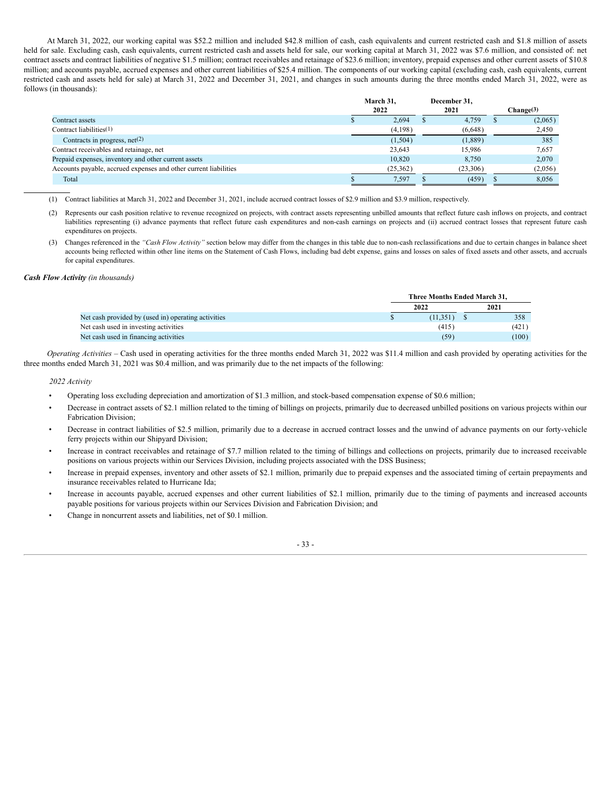At March 31, 2022, our working capital was \$52.2 million and included \$42.8 million of cash, cash equivalents and current restricted cash and \$1.8 million of assets held for sale. Excluding cash, cash equivalents, current restricted cash and assets held for sale, our working capital at March 31, 2022 was \$7.6 million, and consisted of: net contract assets and contract liabilities of negative \$1.5 million; contract receivables and retainage of \$23.6 million; inventory, prepaid expenses and other current assets of \$10.8 million; and accounts payable, accrued expenses and other current liabilities of \$25.4 million. The components of our working capital (excluding cash, cash equivalents, current restricted cash and assets held for sale) at March 31, 2022 and December 31, 2021, and changes in such amounts during the three months ended March 31, 2022, were as follows (in thousands):

|                                                                  | March 31, | December 31. |           |
|------------------------------------------------------------------|-----------|--------------|-----------|
|                                                                  | 2022      | 2021         | Change(3) |
| Contract assets                                                  | 2,694     | 4.759        | (2,065)   |
| Contract liabilities <sup>(1)</sup>                              | (4,198)   | (6,648)      | 2,450     |
| Contracts in progress, $net(2)$                                  | (1,504)   | (1,889)      | 385       |
| Contract receivables and retainage, net                          | 23.643    | 15.986       | 7,657     |
| Prepaid expenses, inventory and other current assets             | 10.820    | 8,750        | 2,070     |
| Accounts payable, accrued expenses and other current liabilities | (25,362)  | (23,306)     | (2,056)   |
| Total                                                            | 7,597     | (459)        | 8,056     |

(1) Contract liabilities at March 31, 2022 and December 31, 2021, include accrued contract losses of \$2.9 million and \$3.9 million, respectively.

(2) Represents our cash position relative to revenue recognized on projects, with contract assets representing unbilled amounts that reflect future cash inflows on projects, and contract liabilities representing (i) advance payments that reflect future cash expenditures and non-cash earnings on projects and (ii) accrued contract losses that represent future cash expenditures on projects.

(3) Changes referenced in the "Cash Flow Activity" section below may differ from the changes in this table due to non-cash reclassifications and due to certain changes in balance sheet accounts being reflected within other line items on the Statement of Cash Flows, including bad debt expense, gains and losses on sales of fixed assets and other assets, and accruals for capital expenditures.

#### *Cash Flow Activity (in thousands)*

|                                                     | Three Months Ended March 31. |  |       |  |  |
|-----------------------------------------------------|------------------------------|--|-------|--|--|
|                                                     | 2022                         |  | 2021  |  |  |
| Net cash provided by (used in) operating activities | (11.351)                     |  | 358   |  |  |
| Net cash used in investing activities               | (415)                        |  | (421) |  |  |
| Net cash used in financing activities               | (59)                         |  | (100) |  |  |

*Operating Activities* – Cash used in operating activities for the three months ended March 31, 2022 was \$11.4 million and cash provided by operating activities for the three months ended March 31, 2021 was \$0.4 million, and was primarily due to the net impacts of the following:

#### *2022 Activity*

- Operating loss excluding depreciation and amortization of \$1.3 million, and stock-based compensation expense of \$0.6 million;
- Decrease in contract assets of \$2.1 million related to the timing of billings on projects, primarily due to decreased unbilled positions on various projects within our Fabrication Division;
- Decrease in contract liabilities of \$2.5 million, primarily due to a decrease in accrued contract losses and the unwind of advance payments on our forty-vehicle ferry projects within our Shipyard Division;
- Increase in contract receivables and retainage of \$7.7 million related to the timing of billings and collections on projects, primarily due to increased receivable positions on various projects within our Services Division, including projects associated with the DSS Business;
- Increase in prepaid expenses, inventory and other assets of \$2.1 million, primarily due to prepaid expenses and the associated timing of certain prepayments and insurance receivables related to Hurricane Ida;
- Increase in accounts payable, accrued expenses and other current liabilities of \$2.1 million, primarily due to the timing of payments and increased accounts payable positions for various projects within our Services Division and Fabrication Division; and
- Change in noncurrent assets and liabilities, net of \$0.1 million.

#### - 33 -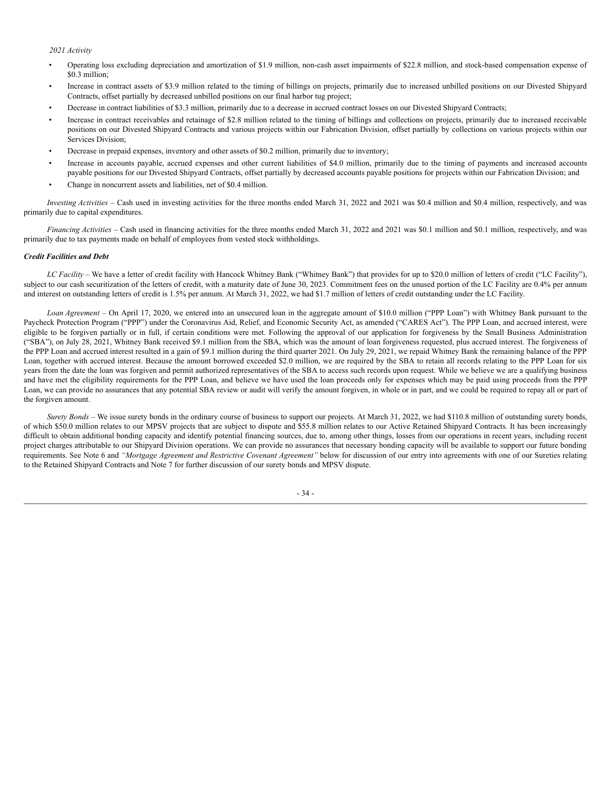## *2021 Activity*

- Operating loss excluding depreciation and amortization of \$1.9 million, non-cash asset impairments of \$22.8 million, and stock-based compensation expense of \$0.3 million;
- Increase in contract assets of \$3.9 million related to the timing of billings on projects, primarily due to increased unbilled positions on our Divested Shipyard Contracts, offset partially by decreased unbilled positions on our final harbor tug project;
- Decrease in contract liabilities of \$3.3 million, primarily due to a decrease in accrued contract losses on our Divested Shipyard Contracts;
- Increase in contract receivables and retainage of \$2.8 million related to the timing of billings and collections on projects, primarily due to increased receivable positions on our Divested Shipyard Contracts and various projects within our Fabrication Division, offset partially by collections on various projects within our Services Division;
- Decrease in prepaid expenses, inventory and other assets of \$0.2 million, primarily due to inventory;
- Increase in accounts payable, accrued expenses and other current liabilities of \$4.0 million, primarily due to the timing of payments and increased accounts payable positions for our Divested Shipyard Contracts, offset partially by decreased accounts payable positions for projects within our Fabrication Division; and
- Change in noncurrent assets and liabilities, net of \$0.4 million.

*Investing Activities* – Cash used in investing activities for the three months ended March 31, 2022 and 2021 was \$0.4 million and \$0.4 million, respectively, and was primarily due to capital expenditures.

*Financing Activities* – Cash used in financing activities for the three months ended March 31, 2022 and 2021 was \$0.1 million and \$0.1 million, respectively, and was primarily due to tax payments made on behalf of employees from vested stock withholdings.

## *Credit Facilities and Debt*

*LC Facility* – We have a letter of credit facility with Hancock Whitney Bank ("Whitney Bank") that provides for up to \$20.0 million of letters of credit ("LC Facility"), subject to our cash securitization of the letters of credit, with a maturity date of June 30, 2023. Commitment fees on the unused portion of the LC Facility are 0.4% per annum and interest on outstanding letters of credit is 1.5% per annum. At March 31, 2022, we had \$1.7 million of letters of credit outstanding under the LC Facility.

*Loan Agreement* – On April 17, 2020, we entered into an unsecured loan in the aggregate amount of \$10.0 million ("PPP Loan") with Whitney Bank pursuant to the Paycheck Protection Program ("PPP") under the Coronavirus Aid, Relief, and Economic Security Act, as amended ("CARES Act"). The PPP Loan, and accrued interest, were eligible to be forgiven partially or in full, if certain conditions were met. Following the approval of our application for forgiveness by the Small Business Administration ("SBA"), on July 28, 2021, Whitney Bank received \$9.1 million from the SBA, which was the amount of loan forgiveness requested, plus accrued interest. The forgiveness of the PPP Loan and accrued interest resulted in a gain of \$9.1 million during the third quarter 2021. On July 29, 2021, we repaid Whitney Bank the remaining balance of the PPP Loan, together with accrued interest. Because the amount borrowed exceeded \$2.0 million, we are required by the SBA to retain all records relating to the PPP Loan for six years from the date the loan was forgiven and permit authorized representatives of the SBA to access such records upon request. While we believe we are a qualifying business and have met the eligibility requirements for the PPP Loan, and believe we have used the loan proceeds only for expenses which may be paid using proceeds from the PPP Loan, we can provide no assurances that any potential SBA review or audit will verify the amount forgiven, in whole or in part, and we could be required to repay all or part of the forgiven amount.

*Surety Bonds* – We issue surety bonds in the ordinary course of business to support our projects. At March 31, 2022, we had \$110.8 million of outstanding surety bonds, of which \$50.0 million relates to our MPSV projects that are subject to dispute and \$55.8 million relates to our Active Retained Shipyard Contracts. It has been increasingly difficult to obtain additional bonding capacity and identify potential financing sources, due to, among other things, losses from our operations in recent years, including recent project charges attributable to our Shipyard Division operations. We can provide no assurances that necessary bonding capacity will be available to support our future bonding requirements. See Note 6 and *"Mortgage Agreement and Restrictive Covenant Agreement"* below for discussion of our entry into agreements with one of our Sureties relating to the Retained Shipyard Contracts and Note 7 for further discussion of our surety bonds and MPSV dispute.

- 34 -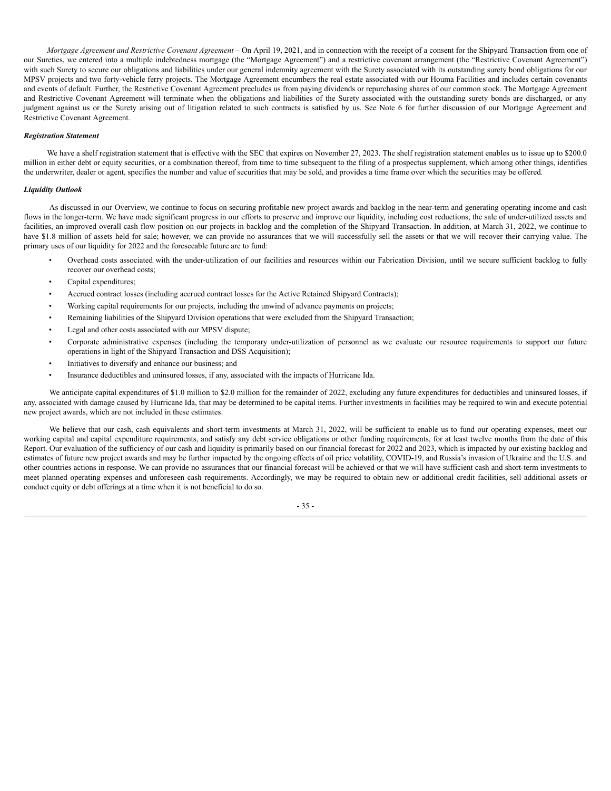*Mortgage Agreement and Restrictive Covenant Agreement* – On April 19, 2021, and in connection with the receipt of a consent for the Shipyard Transaction from one of our Sureties, we entered into a multiple indebtedness mortgage (the "Mortgage Agreement") and a restrictive covenant arrangement (the "Restrictive Covenant Agreement") with such Surety to secure our obligations and liabilities under our general indemnity agreement with the Surety associated with its outstanding surety bond obligations for our MPSV projects and two forty-vehicle ferry projects. The Mortgage Agreement encumbers the real estate associated with our Houma Facilities and includes certain covenants and events of default. Further, the Restrictive Covenant Agreement precludes us from paying dividends or repurchasing shares of our common stock. The Mortgage Agreement and Restrictive Covenant Agreement will terminate when the obligations and liabilities of the Surety associated with the outstanding surety bonds are discharged, or any judgment against us or the Surety arising out of litigation related to such contracts is satisfied by us. See Note 6 for further discussion of our Mortgage Agreement and Restrictive Covenant Agreement.

#### *Registration Statement*

We have a shelf registration statement that is effective with the SEC that expires on November 27, 2023. The shelf registration statement enables us to issue up to \$200.0 million in either debt or equity securities, or a combination thereof, from time to time subsequent to the filing of a prospectus supplement, which among other things, identifies the underwriter, dealer or agent, specifies the number and value of securities that may be sold, and provides a time frame over which the securities may be offered.

#### *Liquidity Outlook*

As discussed in our Overview, we continue to focus on securing profitable new project awards and backlog in the near-term and generating operating income and cash flows in the longer-term. We have made significant progress in our efforts to preserve and improve our liquidity, including cost reductions, the sale of under-utilized assets and facilities, an improved overall cash flow position on our projects in backlog and the completion of the Shipyard Transaction. In addition, at March 31, 2022, we continue to have \$1.8 million of assets held for sale; however, we can provide no assurances that we will successfully sell the assets or that we will recover their carrying value. The primary uses of our liquidity for 2022 and the foreseeable future are to fund:

- Overhead costs associated with the under-utilization of our facilities and resources within our Fabrication Division, until we secure sufficient backlog to fully recover our overhead costs;
- Capital expenditures;
- Accrued contract losses (including accrued contract losses for the Active Retained Shipyard Contracts);
- Working capital requirements for our projects, including the unwind of advance payments on projects;
- Remaining liabilities of the Shipyard Division operations that were excluded from the Shipyard Transaction;
- Legal and other costs associated with our MPSV dispute;
- Corporate administrative expenses (including the temporary under-utilization of personnel as we evaluate our resource requirements to support our future operations in light of the Shipyard Transaction and DSS Acquisition);
- Initiatives to diversify and enhance our business; and
- Insurance deductibles and uninsured losses, if any, associated with the impacts of Hurricane Ida.

We anticipate capital expenditures of \$1.0 million to \$2.0 million for the remainder of 2022, excluding any future expenditures for deductibles and uninsured losses, if any, associated with damage caused by Hurricane Ida, that may be determined to be capital items. Further investments in facilities may be required to win and execute potential new project awards, which are not included in these estimates.

We believe that our cash, cash equivalents and short-term investments at March 31, 2022, will be sufficient to enable us to fund our operating expenses, meet our working capital and capital expenditure requirements, and satisfy any debt service obligations or other funding requirements, for at least twelve months from the date of this Report. Our evaluation of the sufficiency of our cash and liquidity is primarily based on our financial forecast for 2022 and 2023, which is impacted by our existing backlog and estimates of future new project awards and may be further impacted by the ongoing effects of oil price volatility, COVID-19, and Russia's invasion of Ukraine and the U.S. and other countries actions in response. We can provide no assurances that our financial forecast will be achieved or that we will have sufficient cash and short-term investments to meet planned operating expenses and unforeseen cash requirements. Accordingly, we may be required to obtain new or additional credit facilities, sell additional assets or conduct equity or debt offerings at a time when it is not beneficial to do so.

- 35 -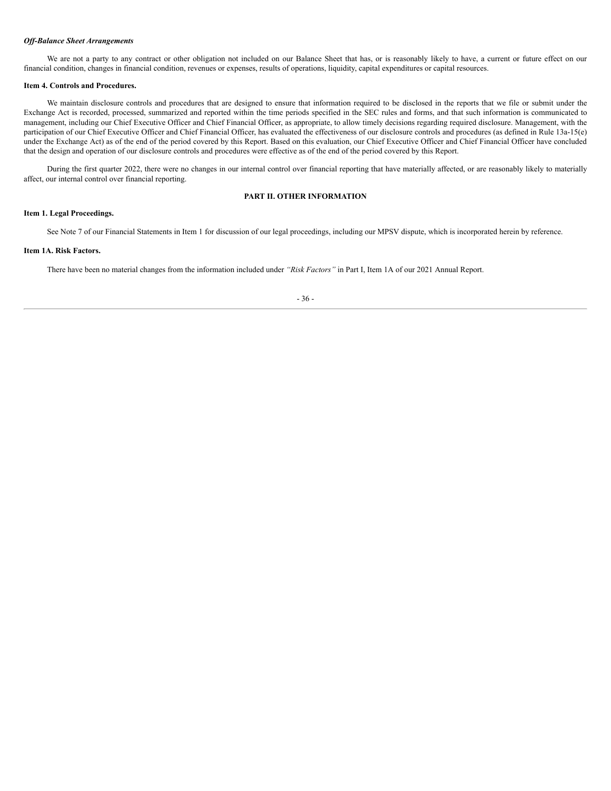#### *Of -Balance Sheet Arrangements*

We are not a party to any contract or other obligation not included on our Balance Sheet that has, or is reasonably likely to have, a current or future effect on our financial condition, changes in financial condition, revenues or expenses, results of operations, liquidity, capital expenditures or capital resources.

#### <span id="page-40-0"></span>**Item 4. Controls and Procedures.**

We maintain disclosure controls and procedures that are designed to ensure that information required to be disclosed in the reports that we file or submit under the Exchange Act is recorded, processed, summarized and reported within the time periods specified in the SEC rules and forms, and that such information is communicated to management, including our Chief Executive Officer and Chief Financial Officer, as appropriate, to allow timely decisions regarding required disclosure. Management, with the participation of our Chief Executive Officer and Chief Financial Officer, has evaluated the effectiveness of our disclosure controls and procedures (as defined in Rule 13a-15(e) under the Exchange Act) as of the end of the period covered by this Report. Based on this evaluation, our Chief Executive Officer and Chief Financial Officer have concluded that the design and operation of our disclosure controls and procedures were effective as of the end of the period covered by this Report.

During the first quarter 2022, there were no changes in our internal control over financial reporting that have materially affected, or are reasonably likely to materially affect, our internal control over financial reporting.

# **PART II. OTHER INFORMATION**

# <span id="page-40-2"></span><span id="page-40-1"></span>**Item 1. Legal Proceedings.**

See Note 7 of our Financial Statements in Item 1 for discussion of our legal proceedings, including our MPSV dispute, which is incorporated herein by reference.

## <span id="page-40-3"></span>**Item 1A. Risk Factors.**

There have been no material changes from the information included under *"Risk Factors"* in Part I, Item 1A of our 2021 Annual Report.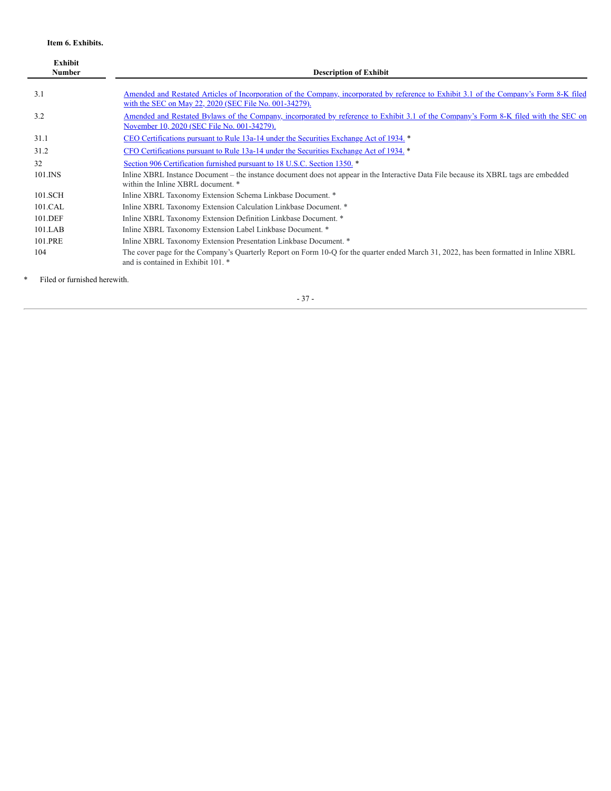# **Item 6. Exhibits.**

<span id="page-41-0"></span>

| <b>Exhibit</b><br><b>Number</b> | <b>Description of Exhibit</b>                                                                                                                                                                     |
|---------------------------------|---------------------------------------------------------------------------------------------------------------------------------------------------------------------------------------------------|
| 3.1                             | Amended and Restated Articles of Incorporation of the Company, incorporated by reference to Exhibit 3.1 of the Company's Form 8-K filed<br>with the SEC on May 22, 2020 (SEC File No. 001-34279). |
| 3.2                             | <u>Amended and Restated Bylaws of the Company, incorporated by reference to Exhibit 3.1 of the Company's Form 8-K filed with the SEC on</u><br>November 10, 2020 (SEC File No. 001-34279).        |
| 31.1                            | CEO Certifications pursuant to Rule 13a-14 under the Securities Exchange Act of 1934. *                                                                                                           |
| 31.2                            | CFO Certifications pursuant to Rule 13a-14 under the Securities Exchange Act of 1934, *                                                                                                           |
| 32                              | Section 906 Certification furnished pursuant to 18 U.S.C. Section 1350. *                                                                                                                         |
| 101.INS                         | Inline XBRL Instance Document – the instance document does not appear in the Interactive Data File because its XBRL tags are embedded<br>within the Inline XBRL document. *                       |
| 101.SCH                         | Inline XBRL Taxonomy Extension Schema Linkbase Document. *                                                                                                                                        |
| 101.CAL                         | Inline XBRL Taxonomy Extension Calculation Linkbase Document. *                                                                                                                                   |
| 101.DEF                         | Inline XBRL Taxonomy Extension Definition Linkbase Document. *                                                                                                                                    |
| $101$ .LAB                      | Inline XBRL Taxonomy Extension Label Linkbase Document. *                                                                                                                                         |
| 101.PRE                         | Inline XBRL Taxonomy Extension Presentation Linkbase Document. *                                                                                                                                  |
| 104                             | The cover page for the Company's Quarterly Report on Form 10-Q for the quarter ended March 31, 2022, has been formatted in Inline XBRL<br>and is contained in Exhibit 101. *                      |

\* Filed or furnished herewith.

- 37 -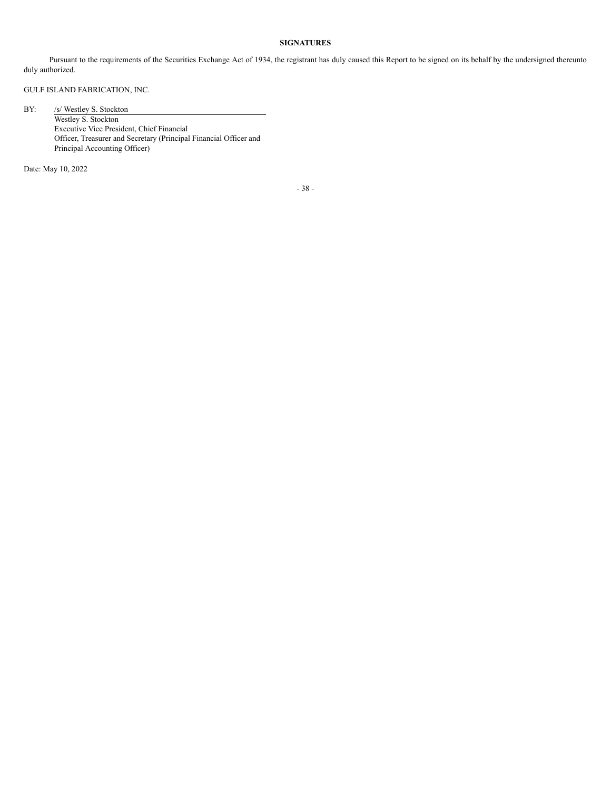# **SIGNATURES**

<span id="page-42-0"></span>Pursuant to the requirements of the Securities Exchange Act of 1934, the registrant has duly caused this Report to be signed on its behalf by the undersigned thereunto duly authorized.

# GULF ISLAND FABRICATION, INC.

BY: /s/ Westley S. Stockton

Westley S. Stockton Executive Vice President, Chief Financial Officer, Treasurer and Secretary (Principal Financial Officer and Principal Accounting Officer)

Date: May 10, 2022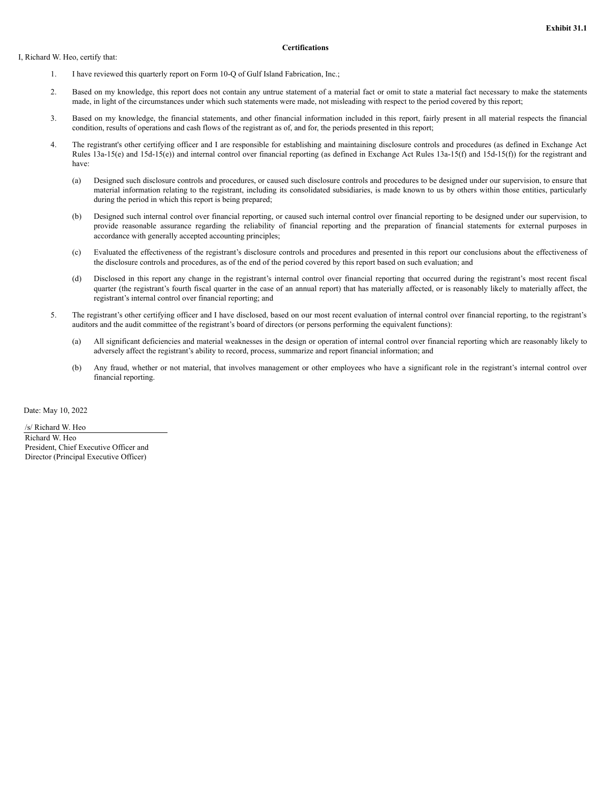#### I, Richard W. Heo, certify that:

### **Certifications**

- 1. I have reviewed this quarterly report on Form 10-Q of Gulf Island Fabrication, Inc.;
- 2. Based on my knowledge, this report does not contain any untrue statement of a material fact or omit to state a material fact necessary to make the statements made, in light of the circumstances under which such statements were made, not misleading with respect to the period covered by this report;
- 3. Based on my knowledge, the financial statements, and other financial information included in this report, fairly present in all material respects the financial condition, results of operations and cash flows of the registrant as of, and for, the periods presented in this report;
- 4. The registrant's other certifying officer and I are responsible for establishing and maintaining disclosure controls and procedures (as defined in Exchange Act Rules 13a-15(e) and 15d-15(e)) and internal control over financial reporting (as defined in Exchange Act Rules 13a-15(f) and 15d-15(f)) for the registrant and have:
	- (a) Designed such disclosure controls and procedures, or caused such disclosure controls and procedures to be designed under our supervision, to ensure that material information relating to the registrant, including its consolidated subsidiaries, is made known to us by others within those entities, particularly during the period in which this report is being prepared;
	- (b) Designed such internal control over financial reporting, or caused such internal control over financial reporting to be designed under our supervision, to provide reasonable assurance regarding the reliability of financial reporting and the preparation of financial statements for external purposes in accordance with generally accepted accounting principles;
	- (c) Evaluated the effectiveness of the registrant's disclosure controls and procedures and presented in this report our conclusions about the effectiveness of the disclosure controls and procedures, as of the end of the period covered by this report based on such evaluation; and
	- (d) Disclosed in this report any change in the registrant's internal control over financial reporting that occurred during the registrant's most recent fiscal quarter (the registrant's fourth fiscal quarter in the case of an annual report) that has materially affected, or is reasonably likely to materially affect, the registrant's internal control over financial reporting; and
- 5. The registrant's other certifying officer and I have disclosed, based on our most recent evaluation of internal control over financial reporting, to the registrant's auditors and the audit committee of the registrant's board of directors (or persons performing the equivalent functions):
	- (a) All significant deficiencies and material weaknesses in the design or operation of internal control over financial reporting which are reasonably likely to adversely affect the registrant's ability to record, process, summarize and report financial information; and
	- (b) Any fraud, whether or not material, that involves management or other employees who have a significant role in the registrant's internal control over financial reporting.

Date: May 10, 2022

/s/ Richard W. Heo Richard W. Heo President, Chief Executive Officer and Director (Principal Executive Officer)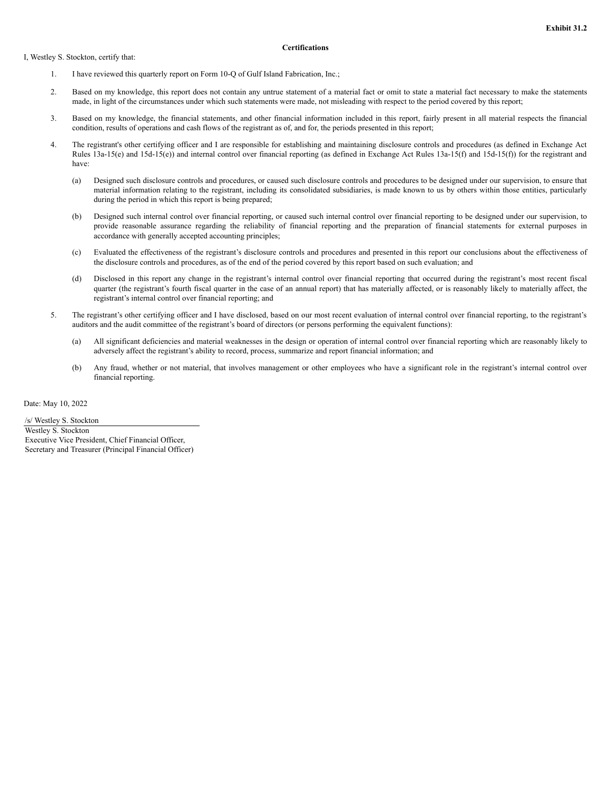I, Westley S. Stockton, certify that:

#### **Certifications**

- 1. I have reviewed this quarterly report on Form 10-Q of Gulf Island Fabrication, Inc.;
- 2. Based on my knowledge, this report does not contain any untrue statement of a material fact or omit to state a material fact necessary to make the statements made, in light of the circumstances under which such statements were made, not misleading with respect to the period covered by this report;
- 3. Based on my knowledge, the financial statements, and other financial information included in this report, fairly present in all material respects the financial condition, results of operations and cash flows of the registrant as of, and for, the periods presented in this report;
- 4. The registrant's other certifying officer and I are responsible for establishing and maintaining disclosure controls and procedures (as defined in Exchange Act Rules 13a-15(e) and 15d-15(e)) and internal control over financial reporting (as defined in Exchange Act Rules 13a-15(f) and 15d-15(f)) for the registrant and have:
	- (a) Designed such disclosure controls and procedures, or caused such disclosure controls and procedures to be designed under our supervision, to ensure that material information relating to the registrant, including its consolidated subsidiaries, is made known to us by others within those entities, particularly during the period in which this report is being prepared;
	- (b) Designed such internal control over financial reporting, or caused such internal control over financial reporting to be designed under our supervision, to provide reasonable assurance regarding the reliability of financial reporting and the preparation of financial statements for external purposes in accordance with generally accepted accounting principles;
	- (c) Evaluated the effectiveness of the registrant's disclosure controls and procedures and presented in this report our conclusions about the effectiveness of the disclosure controls and procedures, as of the end of the period covered by this report based on such evaluation; and
	- (d) Disclosed in this report any change in the registrant's internal control over financial reporting that occurred during the registrant's most recent fiscal quarter (the registrant's fourth fiscal quarter in the case of an annual report) that has materially affected, or is reasonably likely to materially affect, the registrant's internal control over financial reporting; and
- 5. The registrant's other certifying officer and I have disclosed, based on our most recent evaluation of internal control over financial reporting, to the registrant's auditors and the audit committee of the registrant's board of directors (or persons performing the equivalent functions):
	- (a) All significant deficiencies and material weaknesses in the design or operation of internal control over financial reporting which are reasonably likely to adversely affect the registrant's ability to record, process, summarize and report financial information; and
	- (b) Any fraud, whether or not material, that involves management or other employees who have a significant role in the registrant's internal control over financial reporting.

Date: May 10, 2022

/s/ Westley S. Stockton Westley S. Stockton Executive Vice President, Chief Financial Officer, Secretary and Treasurer (Principal Financial Officer)